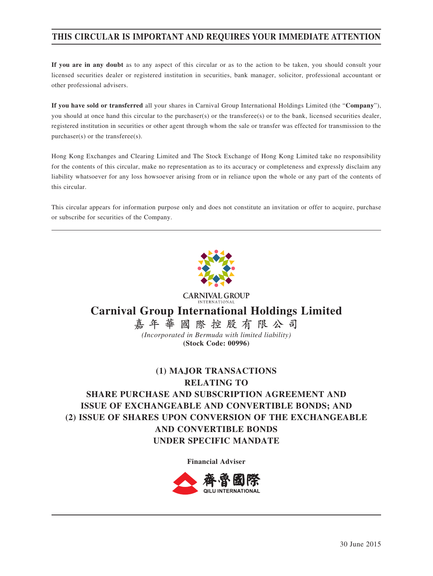# **THIS CIRCULAR IS IMPORTANT AND REQUIRES YOUR IMMEDIATE ATTENTION**

**If you are in any doubt** as to any aspect of this circular or as to the action to be taken, you should consult your licensed securities dealer or registered institution in securities, bank manager, solicitor, professional accountant or other professional advisers.

**If you have sold or transferred** all your shares in Carnival Group International Holdings Limited (the "**Company**"), you should at once hand this circular to the purchaser(s) or the transferee(s) or to the bank, licensed securities dealer, registered institution in securities or other agent through whom the sale or transfer was effected for transmission to the purchaser(s) or the transferee(s).

Hong Kong Exchanges and Clearing Limited and The Stock Exchange of Hong Kong Limited take no responsibility for the contents of this circular, make no representation as to its accuracy or completeness and expressly disclaim any liability whatsoever for any loss howsoever arising from or in reliance upon the whole or any part of the contents of this circular.

This circular appears for information purpose only and does not constitute an invitation or offer to acquire, purchase or subscribe for securities of the Company.



**CARNIVAL GROUP Carnival Group International Holdings Limited 嘉年華國際控股有限公司**

*(Incorporated in Bermuda with limited liability)* **(Stock Code: 00996)**

# **(1) MAJOR TRANSACTIONS RELATING TO SHARE PURCHASE AND SUBSCRIPTION AGREEMENT AND ISSUE OF EXCHANGEABLE AND CONVERTIBLE BONDS; AND (2) ISSUE OF SHARES UPON CONVERSION OF THE EXCHANGEABLE AND CONVERTIBLE BONDS UNDER SPECIFIC MANDATE**

**Financial Adviser**

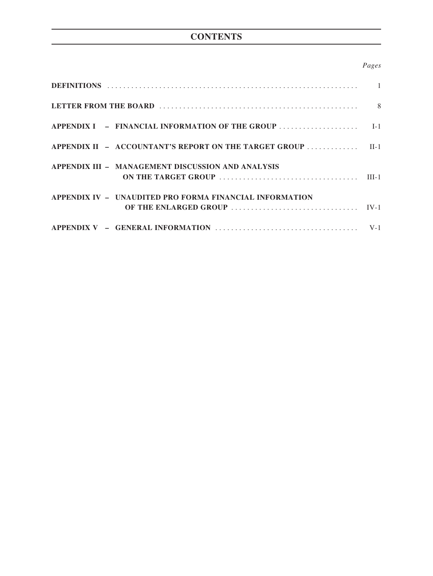# **CONTENTS**

# *Pages*

| APPENDIX II - ACCOUNTANT'S REPORT ON THE TARGET GROUP  II-1 |  |
|-------------------------------------------------------------|--|
| APPENDIX III - MANAGEMENT DISCUSSION AND ANALYSIS           |  |
| APPENDIX IV - UNAUDITED PRO FORMA FINANCIAL INFORMATION     |  |
|                                                             |  |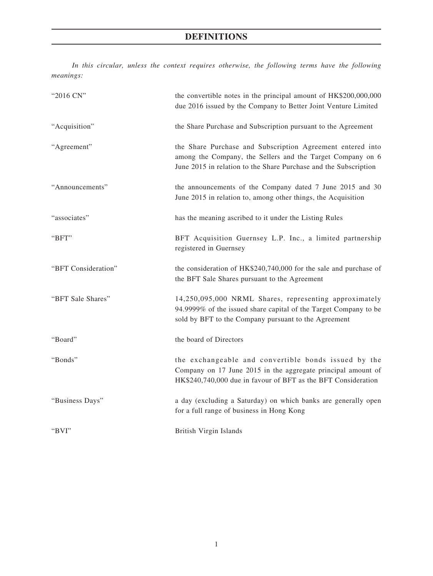*In this circular, unless the context requires otherwise, the following terms have the following meanings:*

| "2016 CN"           | the convertible notes in the principal amount of HK\$200,000,000<br>due 2016 issued by the Company to Better Joint Venture Limited                                                           |
|---------------------|----------------------------------------------------------------------------------------------------------------------------------------------------------------------------------------------|
| "Acquisition"       | the Share Purchase and Subscription pursuant to the Agreement                                                                                                                                |
| "Agreement"         | the Share Purchase and Subscription Agreement entered into<br>among the Company, the Sellers and the Target Company on 6<br>June 2015 in relation to the Share Purchase and the Subscription |
| "Announcements"     | the announcements of the Company dated 7 June 2015 and 30<br>June 2015 in relation to, among other things, the Acquisition                                                                   |
| "associates"        | has the meaning ascribed to it under the Listing Rules                                                                                                                                       |
| "BFT"               | BFT Acquisition Guernsey L.P. Inc., a limited partnership<br>registered in Guernsey                                                                                                          |
| "BFT Consideration" | the consideration of HK\$240,740,000 for the sale and purchase of<br>the BFT Sale Shares pursuant to the Agreement                                                                           |
| "BFT Sale Shares"   | 14,250,095,000 NRML Shares, representing approximately<br>94.9999% of the issued share capital of the Target Company to be<br>sold by BFT to the Company pursuant to the Agreement           |
| "Board"             | the board of Directors                                                                                                                                                                       |
| "Bonds"             | the exchangeable and convertible bonds issued by the<br>Company on 17 June 2015 in the aggregate principal amount of<br>HK\$240,740,000 due in favour of BFT as the BFT Consideration        |
| "Business Days"     | a day (excluding a Saturday) on which banks are generally open<br>for a full range of business in Hong Kong                                                                                  |
| "BVI"               | <b>British Virgin Islands</b>                                                                                                                                                                |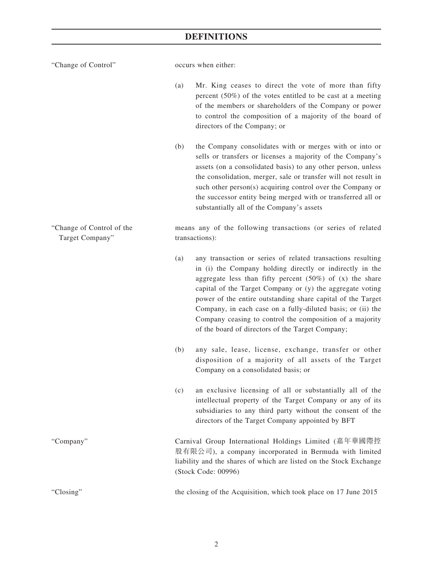| "Change of Control"                          | occurs when either: |                                                                                                                                                                                                                                                                                                                                                                                                                                                                                                     |  |  |
|----------------------------------------------|---------------------|-----------------------------------------------------------------------------------------------------------------------------------------------------------------------------------------------------------------------------------------------------------------------------------------------------------------------------------------------------------------------------------------------------------------------------------------------------------------------------------------------------|--|--|
|                                              | (a)                 | Mr. King ceases to direct the vote of more than fifty<br>percent $(50\%)$ of the votes entitled to be cast at a meeting<br>of the members or shareholders of the Company or power<br>to control the composition of a majority of the board of<br>directors of the Company; or                                                                                                                                                                                                                       |  |  |
|                                              | (b)                 | the Company consolidates with or merges with or into or<br>sells or transfers or licenses a majority of the Company's<br>assets (on a consolidated basis) to any other person, unless<br>the consolidation, merger, sale or transfer will not result in<br>such other person(s) acquiring control over the Company or<br>the successor entity being merged with or transferred all or<br>substantially all of the Company's assets                                                                  |  |  |
| "Change of Control of the<br>Target Company" |                     | means any of the following transactions (or series of related<br>transactions):                                                                                                                                                                                                                                                                                                                                                                                                                     |  |  |
|                                              | (a)                 | any transaction or series of related transactions resulting<br>in (i) the Company holding directly or indirectly in the<br>aggregate less than fifty percent $(50\%)$ of $(x)$ the share<br>capital of the Target Company or (y) the aggregate voting<br>power of the entire outstanding share capital of the Target<br>Company, in each case on a fully-diluted basis; or (ii) the<br>Company ceasing to control the composition of a majority<br>of the board of directors of the Target Company; |  |  |
|                                              | (b)                 | any sale, lease, license, exchange, transfer or other<br>disposition of a majority of all assets of the Target<br>Company on a consolidated basis; or                                                                                                                                                                                                                                                                                                                                               |  |  |
|                                              | (c)                 | an exclusive licensing of all or substantially all of the<br>intellectual property of the Target Company or any of its<br>subsidiaries to any third party without the consent of the<br>directors of the Target Company appointed by BFT                                                                                                                                                                                                                                                            |  |  |
| "Company"                                    |                     | Carnival Group International Holdings Limited (嘉年華國際控<br>股有限公司), a company incorporated in Bermuda with limited<br>liability and the shares of which are listed on the Stock Exchange<br>(Stock Code: 00996)                                                                                                                                                                                                                                                                                        |  |  |
| "Closing"                                    |                     | the closing of the Acquisition, which took place on 17 June 2015                                                                                                                                                                                                                                                                                                                                                                                                                                    |  |  |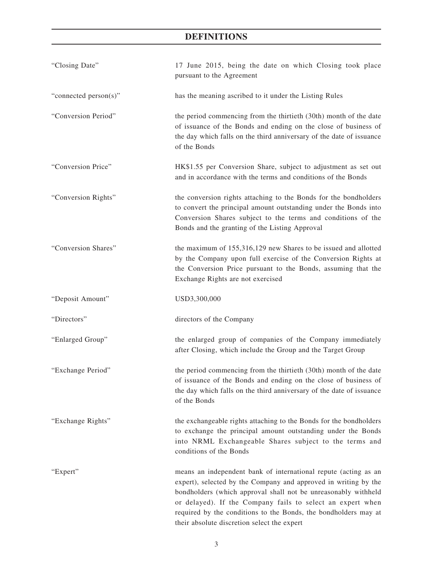| "Closing Date"        | 17 June 2015, being the date on which Closing took place<br>pursuant to the Agreement                                                                                                                                                                                                                                                                                                |
|-----------------------|--------------------------------------------------------------------------------------------------------------------------------------------------------------------------------------------------------------------------------------------------------------------------------------------------------------------------------------------------------------------------------------|
| "connected person(s)" | has the meaning ascribed to it under the Listing Rules                                                                                                                                                                                                                                                                                                                               |
| "Conversion Period"   | the period commencing from the thirtieth (30th) month of the date<br>of issuance of the Bonds and ending on the close of business of<br>the day which falls on the third anniversary of the date of issuance<br>of the Bonds                                                                                                                                                         |
| "Conversion Price"    | HK\$1.55 per Conversion Share, subject to adjustment as set out<br>and in accordance with the terms and conditions of the Bonds                                                                                                                                                                                                                                                      |
| "Conversion Rights"   | the conversion rights attaching to the Bonds for the bondholders<br>to convert the principal amount outstanding under the Bonds into<br>Conversion Shares subject to the terms and conditions of the<br>Bonds and the granting of the Listing Approval                                                                                                                               |
| "Conversion Shares"   | the maximum of 155,316,129 new Shares to be issued and allotted<br>by the Company upon full exercise of the Conversion Rights at<br>the Conversion Price pursuant to the Bonds, assuming that the<br>Exchange Rights are not exercised                                                                                                                                               |
| "Deposit Amount"      | USD3,300,000                                                                                                                                                                                                                                                                                                                                                                         |
| "Directors"           | directors of the Company                                                                                                                                                                                                                                                                                                                                                             |
| "Enlarged Group"      | the enlarged group of companies of the Company immediately<br>after Closing, which include the Group and the Target Group                                                                                                                                                                                                                                                            |
| "Exchange Period"     | the period commencing from the thirtieth (30th) month of the date<br>of issuance of the Bonds and ending on the close of business of<br>the day which falls on the third anniversary of the date of issuance<br>of the Bonds                                                                                                                                                         |
| "Exchange Rights"     | the exchangeable rights attaching to the Bonds for the bondholders<br>to exchange the principal amount outstanding under the Bonds<br>into NRML Exchangeable Shares subject to the terms and<br>conditions of the Bonds                                                                                                                                                              |
| "Expert"              | means an independent bank of international repute (acting as an<br>expert), selected by the Company and approved in writing by the<br>bondholders (which approval shall not be unreasonably withheld<br>or delayed). If the Company fails to select an expert when<br>required by the conditions to the Bonds, the bondholders may at<br>their absolute discretion select the expert |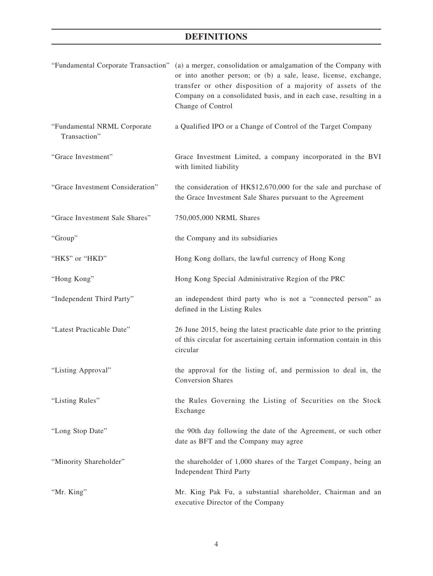|                                             | "Fundamental Corporate Transaction" (a) a merger, consolidation or amalgamation of the Company with<br>or into another person; or (b) a sale, lease, license, exchange,<br>transfer or other disposition of a majority of assets of the<br>Company on a consolidated basis, and in each case, resulting in a<br>Change of Control |
|---------------------------------------------|-----------------------------------------------------------------------------------------------------------------------------------------------------------------------------------------------------------------------------------------------------------------------------------------------------------------------------------|
| "Fundamental NRML Corporate<br>Transaction" | a Qualified IPO or a Change of Control of the Target Company                                                                                                                                                                                                                                                                      |
| "Grace Investment"                          | Grace Investment Limited, a company incorporated in the BVI<br>with limited liability                                                                                                                                                                                                                                             |
| "Grace Investment Consideration"            | the consideration of HK\$12,670,000 for the sale and purchase of<br>the Grace Investment Sale Shares pursuant to the Agreement                                                                                                                                                                                                    |
| "Grace Investment Sale Shares"              | 750,005,000 NRML Shares                                                                                                                                                                                                                                                                                                           |
| "Group"                                     | the Company and its subsidiaries                                                                                                                                                                                                                                                                                                  |
| "HK\$" or "HKD"                             | Hong Kong dollars, the lawful currency of Hong Kong                                                                                                                                                                                                                                                                               |
| "Hong Kong"                                 | Hong Kong Special Administrative Region of the PRC                                                                                                                                                                                                                                                                                |
| "Independent Third Party"                   | an independent third party who is not a "connected person" as<br>defined in the Listing Rules                                                                                                                                                                                                                                     |
| "Latest Practicable Date"                   | 26 June 2015, being the latest practicable date prior to the printing<br>of this circular for ascertaining certain information contain in this<br>circular                                                                                                                                                                        |
| "Listing Approval"                          | the approval for the listing of, and permission to deal in, the<br><b>Conversion Shares</b>                                                                                                                                                                                                                                       |
| "Listing Rules"                             | the Rules Governing the Listing of Securities on the Stock<br>Exchange                                                                                                                                                                                                                                                            |
| "Long Stop Date"                            | the 90th day following the date of the Agreement, or such other<br>date as BFT and the Company may agree                                                                                                                                                                                                                          |
| "Minority Shareholder"                      | the shareholder of 1,000 shares of the Target Company, being an<br><b>Independent Third Party</b>                                                                                                                                                                                                                                 |
| "Mr. King"                                  | Mr. King Pak Fu, a substantial shareholder, Chairman and an<br>executive Director of the Company                                                                                                                                                                                                                                  |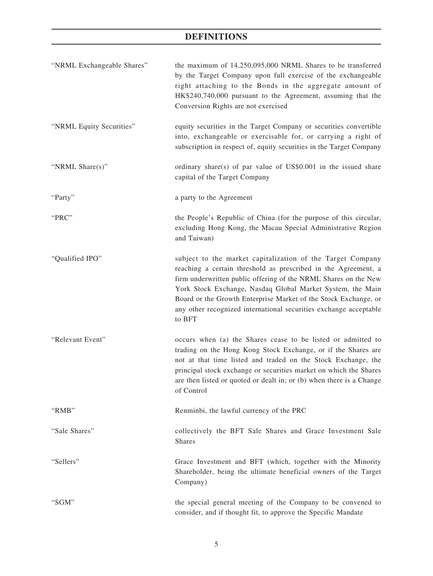| "NRML Exchangeable Shares" | the maximum of 14,250,095,000 NRML Shares to be transferred<br>by the Target Company upon full exercise of the exchangeable<br>right attaching to the Bonds in the aggregate amount of<br>HK\$240,740,000 pursuant to the Agreement, assuming that the<br>Conversion Rights are not exercised                                                                                                                   |
|----------------------------|-----------------------------------------------------------------------------------------------------------------------------------------------------------------------------------------------------------------------------------------------------------------------------------------------------------------------------------------------------------------------------------------------------------------|
| "NRML Equity Securities"   | equity securities in the Target Company or securities convertible<br>into, exchangeable or exercisable for, or carrying a right of<br>subscription in respect of, equity securities in the Target Company                                                                                                                                                                                                       |
| "NRML Share(s)"            | ordinary share(s) of par value of $US$0.001$ in the issued share<br>capital of the Target Company                                                                                                                                                                                                                                                                                                               |
| "Party"                    | a party to the Agreement                                                                                                                                                                                                                                                                                                                                                                                        |
| "PRC"                      | the People's Republic of China (for the purpose of this circular,<br>excluding Hong Kong, the Macau Special Administrative Region<br>and Taiwan)                                                                                                                                                                                                                                                                |
| "Qualified IPO"            | subject to the market capitalization of the Target Company<br>reaching a certain threshold as prescribed in the Agreement, a<br>firm underwritten public offering of the NRML Shares on the New<br>York Stock Exchange, Nasdaq Global Market System, the Main<br>Board or the Growth Enterprise Market of the Stock Exchange, or<br>any other recognized international securities exchange acceptable<br>to BFT |
| "Relevant Event"           | occurs when (a) the Shares cease to be listed or admitted to<br>trading on the Hong Kong Stock Exchange, or if the Shares are<br>not at that time listed and traded on the Stock Exchange, the<br>principal stock exchange or securities market on which the Shares<br>are then listed or quoted or dealt in; or (b) when there is a Change<br>of Control                                                       |
| "RMB"                      | Renminbi, the lawful currency of the PRC                                                                                                                                                                                                                                                                                                                                                                        |
| "Sale Shares"              | collectively the BFT Sale Shares and Grace Investment Sale<br><b>Shares</b>                                                                                                                                                                                                                                                                                                                                     |
| "Sellers"                  | Grace Investment and BFT (which, together with the Minority<br>Shareholder, being the ultimate beneficial owners of the Target<br>Company)                                                                                                                                                                                                                                                                      |
| "SGM"                      | the special general meeting of the Company to be convened to<br>consider, and if thought fit, to approve the Specific Mandate                                                                                                                                                                                                                                                                                   |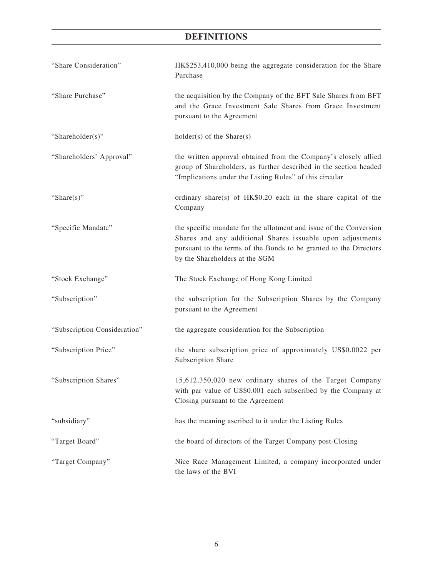| "Share Consideration"        | HK\$253,410,000 being the aggregate consideration for the Share<br>Purchase                                                                                                                                                             |
|------------------------------|-----------------------------------------------------------------------------------------------------------------------------------------------------------------------------------------------------------------------------------------|
| "Share Purchase"             | the acquisition by the Company of the BFT Sale Shares from BFT<br>and the Grace Investment Sale Shares from Grace Investment<br>pursuant to the Agreement                                                                               |
| "Shareholder(s)"             | $holder(s)$ of the Share $(s)$                                                                                                                                                                                                          |
| "Shareholders' Approval"     | the written approval obtained from the Company's closely allied<br>group of Shareholders, as further described in the section headed<br>"Implications under the Listing Rules" of this circular                                         |
| "Share $(s)$ "               | ordinary share(s) of HK\$0.20 each in the share capital of the<br>Company                                                                                                                                                               |
| "Specific Mandate"           | the specific mandate for the allotment and issue of the Conversion<br>Shares and any additional Shares issuable upon adjustments<br>pursuant to the terms of the Bonds to be granted to the Directors<br>by the Shareholders at the SGM |
| "Stock Exchange"             | The Stock Exchange of Hong Kong Limited                                                                                                                                                                                                 |
| "Subscription"               | the subscription for the Subscription Shares by the Company<br>pursuant to the Agreement                                                                                                                                                |
| "Subscription Consideration" | the aggregate consideration for the Subscription                                                                                                                                                                                        |
| "Subscription Price"         | the share subscription price of approximately US\$0.0022 per<br>Subscription Share                                                                                                                                                      |
| "Subscription Shares"        | 15,612,350,020 new ordinary shares of the Target Company<br>with par value of US\$0.001 each subscribed by the Company at<br>Closing pursuant to the Agreement                                                                          |
| "subsidiary"                 | has the meaning ascribed to it under the Listing Rules                                                                                                                                                                                  |
| "Target Board"               | the board of directors of the Target Company post-Closing                                                                                                                                                                               |
| "Target Company"             | Nice Race Management Limited, a company incorporated under<br>the laws of the BVI                                                                                                                                                       |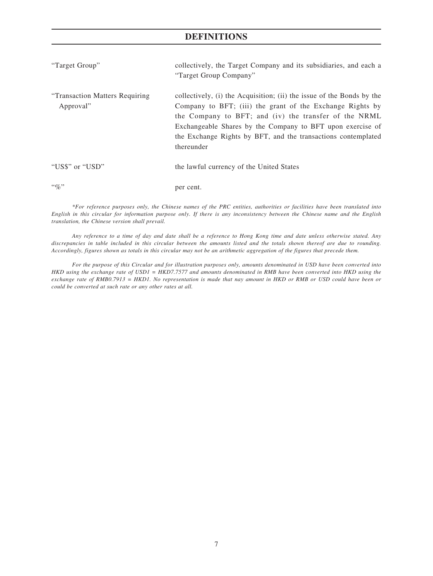| "Target Group"                               | collectively, the Target Company and its subsidiaries, and each a<br>"Target Group Company"                                                                                                                                                                                                                                              |
|----------------------------------------------|------------------------------------------------------------------------------------------------------------------------------------------------------------------------------------------------------------------------------------------------------------------------------------------------------------------------------------------|
| "Transaction Matters Requiring"<br>Approval" | collectively, (i) the Acquisition; (ii) the issue of the Bonds by the<br>Company to BFT; (iii) the grant of the Exchange Rights by<br>the Company to BFT; and (iv) the transfer of the NRML<br>Exchangeable Shares by the Company to BFT upon exercise of<br>the Exchange Rights by BFT, and the transactions contemplated<br>thereunder |
| "US\$" or "USD"                              | the lawful currency of the United States                                                                                                                                                                                                                                                                                                 |
| $\lq\lq q_0$ "                               | per cent.                                                                                                                                                                                                                                                                                                                                |

*\*For reference purposes only, the Chinese names of the PRC entities, authorities or facilities have been translated into English in this circular for information purpose only. If there is any inconsistency between the Chinese name and the English translation, the Chinese version shall prevail.*

*Any reference to a time of day and date shall be a reference to Hong Kong time and date unless otherwise stated. Any discrepancies in table included in this circular between the amounts listed and the totals shown thereof are due to rounding. Accordingly, figures shown as totals in this circular may not be an arithmetic aggregation of the figures that precede them.*

*For the purpose of this Circular and for illustration purposes only, amounts denominated in USD have been converted into HKD using the exchange rate of USD1 = HKD7.7577 and amounts denominated in RMB have been converted into HKD using the exchange rate of RMB0.7913 = HKD1. No representation is made that nay amount in HKD or RMB or USD could have been or could be converted at such rate or any other rates at all.*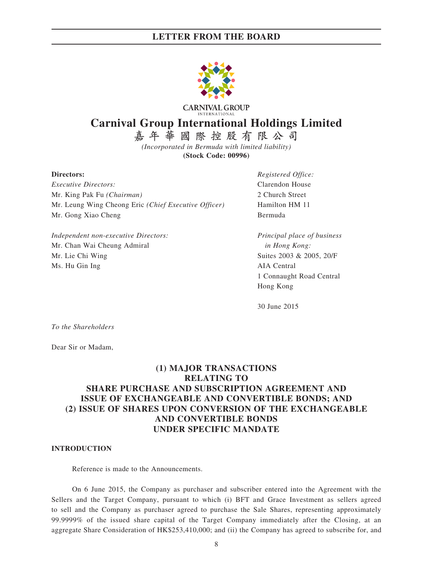

**CARNIVAL GROUP Carnival Group International Holdings Limited**

> **嘉年華國際控股有限公司** *(Incorporated in Bermuda with limited liability)*

> > **(Stock Code: 00996)**

*Executive Directors:* Clarendon House Mr. King Pak Fu *(Chairman)* 2 Church Street Mr. Leung Wing Cheong Eric *(Chief Executive Officer)* Hamilton HM 11 Mr. Gong Xiao Cheng Bermuda

*Independent non-executive Directors: Principal place of business* Mr. Chan Wai Cheung Admiral *in Hong Kong:* Mr. Lie Chi Wing Suites 2003 & 2005, 20/F Ms. Hu Gin Ing AIA Central

**Directors:** *Registered Office:*

1 Connaught Road Central Hong Kong

30 June 2015

*To the Shareholders*

Dear Sir or Madam,

# **(1) MAJOR TRANSACTIONS RELATING TO SHARE PURCHASE AND SUBSCRIPTION AGREEMENT AND ISSUE OF EXCHANGEABLE AND CONVERTIBLE BONDS; AND (2) ISSUE OF SHARES UPON CONVERSION OF THE EXCHANGEABLE AND CONVERTIBLE BONDS UNDER SPECIFIC MANDATE**

#### **INTRODUCTION**

Reference is made to the Announcements.

On 6 June 2015, the Company as purchaser and subscriber entered into the Agreement with the Sellers and the Target Company, pursuant to which (i) BFT and Grace Investment as sellers agreed to sell and the Company as purchaser agreed to purchase the Sale Shares, representing approximately 99.9999% of the issued share capital of the Target Company immediately after the Closing, at an aggregate Share Consideration of HK\$253,410,000; and (ii) the Company has agreed to subscribe for, and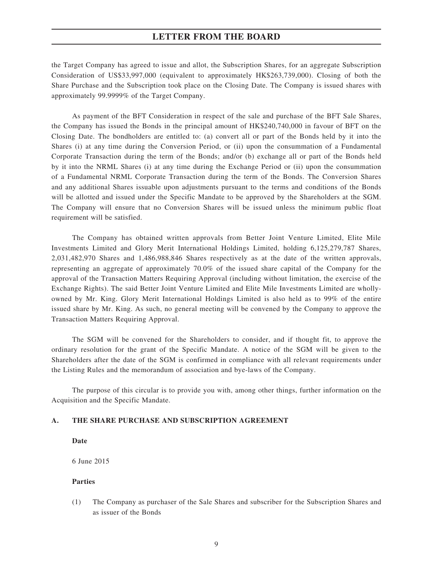the Target Company has agreed to issue and allot, the Subscription Shares, for an aggregate Subscription Consideration of US\$33,997,000 (equivalent to approximately HK\$263,739,000). Closing of both the Share Purchase and the Subscription took place on the Closing Date. The Company is issued shares with approximately 99.9999% of the Target Company.

As payment of the BFT Consideration in respect of the sale and purchase of the BFT Sale Shares, the Company has issued the Bonds in the principal amount of HK\$240,740,000 in favour of BFT on the Closing Date. The bondholders are entitled to: (a) convert all or part of the Bonds held by it into the Shares (i) at any time during the Conversion Period, or (ii) upon the consummation of a Fundamental Corporate Transaction during the term of the Bonds; and/or (b) exchange all or part of the Bonds held by it into the NRML Shares (i) at any time during the Exchange Period or (ii) upon the consummation of a Fundamental NRML Corporate Transaction during the term of the Bonds. The Conversion Shares and any additional Shares issuable upon adjustments pursuant to the terms and conditions of the Bonds will be allotted and issued under the Specific Mandate to be approved by the Shareholders at the SGM. The Company will ensure that no Conversion Shares will be issued unless the minimum public float requirement will be satisfied.

The Company has obtained written approvals from Better Joint Venture Limited, Elite Mile Investments Limited and Glory Merit International Holdings Limited, holding 6,125,279,787 Shares, 2,031,482,970 Shares and 1,486,988,846 Shares respectively as at the date of the written approvals, representing an aggregate of approximately 70.0% of the issued share capital of the Company for the approval of the Transaction Matters Requiring Approval (including without limitation, the exercise of the Exchange Rights). The said Better Joint Venture Limited and Elite Mile Investments Limited are whollyowned by Mr. King. Glory Merit International Holdings Limited is also held as to 99% of the entire issued share by Mr. King. As such, no general meeting will be convened by the Company to approve the Transaction Matters Requiring Approval.

The SGM will be convened for the Shareholders to consider, and if thought fit, to approve the ordinary resolution for the grant of the Specific Mandate. A notice of the SGM will be given to the Shareholders after the date of the SGM is confirmed in compliance with all relevant requirements under the Listing Rules and the memorandum of association and bye-laws of the Company.

The purpose of this circular is to provide you with, among other things, further information on the Acquisition and the Specific Mandate.

#### **A. THE SHARE PURCHASE AND SUBSCRIPTION AGREEMENT**

**Date**

6 June 2015

#### **Parties**

(1) The Company as purchaser of the Sale Shares and subscriber for the Subscription Shares and as issuer of the Bonds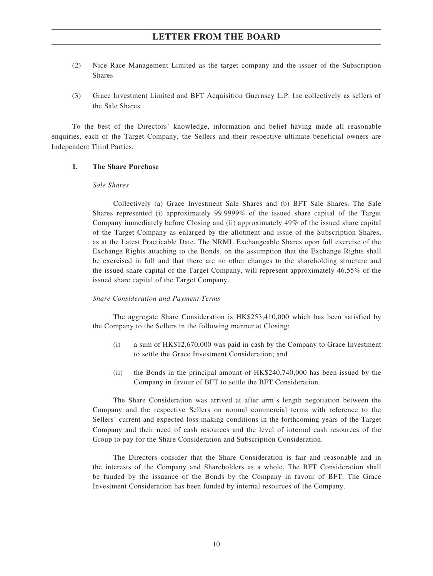- (2) Nice Race Management Limited as the target company and the issuer of the Subscription Shares
- (3) Grace Investment Limited and BFT Acquisition Guernsey L.P. Inc collectively as sellers of the Sale Shares

To the best of the Directors' knowledge, information and belief having made all reasonable enquiries, each of the Target Company, the Sellers and their respective ultimate beneficial owners are Independent Third Parties.

#### **1. The Share Purchase**

#### *Sale Shares*

Collectively (a) Grace Investment Sale Shares and (b) BFT Sale Shares. The Sale Shares represented (i) approximately 99.9999% of the issued share capital of the Target Company immediately before Closing and (ii) approximately 49% of the issued share capital of the Target Company as enlarged by the allotment and issue of the Subscription Shares, as at the Latest Practicable Date. The NRML Exchangeable Shares upon full exercise of the Exchange Rights attaching to the Bonds, on the assumption that the Exchange Rights shall be exercised in full and that there are no other changes to the shareholding structure and the issued share capital of the Target Company, will represent approximately 46.55% of the issued share capital of the Target Company.

#### *Share Consideration and Payment Terms*

The aggregate Share Consideration is HK\$253,410,000 which has been satisfied by the Company to the Sellers in the following manner at Closing:

- (i) a sum of HK\$12,670,000 was paid in cash by the Company to Grace Investment to settle the Grace Investment Consideration; and
- (ii) the Bonds in the principal amount of HK\$240,740,000 has been issued by the Company in favour of BFT to settle the BFT Consideration.

The Share Consideration was arrived at after arm's length negotiation between the Company and the respective Sellers on normal commercial terms with reference to the Sellers' current and expected loss-making conditions in the forthcoming years of the Target Company and their need of cash resources and the level of internal cash resources of the Group to pay for the Share Consideration and Subscription Consideration.

The Directors consider that the Share Consideration is fair and reasonable and in the interests of the Company and Shareholders as a whole. The BFT Consideration shall be funded by the issuance of the Bonds by the Company in favour of BFT. The Grace Investment Consideration has been funded by internal resources of the Company.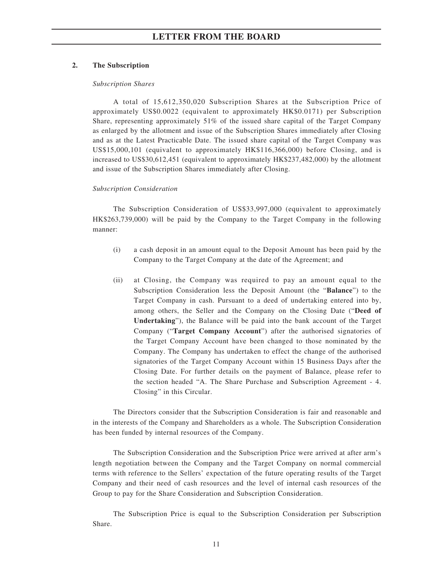#### **2. The Subscription**

#### *Subscription Shares*

A total of 15,612,350,020 Subscription Shares at the Subscription Price of approximately US\$0.0022 (equivalent to approximately HK\$0.0171) per Subscription Share, representing approximately 51% of the issued share capital of the Target Company as enlarged by the allotment and issue of the Subscription Shares immediately after Closing and as at the Latest Practicable Date. The issued share capital of the Target Company was US\$15,000,101 (equivalent to approximately HK\$116,366,000) before Closing, and is increased to US\$30,612,451 (equivalent to approximately HK\$237,482,000) by the allotment and issue of the Subscription Shares immediately after Closing.

#### *Subscription Consideration*

The Subscription Consideration of US\$33,997,000 (equivalent to approximately HK\$263,739,000) will be paid by the Company to the Target Company in the following manner:

- (i) a cash deposit in an amount equal to the Deposit Amount has been paid by the Company to the Target Company at the date of the Agreement; and
- (ii) at Closing, the Company was required to pay an amount equal to the Subscription Consideration less the Deposit Amount (the "**Balance**") to the Target Company in cash. Pursuant to a deed of undertaking entered into by, among others, the Seller and the Company on the Closing Date ("**Deed of Undertaking**"), the Balance will be paid into the bank account of the Target Company ("**Target Company Account**") after the authorised signatories of the Target Company Account have been changed to those nominated by the Company. The Company has undertaken to effect the change of the authorised signatories of the Target Company Account within 15 Business Days after the Closing Date. For further details on the payment of Balance, please refer to the section headed "A. The Share Purchase and Subscription Agreement - 4. Closing" in this Circular.

The Directors consider that the Subscription Consideration is fair and reasonable and in the interests of the Company and Shareholders as a whole. The Subscription Consideration has been funded by internal resources of the Company.

The Subscription Consideration and the Subscription Price were arrived at after arm's length negotiation between the Company and the Target Company on normal commercial terms with reference to the Sellers' expectation of the future operating results of the Target Company and their need of cash resources and the level of internal cash resources of the Group to pay for the Share Consideration and Subscription Consideration.

The Subscription Price is equal to the Subscription Consideration per Subscription Share.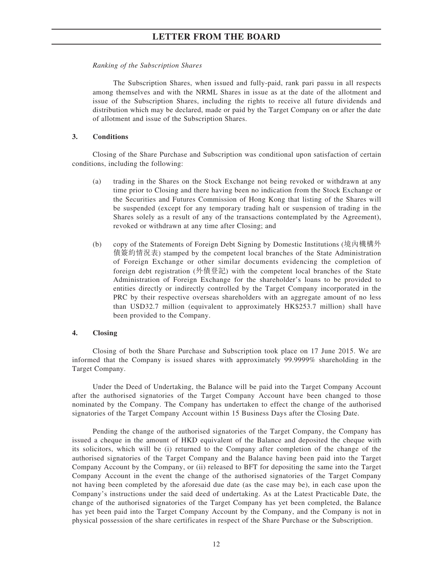#### *Ranking of the Subscription Shares*

The Subscription Shares, when issued and fully-paid, rank pari passu in all respects among themselves and with the NRML Shares in issue as at the date of the allotment and issue of the Subscription Shares, including the rights to receive all future dividends and distribution which may be declared, made or paid by the Target Company on or after the date of allotment and issue of the Subscription Shares.

#### **3. Conditions**

Closing of the Share Purchase and Subscription was conditional upon satisfaction of certain conditions, including the following:

- (a) trading in the Shares on the Stock Exchange not being revoked or withdrawn at any time prior to Closing and there having been no indication from the Stock Exchange or the Securities and Futures Commission of Hong Kong that listing of the Shares will be suspended (except for any temporary trading halt or suspension of trading in the Shares solely as a result of any of the transactions contemplated by the Agreement), revoked or withdrawn at any time after Closing; and
- (b) copy of the Statements of Foreign Debt Signing by Domestic Institutions (境內機構外 債簽約情況表) stamped by the competent local branches of the State Administration of Foreign Exchange or other similar documents evidencing the completion of foreign debt registration (外債登記) with the competent local branches of the State Administration of Foreign Exchange for the shareholder's loans to be provided to entities directly or indirectly controlled by the Target Company incorporated in the PRC by their respective overseas shareholders with an aggregate amount of no less than USD32.7 million (equivalent to approximately HK\$253.7 million) shall have been provided to the Company.

#### **4. Closing**

Closing of both the Share Purchase and Subscription took place on 17 June 2015. We are informed that the Company is issued shares with approximately 99.9999% shareholding in the Target Company.

Under the Deed of Undertaking, the Balance will be paid into the Target Company Account after the authorised signatories of the Target Company Account have been changed to those nominated by the Company. The Company has undertaken to effect the change of the authorised signatories of the Target Company Account within 15 Business Days after the Closing Date.

Pending the change of the authorised signatories of the Target Company, the Company has issued a cheque in the amount of HKD equivalent of the Balance and deposited the cheque with its solicitors, which will be (i) returned to the Company after completion of the change of the authorised signatories of the Target Company and the Balance having been paid into the Target Company Account by the Company, or (ii) released to BFT for depositing the same into the Target Company Account in the event the change of the authorised signatories of the Target Company not having been completed by the aforesaid due date (as the case may be), in each case upon the Company's instructions under the said deed of undertaking. As at the Latest Practicable Date, the change of the authorised signatories of the Target Company has yet been completed, the Balance has yet been paid into the Target Company Account by the Company, and the Company is not in physical possession of the share certificates in respect of the Share Purchase or the Subscription.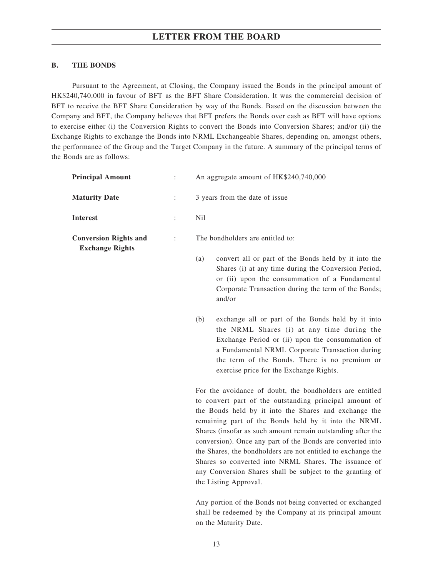## **B. THE BONDS**

Pursuant to the Agreement, at Closing, the Company issued the Bonds in the principal amount of HK\$240,740,000 in favour of BFT as the BFT Share Consideration. It was the commercial decision of BFT to receive the BFT Share Consideration by way of the Bonds. Based on the discussion between the Company and BFT, the Company believes that BFT prefers the Bonds over cash as BFT will have options to exercise either (i) the Conversion Rights to convert the Bonds into Conversion Shares; and/or (ii) the Exchange Rights to exchange the Bonds into NRML Exchangeable Shares, depending on, amongst others, the performance of the Group and the Target Company in the future. A summary of the principal terms of the Bonds are as follows:

| <b>Principal Amount</b>                                | $\ddot{\cdot}$ | An aggregate amount of HK\$240,740,000                                                                                                                                                                                                                                                                                                                                                                                                                                                                                                                 |  |  |  |
|--------------------------------------------------------|----------------|--------------------------------------------------------------------------------------------------------------------------------------------------------------------------------------------------------------------------------------------------------------------------------------------------------------------------------------------------------------------------------------------------------------------------------------------------------------------------------------------------------------------------------------------------------|--|--|--|
| <b>Maturity Date</b>                                   | $\ddot{\cdot}$ | 3 years from the date of issue                                                                                                                                                                                                                                                                                                                                                                                                                                                                                                                         |  |  |  |
| <b>Interest</b>                                        | ÷              | N <sub>il</sub>                                                                                                                                                                                                                                                                                                                                                                                                                                                                                                                                        |  |  |  |
| <b>Conversion Rights and</b><br><b>Exchange Rights</b> | ÷              | The bondholders are entitled to:                                                                                                                                                                                                                                                                                                                                                                                                                                                                                                                       |  |  |  |
|                                                        |                | convert all or part of the Bonds held by it into the<br>(a)<br>Shares (i) at any time during the Conversion Period,<br>or (ii) upon the consummation of a Fundamental<br>Corporate Transaction during the term of the Bonds;<br>and/or                                                                                                                                                                                                                                                                                                                 |  |  |  |
|                                                        |                | (b)<br>exchange all or part of the Bonds held by it into<br>the NRML Shares (i) at any time during the<br>Exchange Period or (ii) upon the consummation of<br>a Fundamental NRML Corporate Transaction during<br>the term of the Bonds. There is no premium or<br>exercise price for the Exchange Rights.                                                                                                                                                                                                                                              |  |  |  |
|                                                        |                | For the avoidance of doubt, the bondholders are entitled<br>to convert part of the outstanding principal amount of<br>the Bonds held by it into the Shares and exchange the<br>remaining part of the Bonds held by it into the NRML<br>Shares (insofar as such amount remain outstanding after the<br>conversion). Once any part of the Bonds are converted into<br>the Shares, the bondholders are not entitled to exchange the<br>Shares so converted into NRML Shares. The issuance of<br>any Conversion Shares shall be subject to the granting of |  |  |  |

Any portion of the Bonds not being converted or exchanged shall be redeemed by the Company at its principal amount on the Maturity Date.

the Listing Approval.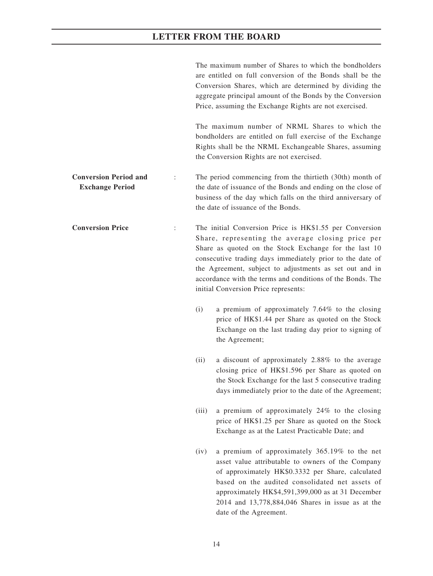|                                                        |                |       | The maximum number of Shares to which the bondholders<br>are entitled on full conversion of the Bonds shall be the<br>Conversion Shares, which are determined by dividing the<br>aggregate principal amount of the Bonds by the Conversion<br>Price, assuming the Exchange Rights are not exercised.                                                                                                |
|--------------------------------------------------------|----------------|-------|-----------------------------------------------------------------------------------------------------------------------------------------------------------------------------------------------------------------------------------------------------------------------------------------------------------------------------------------------------------------------------------------------------|
|                                                        |                |       | The maximum number of NRML Shares to which the<br>bondholders are entitled on full exercise of the Exchange<br>Rights shall be the NRML Exchangeable Shares, assuming<br>the Conversion Rights are not exercised.                                                                                                                                                                                   |
| <b>Conversion Period and</b><br><b>Exchange Period</b> |                |       | The period commencing from the thirtieth (30th) month of<br>the date of issuance of the Bonds and ending on the close of<br>business of the day which falls on the third anniversary of<br>the date of issuance of the Bonds.                                                                                                                                                                       |
| <b>Conversion Price</b>                                | $\ddot{\cdot}$ |       | The initial Conversion Price is HK\$1.55 per Conversion<br>Share, representing the average closing price per<br>Share as quoted on the Stock Exchange for the last 10<br>consecutive trading days immediately prior to the date of<br>the Agreement, subject to adjustments as set out and in<br>accordance with the terms and conditions of the Bonds. The<br>initial Conversion Price represents: |
|                                                        |                | (i)   | a premium of approximately 7.64% to the closing<br>price of HK\$1.44 per Share as quoted on the Stock<br>Exchange on the last trading day prior to signing of<br>the Agreement;                                                                                                                                                                                                                     |
|                                                        |                | (ii)  | a discount of approximately 2.88% to the average<br>closing price of HK\$1.596 per Share as quoted on<br>the Stock Exchange for the last 5 consecutive trading<br>days immediately prior to the date of the Agreement;                                                                                                                                                                              |
|                                                        |                | (iii) | a premium of approximately 24% to the closing<br>price of HK\$1.25 per Share as quoted on the Stock<br>Exchange as at the Latest Practicable Date; and                                                                                                                                                                                                                                              |
|                                                        |                | (iv)  | a premium of approximately 365.19% to the net<br>asset value attributable to owners of the Company<br>of approximately HK\$0.3332 per Share, calculated<br>based on the audited consolidated net assets of<br>approximately HK\$4,591,399,000 as at 31 December<br>2014 and 13,778,884,046 Shares in issue as at the<br>date of the Agreement.                                                      |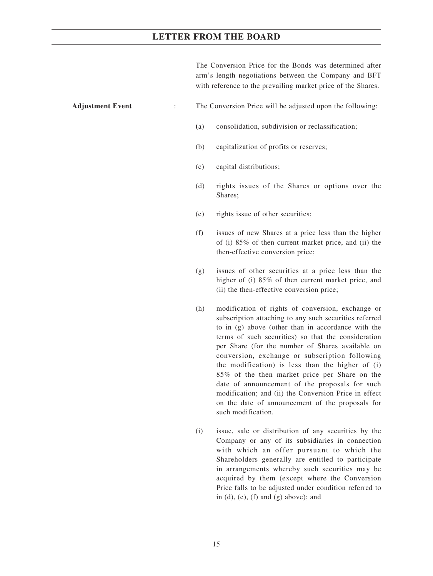The Conversion Price for the Bonds was determined after arm's length negotiations between the Company and BFT with reference to the prevailing market price of the Shares.

### **Adjustment Event** : The Conversion Price will be adjusted upon the following:

- **(**a) consolidation, subdivision or reclassification;
- (b) capitalization of profits or reserves;
- (c) capital distributions;
- (d) rights issues of the Shares or options over the Shares;
- (e) rights issue of other securities;
- (f) issues of new Shares at a price less than the higher of (i) 85% of then current market price, and (ii) the then-effective conversion price;
- (g) issues of other securities at a price less than the higher of (i) 85% of then current market price, and (ii) the then-effective conversion price;
- (h) modification of rights of conversion, exchange or subscription attaching to any such securities referred to in (g) above (other than in accordance with the terms of such securities) so that the consideration per Share (for the number of Shares available on conversion, exchange or subscription following the modification) is less than the higher of (i) 85% of the then market price per Share on the date of announcement of the proposals for such modification; and (ii) the Conversion Price in effect on the date of announcement of the proposals for such modification.
- (i) issue, sale or distribution of any securities by the Company or any of its subsidiaries in connection with which an offer pursuant to which the Shareholders generally are entitled to participate in arrangements whereby such securities may be acquired by them (except where the Conversion Price falls to be adjusted under condition referred to in  $(d)$ ,  $(e)$ ,  $(f)$  and  $(g)$  above); and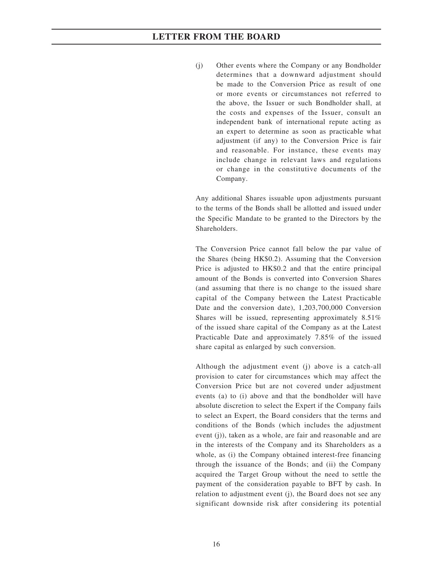(j) Other events where the Company or any Bondholder determines that a downward adjustment should be made to the Conversion Price as result of one or more events or circumstances not referred to the above, the Issuer or such Bondholder shall, at the costs and expenses of the Issuer, consult an independent bank of international repute acting as an expert to determine as soon as practicable what adjustment (if any) to the Conversion Price is fair and reasonable. For instance, these events may include change in relevant laws and regulations or change in the constitutive documents of the Company.

Any additional Shares issuable upon adjustments pursuant to the terms of the Bonds shall be allotted and issued under the Specific Mandate to be granted to the Directors by the Shareholders.

The Conversion Price cannot fall below the par value of the Shares (being HK\$0.2). Assuming that the Conversion Price is adjusted to HK\$0.2 and that the entire principal amount of the Bonds is converted into Conversion Shares (and assuming that there is no change to the issued share capital of the Company between the Latest Practicable Date and the conversion date), 1,203,700,000 Conversion Shares will be issued, representing approximately 8.51% of the issued share capital of the Company as at the Latest Practicable Date and approximately 7.85% of the issued share capital as enlarged by such conversion.

Although the adjustment event (j) above is a catch-all provision to cater for circumstances which may affect the Conversion Price but are not covered under adjustment events (a) to (i) above and that the bondholder will have absolute discretion to select the Expert if the Company fails to select an Expert, the Board considers that the terms and conditions of the Bonds (which includes the adjustment event (j)), taken as a whole, are fair and reasonable and are in the interests of the Company and its Shareholders as a whole, as (i) the Company obtained interest-free financing through the issuance of the Bonds; and (ii) the Company acquired the Target Group without the need to settle the payment of the consideration payable to BFT by cash. In relation to adjustment event (j), the Board does not see any significant downside risk after considering its potential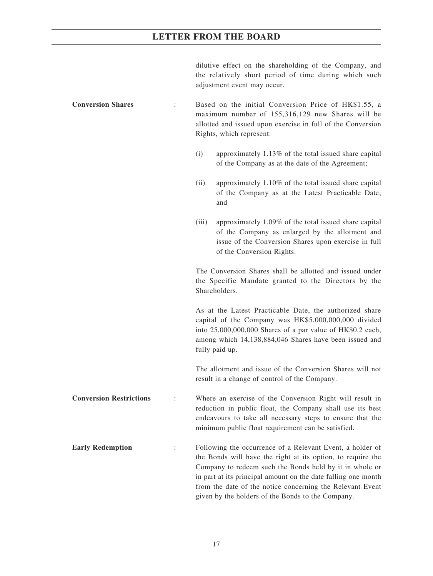dilutive effect on the shareholding of the Company, and the relatively short period of time during which such adjustment event may occur.

**Conversion Shares** : Based on the initial Conversion Price of HK\$1.55, a maximum number of 155,316,129 new Shares will be allotted and issued upon exercise in full of the Conversion Rights, which represent:

- (i) approximately 1.13% of the total issued share capital of the Company as at the date of the Agreement;
- (ii) approximately 1.10% of the total issued share capital of the Company as at the Latest Practicable Date; and
- (iii) approximately 1.09% of the total issued share capital of the Company as enlarged by the allotment and issue of the Conversion Shares upon exercise in full of the Conversion Rights.

The Conversion Shares shall be allotted and issued under the Specific Mandate granted to the Directors by the Shareholders.

As at the Latest Practicable Date, the authorized share capital of the Company was HK\$5,000,000,000 divided into 25,000,000,000 Shares of a par value of HK\$0.2 each, among which 14,138,884,046 Shares have been issued and fully paid up.

The allotment and issue of the Conversion Shares will not result in a change of control of the Company.

**Conversion Restrictions** : Where an exercise of the Conversion Right will result in reduction in public float, the Company shall use its best endeavours to take all necessary steps to ensure that the minimum public float requirement can be satisfied.

**Early Redemption** : Following the occurrence of a Relevant Event, a holder of the Bonds will have the right at its option, to require the Company to redeem such the Bonds held by it in whole or in part at its principal amount on the date falling one month from the date of the notice concerning the Relevant Event given by the holders of the Bonds to the Company.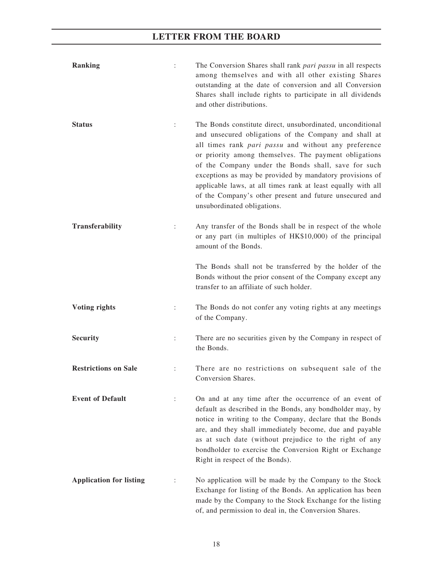| <b>Ranking</b>                 | $\vdots$             | The Conversion Shares shall rank pari passu in all respects<br>among themselves and with all other existing Shares<br>outstanding at the date of conversion and all Conversion<br>Shares shall include rights to participate in all dividends<br>and other distributions.                                                                                                                                                                                                                                         |
|--------------------------------|----------------------|-------------------------------------------------------------------------------------------------------------------------------------------------------------------------------------------------------------------------------------------------------------------------------------------------------------------------------------------------------------------------------------------------------------------------------------------------------------------------------------------------------------------|
| <b>Status</b>                  | $\ddot{\cdot}$       | The Bonds constitute direct, unsubordinated, unconditional<br>and unsecured obligations of the Company and shall at<br>all times rank pari passu and without any preference<br>or priority among themselves. The payment obligations<br>of the Company under the Bonds shall, save for such<br>exceptions as may be provided by mandatory provisions of<br>applicable laws, at all times rank at least equally with all<br>of the Company's other present and future unsecured and<br>unsubordinated obligations. |
| Transferability                | $\ddot{\cdot}$       | Any transfer of the Bonds shall be in respect of the whole<br>or any part (in multiples of HK\$10,000) of the principal<br>amount of the Bonds.                                                                                                                                                                                                                                                                                                                                                                   |
|                                |                      | The Bonds shall not be transferred by the holder of the<br>Bonds without the prior consent of the Company except any<br>transfer to an affiliate of such holder.                                                                                                                                                                                                                                                                                                                                                  |
| <b>Voting rights</b>           | $\ddot{\phantom{a}}$ | The Bonds do not confer any voting rights at any meetings<br>of the Company.                                                                                                                                                                                                                                                                                                                                                                                                                                      |
| <b>Security</b>                | $\ddot{\cdot}$       | There are no securities given by the Company in respect of<br>the Bonds.                                                                                                                                                                                                                                                                                                                                                                                                                                          |
| <b>Restrictions on Sale</b>    | $\ddot{\cdot}$       | There are no restrictions on subsequent sale of the<br>Conversion Shares.                                                                                                                                                                                                                                                                                                                                                                                                                                         |
| <b>Event of Default</b>        |                      | On and at any time after the occurrence of an event of<br>default as described in the Bonds, any bondholder may, by<br>notice in writing to the Company, declare that the Bonds<br>are, and they shall immediately become, due and payable<br>as at such date (without prejudice to the right of any<br>bondholder to exercise the Conversion Right or Exchange<br>Right in respect of the Bonds).                                                                                                                |
| <b>Application for listing</b> |                      | No application will be made by the Company to the Stock<br>Exchange for listing of the Bonds. An application has been<br>made by the Company to the Stock Exchange for the listing<br>of, and permission to deal in, the Conversion Shares.                                                                                                                                                                                                                                                                       |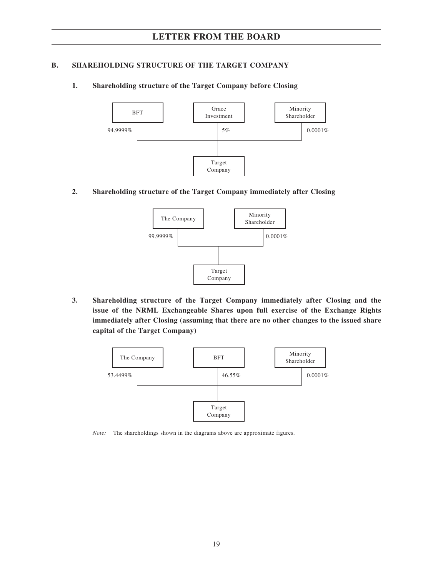## **B. SHAREHOLDING STRUCTURE OF THE TARGET COMPANY**

## **1. Shareholding structure of the Target Company before Closing**



**2. Shareholding structure of the Target Company immediately after Closing**



**3. Shareholding structure of the Target Company immediately after Closing and the issue of the NRML Exchangeable Shares upon full exercise of the Exchange Rights immediately after Closing (assuming that there are no other changes to the issued share capital of the Target Company)**



*Note:* The shareholdings shown in the diagrams above are approximate figures.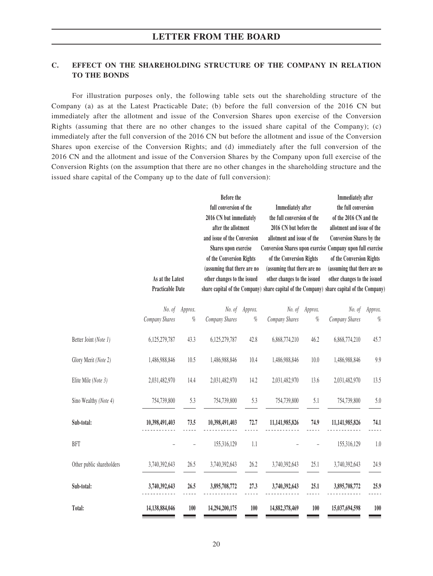## **C. EFFECT ON THE SHAREHOLDING STRUCTURE OF THE COMPANY IN RELATION TO THE BONDS**

For illustration purposes only, the following table sets out the shareholding structure of the Company (a) as at the Latest Practicable Date; (b) before the full conversion of the 2016 CN but immediately after the allotment and issue of the Conversion Shares upon exercise of the Conversion Rights (assuming that there are no other changes to the issued share capital of the Company); (c) immediately after the full conversion of the 2016 CN but before the allotment and issue of the Conversion Shares upon exercise of the Conversion Rights; and (d) immediately after the full conversion of the 2016 CN and the allotment and issue of the Conversion Shares by the Company upon full exercise of the Conversion Rights (on the assumption that there are no other changes in the shareholding structure and the issued share capital of the Company up to the date of full conversion):

|                           | As at the Latest<br><b>Practicable Date</b> |         | Before the<br>full conversion of the<br>2016 CN but immediately<br>after the allotment<br>and issue of the Conversion<br>Shares upon exercise<br>of the Conversion Rights<br>(assuming that there are no<br>other changes to the issued |         | <b>Immediately</b> after<br>the full conversion of the<br>2016 CN but before the<br>allotment and issue of the<br><b>Conversion Shares upon exercise</b><br>of the Conversion Rights<br>(assuming that there are no<br>other changes to the issued<br>share capital of the Company) share capital of the Company) share capital of the Company) |         | <b>Immediately</b> after<br>the full conversion<br>of the 2016 CN and the<br>allotment and issue of the<br><b>Conversion Shares by the</b><br>Company upon full exercise<br>of the Conversion Rights<br>(assuming that there are no<br>other changes to the issued |         |
|---------------------------|---------------------------------------------|---------|-----------------------------------------------------------------------------------------------------------------------------------------------------------------------------------------------------------------------------------------|---------|-------------------------------------------------------------------------------------------------------------------------------------------------------------------------------------------------------------------------------------------------------------------------------------------------------------------------------------------------|---------|--------------------------------------------------------------------------------------------------------------------------------------------------------------------------------------------------------------------------------------------------------------------|---------|
|                           | No. of                                      | Approx. | No. of                                                                                                                                                                                                                                  | Approx. | No. of                                                                                                                                                                                                                                                                                                                                          | Approx. | No. of                                                                                                                                                                                                                                                             | Approx. |
|                           | Company Shares                              | $\%$    | Company Shares                                                                                                                                                                                                                          | $\%$    | Company Shares                                                                                                                                                                                                                                                                                                                                  | $\%$    | Company Shares                                                                                                                                                                                                                                                     | $\%$    |
| Better Joint (Note 1)     | 6,125,279,787                               | 43.3    | 6,125,279,787                                                                                                                                                                                                                           | 42.8    | 6,868,774,210                                                                                                                                                                                                                                                                                                                                   | 46.2    | 6,868,774,210                                                                                                                                                                                                                                                      | 45.7    |
| Glory Merit (Note 2)      | 1,486,988,846                               | 10.5    | 1,486,988,846                                                                                                                                                                                                                           | 10.4    | 1,486,988,846                                                                                                                                                                                                                                                                                                                                   | 10.0    | 1,486,988,846                                                                                                                                                                                                                                                      | 9.9     |
| Elite Mile (Note 3)       | 2,031,482,970                               | 14.4    | 2,031,482,970                                                                                                                                                                                                                           | 14.2    | 2,031,482,970                                                                                                                                                                                                                                                                                                                                   | 13.6    | 2,031,482,970                                                                                                                                                                                                                                                      | 13.5    |
| Sino Wealthy (Note 4)     | 754,739,800                                 | 5.3     | 754,739,800                                                                                                                                                                                                                             | 5.3     | 754,739,800                                                                                                                                                                                                                                                                                                                                     | 5.1     | 754,739,800                                                                                                                                                                                                                                                        | 5.0     |
| Sub-total:                | 10,398,491,403                              | 73.5    | 10,398,491,403                                                                                                                                                                                                                          | 72.7    | 11,141,985,826                                                                                                                                                                                                                                                                                                                                  | 74.9    | 11,141,985,826                                                                                                                                                                                                                                                     | 74.1    |
| <b>BFT</b>                |                                             |         | 155,316,129                                                                                                                                                                                                                             | 1.1     |                                                                                                                                                                                                                                                                                                                                                 |         | 155,316,129                                                                                                                                                                                                                                                        | $1.0\,$ |
| Other public shareholders | 3,740,392,643                               | 26.5    | 3,740,392,643                                                                                                                                                                                                                           | 26.2    | 3,740,392,643                                                                                                                                                                                                                                                                                                                                   | 25.1    | 3,740,392,643                                                                                                                                                                                                                                                      | 24.9    |
| Sub-total:                | 3,740,392,643                               | 26.5    | 3,895,708,772                                                                                                                                                                                                                           | 27.3    | 3,740,392,643                                                                                                                                                                                                                                                                                                                                   | 25.1    | 3,895,708,772                                                                                                                                                                                                                                                      | 25.9    |
| Total:                    | 14,138,884,046                              | 100     | 14,294,200,175                                                                                                                                                                                                                          | 100     | 14,882,378,469                                                                                                                                                                                                                                                                                                                                  | 100     | 15,037,694,598                                                                                                                                                                                                                                                     | 100     |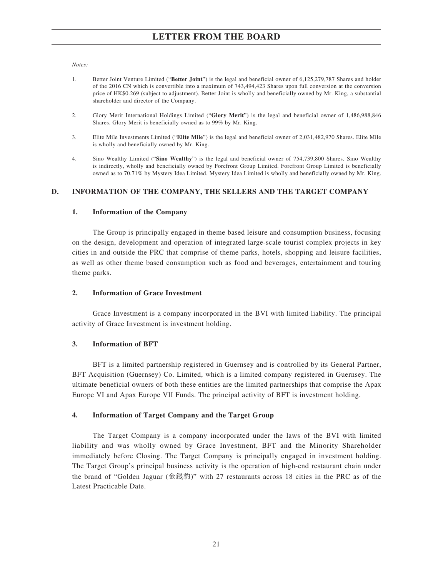*Notes:*

- 1. Better Joint Venture Limited ("**Better Joint**") is the legal and beneficial owner of 6,125,279,787 Shares and holder of the 2016 CN which is convertible into a maximum of 743,494,423 Shares upon full conversion at the conversion price of HK\$0.269 (subject to adjustment). Better Joint is wholly and beneficially owned by Mr. King, a substantial shareholder and director of the Company.
- 2. Glory Merit International Holdings Limited ("**Glory Merit**") is the legal and beneficial owner of 1,486,988,846 Shares. Glory Merit is beneficially owned as to 99% by Mr. King.
- 3. Elite Mile Investments Limited ("**Elite Mile**") is the legal and beneficial owner of 2,031,482,970 Shares. Elite Mile is wholly and beneficially owned by Mr. King.
- 4. Sino Wealthy Limited ("**Sino Wealthy**") is the legal and beneficial owner of 754,739,800 Shares. Sino Wealthy is indirectly, wholly and beneficially owned by Forefront Group Limited. Forefront Group Limited is beneficially owned as to 70.71% by Mystery Idea Limited. Mystery Idea Limited is wholly and beneficially owned by Mr. King.

## **D. INFORMATION OF THE COMPANY, THE SELLERS AND THE TARGET COMPANY**

### **1. Information of the Company**

The Group is principally engaged in theme based leisure and consumption business, focusing on the design, development and operation of integrated large-scale tourist complex projects in key cities in and outside the PRC that comprise of theme parks, hotels, shopping and leisure facilities, as well as other theme based consumption such as food and beverages, entertainment and touring theme parks.

## **2. Information of Grace Investment**

Grace Investment is a company incorporated in the BVI with limited liability. The principal activity of Grace Investment is investment holding.

### **3. Information of BFT**

BFT is a limited partnership registered in Guernsey and is controlled by its General Partner, BFT Acquisition (Guernsey) Co. Limited, which is a limited company registered in Guernsey. The ultimate beneficial owners of both these entities are the limited partnerships that comprise the Apax Europe VI and Apax Europe VII Funds. The principal activity of BFT is investment holding.

### **4. Information of Target Company and the Target Group**

The Target Company is a company incorporated under the laws of the BVI with limited liability and was wholly owned by Grace Investment, BFT and the Minority Shareholder immediately before Closing. The Target Company is principally engaged in investment holding. The Target Group's principal business activity is the operation of high-end restaurant chain under the brand of "Golden Jaguar (金錢豹)" with 27 restaurants across 18 cities in the PRC as of the Latest Practicable Date.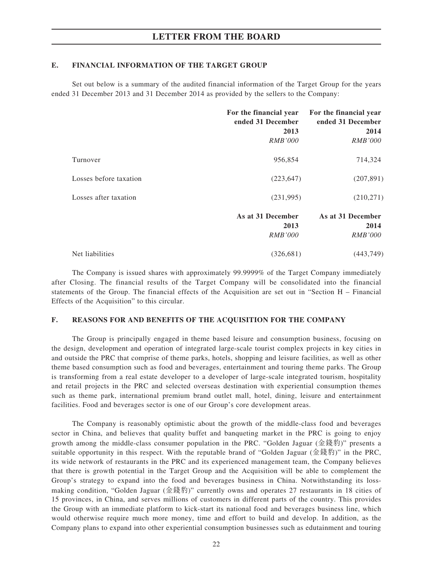### **E. FINANCIAL INFORMATION OF THE TARGET GROUP**

Set out below is a summary of the audited financial information of the Target Group for the years ended 31 December 2013 and 31 December 2014 as provided by the sellers to the Company:

|                        | For the financial year<br>ended 31 December<br>2013<br><i>RMB'000</i> | For the financial year<br>ended 31 December<br>2014<br><i>RMB'000</i> |
|------------------------|-----------------------------------------------------------------------|-----------------------------------------------------------------------|
| Turnover               | 956,854                                                               | 714,324                                                               |
| Losses before taxation | (223, 647)                                                            | (207, 891)                                                            |
| Losses after taxation  | (231,995)                                                             | (210, 271)                                                            |
|                        | As at 31 December<br>2013<br><i>RMB'000</i>                           | As at 31 December<br>2014<br><i>RMB'000</i>                           |
| Net liabilities        | (326, 681)                                                            | (443, 749)                                                            |

The Company is issued shares with approximately 99.9999% of the Target Company immediately after Closing. The financial results of the Target Company will be consolidated into the financial statements of the Group. The financial effects of the Acquisition are set out in "Section H – Financial Effects of the Acquisition" to this circular.

### **F. REASONS FOR AND BENEFITS OF THE ACQUISITION FOR THE COMPANY**

The Group is principally engaged in theme based leisure and consumption business, focusing on the design, development and operation of integrated large-scale tourist complex projects in key cities in and outside the PRC that comprise of theme parks, hotels, shopping and leisure facilities, as well as other theme based consumption such as food and beverages, entertainment and touring theme parks. The Group is transforming from a real estate developer to a developer of large-scale integrated tourism, hospitality and retail projects in the PRC and selected overseas destination with experiential consumption themes such as theme park, international premium brand outlet mall, hotel, dining, leisure and entertainment facilities. Food and beverages sector is one of our Group's core development areas.

The Company is reasonably optimistic about the growth of the middle-class food and beverages sector in China, and believes that quality buffet and banqueting market in the PRC is going to enjoy growth among the middle-class consumer population in the PRC. "Golden Jaguar (金錢豹)" presents a suitable opportunity in this respect. With the reputable brand of "Golden Jaguar (金錢豹)" in the PRC, its wide network of restaurants in the PRC and its experienced management team, the Company believes that there is growth potential in the Target Group and the Acquisition will be able to complement the Group's strategy to expand into the food and beverages business in China. Notwithstanding its lossmaking condition, "Golden Jaguar (金錢豹)" currently owns and operates 27 restaurants in 18 cities of 15 provinces, in China, and serves millions of customers in different parts of the country. This provides the Group with an immediate platform to kick-start its national food and beverages business line, which would otherwise require much more money, time and effort to build and develop. In addition, as the Company plans to expand into other experiential consumption businesses such as edutainment and touring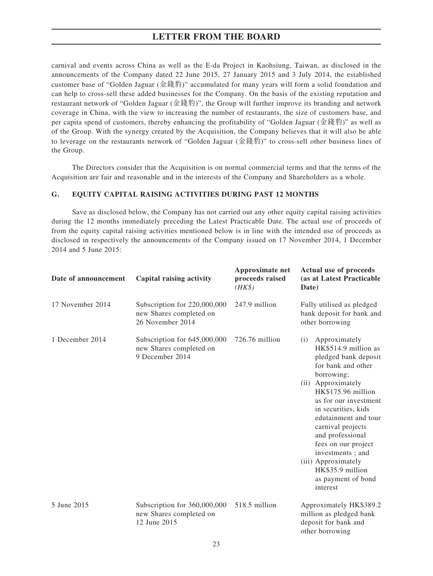carnival and events across China as well as the E-da Project in Kaohsiung, Taiwan, as disclosed in the announcements of the Company dated 22 June 2015, 27 January 2015 and 3 July 2014, the established customer base of "Golden Jaguar (金錢豹)" accumulated for many years will form a solid foundation and can help to cross-sell these added businesses for the Company. On the basis of the existing reputation and restaurant network of "Golden Jaguar (金錢豹)", the Group will further improve its branding and network coverage in China, with the view to increasing the number of restaurants, the size of customers base, and per capita spend of customers, thereby enhancing the profitability of "Golden Jaguar (金錢豹)" as well as of the Group. With the synergy created by the Acquisition, the Company believes that it will also be able to leverage on the restaurants network of "Golden Jaguar (金錢豹)" to cross-sell other business lines of the Group.

The Directors consider that the Acquisition is on normal commercial terms and that the terms of the Acquisition are fair and reasonable and in the interests of the Company and Shareholders as a whole.

### **G. EQUITY CAPITAL RAISING ACTIVITIES DURING PAST 12 MONTHS**

Save as disclosed below, the Company has not carried out any other equity capital raising activities during the 12 months immediately preceding the Latest Practicable Date. The actual use of proceeds of from the equity capital raising activities mentioned below is in line with the intended use of proceeds as disclosed in respectively the announcements of the Company issued on 17 November 2014, 1 December 2014 and 5 June 2015:

**Approximate net**

**Actual use of proceeds**

| Date of announcement | Capital raising activity                                                    | Approximate net<br>proceeds raised<br>$(HK\$ | Actual use of proceeds<br>(as at Latest Practicable<br>Date)                                                                                                                                                                                                                                                                                                                                  |  |
|----------------------|-----------------------------------------------------------------------------|----------------------------------------------|-----------------------------------------------------------------------------------------------------------------------------------------------------------------------------------------------------------------------------------------------------------------------------------------------------------------------------------------------------------------------------------------------|--|
| 17 November 2014     | Subscription for 220,000,000<br>new Shares completed on<br>26 November 2014 | 247.9 million                                | Fully utilised as pledged<br>bank deposit for bank and<br>other borrowing                                                                                                                                                                                                                                                                                                                     |  |
| 1 December 2014      | Subscription for 645,000,000<br>new Shares completed on<br>9 December 2014  | 726.76 million                               | Approximately<br>(i)<br>HK\$514.9 million as<br>pledged bank deposit<br>for bank and other<br>borrowing;<br>(ii) Approximately<br>HK\$175.96 million<br>as for our investment<br>in securities, kids<br>edutainment and tour<br>carnival projects<br>and professional<br>fees on our project<br>investments; and<br>(iii) Approximately<br>HK\$35.9 million<br>as payment of bond<br>interest |  |
| 5 June 2015          | Subscription for 360,000,000<br>new Shares completed on<br>12 June 2015     | 518.5 million                                | Approximately HK\$389.2<br>million as pledged bank<br>deposit for bank and<br>other borrowing                                                                                                                                                                                                                                                                                                 |  |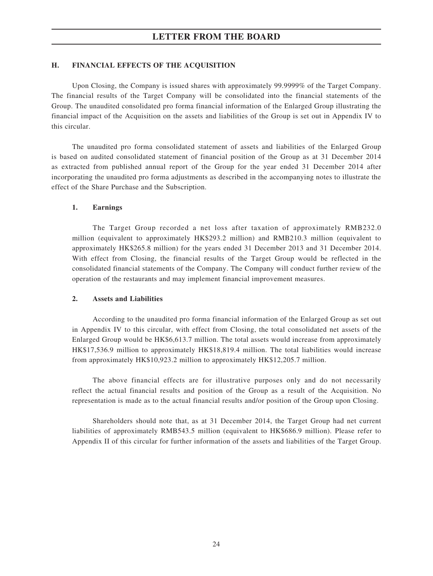### **H. FINANCIAL EFFECTS OF THE ACQUISITION**

Upon Closing, the Company is issued shares with approximately 99.9999% of the Target Company. The financial results of the Target Company will be consolidated into the financial statements of the Group. The unaudited consolidated pro forma financial information of the Enlarged Group illustrating the financial impact of the Acquisition on the assets and liabilities of the Group is set out in Appendix IV to this circular.

The unaudited pro forma consolidated statement of assets and liabilities of the Enlarged Group is based on audited consolidated statement of financial position of the Group as at 31 December 2014 as extracted from published annual report of the Group for the year ended 31 December 2014 after incorporating the unaudited pro forma adjustments as described in the accompanying notes to illustrate the effect of the Share Purchase and the Subscription.

#### **1. Earnings**

The Target Group recorded a net loss after taxation of approximately RMB232.0 million (equivalent to approximately HK\$293.2 million) and RMB210.3 million (equivalent to approximately HK\$265.8 million) for the years ended 31 December 2013 and 31 December 2014. With effect from Closing, the financial results of the Target Group would be reflected in the consolidated financial statements of the Company. The Company will conduct further review of the operation of the restaurants and may implement financial improvement measures.

#### **2. Assets and Liabilities**

According to the unaudited pro forma financial information of the Enlarged Group as set out in Appendix IV to this circular, with effect from Closing, the total consolidated net assets of the Enlarged Group would be HK\$6,613.7 million. The total assets would increase from approximately HK\$17,536.9 million to approximately HK\$18,819.4 million. The total liabilities would increase from approximately HK\$10,923.2 million to approximately HK\$12,205.7 million.

The above financial effects are for illustrative purposes only and do not necessarily reflect the actual financial results and position of the Group as a result of the Acquisition. No representation is made as to the actual financial results and/or position of the Group upon Closing.

Shareholders should note that, as at 31 December 2014, the Target Group had net current liabilities of approximately RMB543.5 million (equivalent to HK\$686.9 million). Please refer to Appendix II of this circular for further information of the assets and liabilities of the Target Group.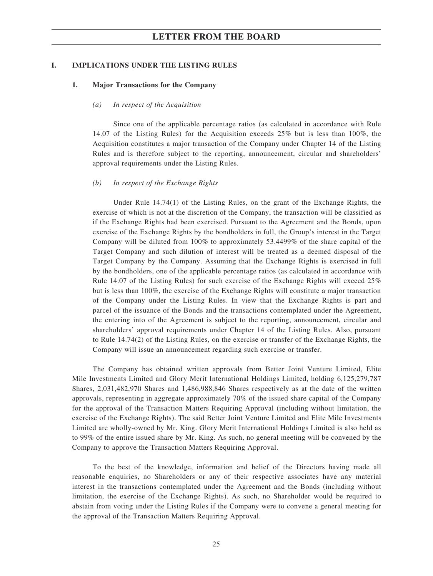#### **I. IMPLICATIONS UNDER THE LISTING RULES**

#### **1. Major Transactions for the Company**

#### *(a) In respect of the Acquisition*

Since one of the applicable percentage ratios (as calculated in accordance with Rule 14.07 of the Listing Rules) for the Acquisition exceeds 25% but is less than 100%, the Acquisition constitutes a major transaction of the Company under Chapter 14 of the Listing Rules and is therefore subject to the reporting, announcement, circular and shareholders' approval requirements under the Listing Rules.

#### *(b) In respect of the Exchange Rights*

Under Rule 14.74(1) of the Listing Rules, on the grant of the Exchange Rights, the exercise of which is not at the discretion of the Company, the transaction will be classified as if the Exchange Rights had been exercised. Pursuant to the Agreement and the Bonds, upon exercise of the Exchange Rights by the bondholders in full, the Group's interest in the Target Company will be diluted from 100% to approximately 53.4499% of the share capital of the Target Company and such dilution of interest will be treated as a deemed disposal of the Target Company by the Company. Assuming that the Exchange Rights is exercised in full by the bondholders, one of the applicable percentage ratios (as calculated in accordance with Rule 14.07 of the Listing Rules) for such exercise of the Exchange Rights will exceed 25% but is less than 100%, the exercise of the Exchange Rights will constitute a major transaction of the Company under the Listing Rules. In view that the Exchange Rights is part and parcel of the issuance of the Bonds and the transactions contemplated under the Agreement, the entering into of the Agreement is subject to the reporting, announcement, circular and shareholders' approval requirements under Chapter 14 of the Listing Rules. Also, pursuant to Rule 14.74(2) of the Listing Rules, on the exercise or transfer of the Exchange Rights, the Company will issue an announcement regarding such exercise or transfer.

The Company has obtained written approvals from Better Joint Venture Limited, Elite Mile Investments Limited and Glory Merit International Holdings Limited, holding 6,125,279,787 Shares, 2,031,482,970 Shares and 1,486,988,846 Shares respectively as at the date of the written approvals, representing in aggregate approximately 70% of the issued share capital of the Company for the approval of the Transaction Matters Requiring Approval (including without limitation, the exercise of the Exchange Rights). The said Better Joint Venture Limited and Elite Mile Investments Limited are wholly-owned by Mr. King. Glory Merit International Holdings Limited is also held as to 99% of the entire issued share by Mr. King. As such, no general meeting will be convened by the Company to approve the Transaction Matters Requiring Approval.

To the best of the knowledge, information and belief of the Directors having made all reasonable enquiries, no Shareholders or any of their respective associates have any material interest in the transactions contemplated under the Agreement and the Bonds (including without limitation, the exercise of the Exchange Rights). As such, no Shareholder would be required to abstain from voting under the Listing Rules if the Company were to convene a general meeting for the approval of the Transaction Matters Requiring Approval.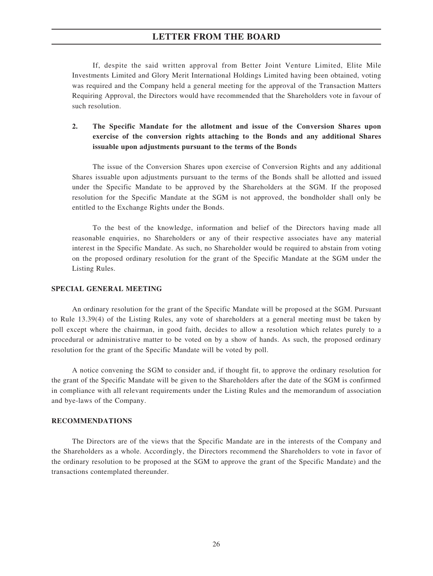If, despite the said written approval from Better Joint Venture Limited, Elite Mile Investments Limited and Glory Merit International Holdings Limited having been obtained, voting was required and the Company held a general meeting for the approval of the Transaction Matters Requiring Approval, the Directors would have recommended that the Shareholders vote in favour of such resolution.

## **2. The Specific Mandate for the allotment and issue of the Conversion Shares upon exercise of the conversion rights attaching to the Bonds and any additional Shares issuable upon adjustments pursuant to the terms of the Bonds**

The issue of the Conversion Shares upon exercise of Conversion Rights and any additional Shares issuable upon adjustments pursuant to the terms of the Bonds shall be allotted and issued under the Specific Mandate to be approved by the Shareholders at the SGM. If the proposed resolution for the Specific Mandate at the SGM is not approved, the bondholder shall only be entitled to the Exchange Rights under the Bonds.

To the best of the knowledge, information and belief of the Directors having made all reasonable enquiries, no Shareholders or any of their respective associates have any material interest in the Specific Mandate. As such, no Shareholder would be required to abstain from voting on the proposed ordinary resolution for the grant of the Specific Mandate at the SGM under the Listing Rules.

#### **SPECIAL GENERAL MEETING**

An ordinary resolution for the grant of the Specific Mandate will be proposed at the SGM. Pursuant to Rule 13.39(4) of the Listing Rules, any vote of shareholders at a general meeting must be taken by poll except where the chairman, in good faith, decides to allow a resolution which relates purely to a procedural or administrative matter to be voted on by a show of hands. As such, the proposed ordinary resolution for the grant of the Specific Mandate will be voted by poll.

A notice convening the SGM to consider and, if thought fit, to approve the ordinary resolution for the grant of the Specific Mandate will be given to the Shareholders after the date of the SGM is confirmed in compliance with all relevant requirements under the Listing Rules and the memorandum of association and bye-laws of the Company.

#### **RECOMMENDATIONS**

The Directors are of the views that the Specific Mandate are in the interests of the Company and the Shareholders as a whole. Accordingly, the Directors recommend the Shareholders to vote in favor of the ordinary resolution to be proposed at the SGM to approve the grant of the Specific Mandate) and the transactions contemplated thereunder.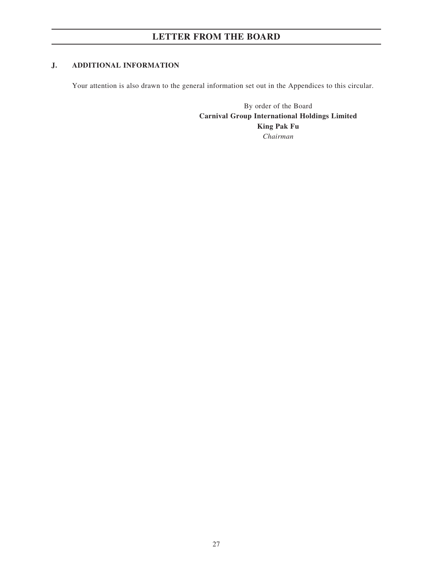## **J. ADDITIONAL INFORMATION**

Your attention is also drawn to the general information set out in the Appendices to this circular.

By order of the Board **Carnival Group International Holdings Limited King Pak Fu** *Chairman*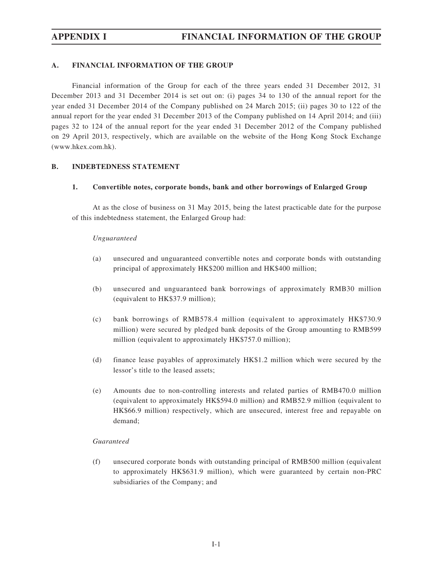## **A. FINANCIAL INFORMATION OF THE GROUP**

Financial information of the Group for each of the three years ended 31 December 2012, 31 December 2013 and 31 December 2014 is set out on: (i) pages 34 to 130 of the annual report for the year ended 31 December 2014 of the Company published on 24 March 2015; (ii) pages 30 to 122 of the annual report for the year ended 31 December 2013 of the Company published on 14 April 2014; and (iii) pages 32 to 124 of the annual report for the year ended 31 December 2012 of the Company published on 29 April 2013, respectively, which are available on the website of the Hong Kong Stock Exchange (www.hkex.com.hk).

### **B. INDEBTEDNESS STATEMENT**

### **1. Convertible notes, corporate bonds, bank and other borrowings of Enlarged Group**

At as the close of business on 31 May 2015, being the latest practicable date for the purpose of this indebtedness statement, the Enlarged Group had:

#### *Unguaranteed*

- (a) unsecured and unguaranteed convertible notes and corporate bonds with outstanding principal of approximately HK\$200 million and HK\$400 million;
- (b) unsecured and unguaranteed bank borrowings of approximately RMB30 million (equivalent to HK\$37.9 million);
- (c) bank borrowings of RMB578.4 million (equivalent to approximately HK\$730.9 million) were secured by pledged bank deposits of the Group amounting to RMB599 million (equivalent to approximately HK\$757.0 million);
- (d) finance lease payables of approximately HK\$1.2 million which were secured by the lessor's title to the leased assets;
- (e) Amounts due to non-controlling interests and related parties of RMB470.0 million (equivalent to approximately HK\$594.0 million) and RMB52.9 million (equivalent to HK\$66.9 million) respectively, which are unsecured, interest free and repayable on demand;

### *Guaranteed*

(f) unsecured corporate bonds with outstanding principal of RMB500 million (equivalent to approximately HK\$631.9 million), which were guaranteed by certain non-PRC subsidiaries of the Company; and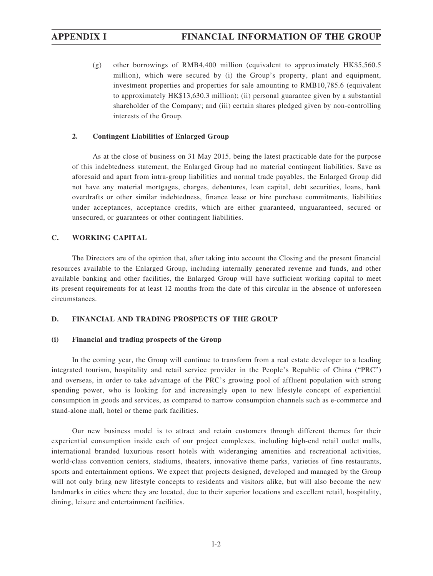(g) other borrowings of RMB4,400 million (equivalent to approximately HK\$5,560.5 million), which were secured by (i) the Group's property, plant and equipment, investment properties and properties for sale amounting to RMB10,785.6 (equivalent to approximately HK\$13,630.3 million); (ii) personal guarantee given by a substantial shareholder of the Company; and (iii) certain shares pledged given by non-controlling interests of the Group.

#### **2. Contingent Liabilities of Enlarged Group**

As at the close of business on 31 May 2015, being the latest practicable date for the purpose of this indebtedness statement, the Enlarged Group had no material contingent liabilities. Save as aforesaid and apart from intra-group liabilities and normal trade payables, the Enlarged Group did not have any material mortgages, charges, debentures, loan capital, debt securities, loans, bank overdrafts or other similar indebtedness, finance lease or hire purchase commitments, liabilities under acceptances, acceptance credits, which are either guaranteed, unguaranteed, secured or unsecured, or guarantees or other contingent liabilities.

## **C. WORKING CAPITAL**

The Directors are of the opinion that, after taking into account the Closing and the present financial resources available to the Enlarged Group, including internally generated revenue and funds, and other available banking and other facilities, the Enlarged Group will have sufficient working capital to meet its present requirements for at least 12 months from the date of this circular in the absence of unforeseen circumstances.

#### **D. FINANCIAL AND TRADING PROSPECTS OF THE GROUP**

#### **(i) Financial and trading prospects of the Group**

In the coming year, the Group will continue to transform from a real estate developer to a leading integrated tourism, hospitality and retail service provider in the People's Republic of China ("PRC") and overseas, in order to take advantage of the PRC's growing pool of affluent population with strong spending power, who is looking for and increasingly open to new lifestyle concept of experiential consumption in goods and services, as compared to narrow consumption channels such as e-commerce and stand-alone mall, hotel or theme park facilities.

Our new business model is to attract and retain customers through different themes for their experiential consumption inside each of our project complexes, including high-end retail outlet malls, international branded luxurious resort hotels with wideranging amenities and recreational activities, world-class convention centers, stadiums, theaters, innovative theme parks, varieties of fine restaurants, sports and entertainment options. We expect that projects designed, developed and managed by the Group will not only bring new lifestyle concepts to residents and visitors alike, but will also become the new landmarks in cities where they are located, due to their superior locations and excellent retail, hospitality, dining, leisure and entertainment facilities.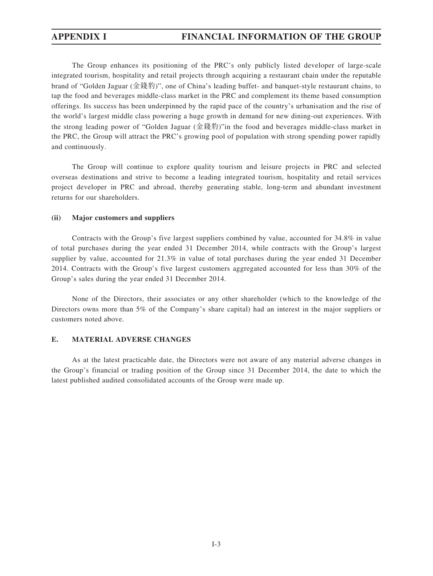The Group enhances its positioning of the PRC's only publicly listed developer of large-scale integrated tourism, hospitality and retail projects through acquiring a restaurant chain under the reputable brand of "Golden Jaguar (金錢豹)", one of China's leading buffet- and banquet-style restaurant chains, to tap the food and beverages middle-class market in the PRC and complement its theme based consumption offerings. Its success has been underpinned by the rapid pace of the country's urbanisation and the rise of the world's largest middle class powering a huge growth in demand for new dining-out experiences. With the strong leading power of "Golden Jaguar (金錢豹)"in the food and beverages middle-class market in the PRC, the Group will attract the PRC's growing pool of population with strong spending power rapidly and continuously.

The Group will continue to explore quality tourism and leisure projects in PRC and selected overseas destinations and strive to become a leading integrated tourism, hospitality and retail services project developer in PRC and abroad, thereby generating stable, long-term and abundant investment returns for our shareholders.

#### **(ii) Major customers and suppliers**

Contracts with the Group's five largest suppliers combined by value, accounted for 34.8% in value of total purchases during the year ended 31 December 2014, while contracts with the Group's largest supplier by value, accounted for 21.3% in value of total purchases during the year ended 31 December 2014. Contracts with the Group's five largest customers aggregated accounted for less than 30% of the Group's sales during the year ended 31 December 2014.

None of the Directors, their associates or any other shareholder (which to the knowledge of the Directors owns more than 5% of the Company's share capital) had an interest in the major suppliers or customers noted above.

#### **E. MATERIAL ADVERSE CHANGES**

As at the latest practicable date, the Directors were not aware of any material adverse changes in the Group's financial or trading position of the Group since 31 December 2014, the date to which the latest published audited consolidated accounts of the Group were made up.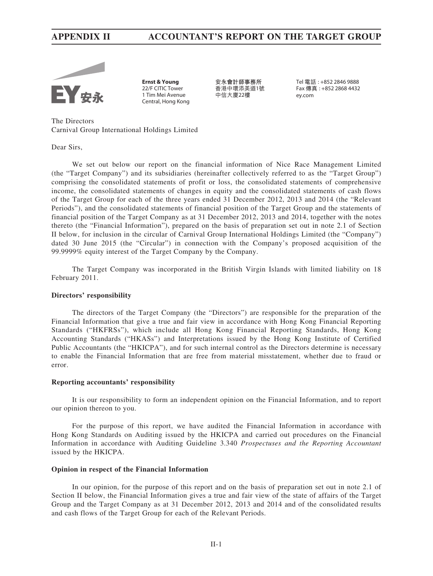# **APPENDIX II ACCOUNTANT'S REPORT ON THE TARGET GROUP**



**Ernst & Young** 22/F CITIC Tower 1 Tim Mei Avenue Central, Hong Kong

**安永會計師事務所** 香港中環添美道1號 中信大廈22樓

Tel 電話 : +852 2846 9888 Fax 傳真 : +852 2868 4432 ey.com

The Directors Carnival Group International Holdings Limited

Dear Sirs,

We set out below our report on the financial information of Nice Race Management Limited (the "Target Company") and its subsidiaries (hereinafter collectively referred to as the "Target Group") comprising the consolidated statements of profit or loss, the consolidated statements of comprehensive income, the consolidated statements of changes in equity and the consolidated statements of cash flows of the Target Group for each of the three years ended 31 December 2012, 2013 and 2014 (the "Relevant Periods"), and the consolidated statements of financial position of the Target Group and the statements of financial position of the Target Company as at 31 December 2012, 2013 and 2014, together with the notes thereto (the "Financial Information"), prepared on the basis of preparation set out in note 2.1 of Section II below, for inclusion in the circular of Carnival Group International Holdings Limited (the "Company") dated 30 June 2015 (the "Circular") in connection with the Company's proposed acquisition of the 99.9999% equity interest of the Target Company by the Company.

The Target Company was incorporated in the British Virgin Islands with limited liability on 18 February 2011.

#### **Directors' responsibility**

The directors of the Target Company (the "Directors") are responsible for the preparation of the Financial Information that give a true and fair view in accordance with Hong Kong Financial Reporting Standards ("HKFRSs"), which include all Hong Kong Financial Reporting Standards, Hong Kong Accounting Standards ("HKASs") and Interpretations issued by the Hong Kong Institute of Certified Public Accountants (the "HKICPA"), and for such internal control as the Directors determine is necessary to enable the Financial Information that are free from material misstatement, whether due to fraud or error.

#### **Reporting accountants' responsibility**

It is our responsibility to form an independent opinion on the Financial Information, and to report our opinion thereon to you.

For the purpose of this report, we have audited the Financial Information in accordance with Hong Kong Standards on Auditing issued by the HKICPA and carried out procedures on the Financial Information in accordance with Auditing Guideline 3.340 *Prospectuses and the Reporting Accountant*  issued by the HKICPA.

#### **Opinion in respect of the Financial Information**

In our opinion, for the purpose of this report and on the basis of preparation set out in note 2.1 of Section II below, the Financial Information gives a true and fair view of the state of affairs of the Target Group and the Target Company as at 31 December 2012, 2013 and 2014 and of the consolidated results and cash flows of the Target Group for each of the Relevant Periods.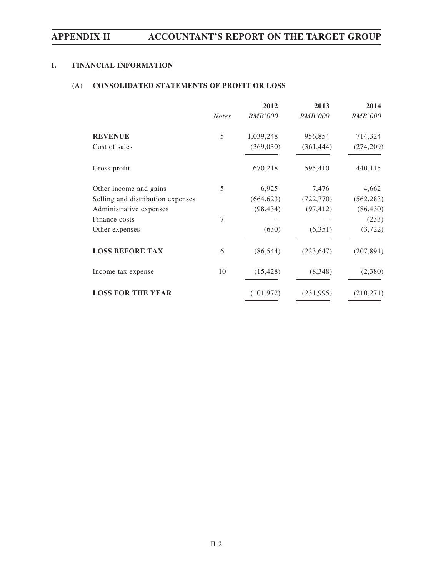# **APPENDIX II ACCOUNTANT'S REPORT ON THE TARGET GROUP**

## **I. FINANCIAL INFORMATION**

## **(A) CONSOLIDATED STATEMENTS OF PROFIT OR LOSS**

|                                   |              | 2012           | 2013           | 2014           |
|-----------------------------------|--------------|----------------|----------------|----------------|
|                                   | <b>Notes</b> | <i>RMB'000</i> | <i>RMB'000</i> | <i>RMB'000</i> |
| <b>REVENUE</b>                    | 5            | 1,039,248      | 956,854        | 714,324        |
| Cost of sales                     |              | (369,030)      | (361, 444)     | (274, 209)     |
| Gross profit                      |              | 670,218        | 595,410        | 440,115        |
| Other income and gains            | 5            | 6,925          | 7,476          | 4,662          |
| Selling and distribution expenses |              | (664, 623)     | (722, 770)     | (562, 283)     |
| Administrative expenses           |              | (98, 434)      | (97, 412)      | (86, 430)      |
| Finance costs                     | 7            |                |                | (233)          |
| Other expenses                    |              | (630)          | (6,351)        | (3, 722)       |
| <b>LOSS BEFORE TAX</b>            | 6            | (86, 544)      | (223, 647)     | (207, 891)     |
| Income tax expense                | 10           | (15, 428)      | (8,348)        | (2,380)        |
| <b>LOSS FOR THE YEAR</b>          |              | (101, 972)     | (231, 995)     | (210,271)      |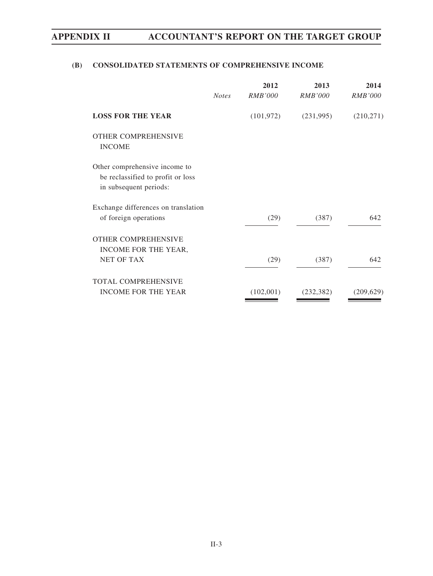# **APPENDIX II ACCOUNTANT'S REPORT ON THE TARGET GROUP**

# **(B) CONSOLIDATED STATEMENTS OF COMPREHENSIVE INCOME**

|                                                                                              | <b>Notes</b> | 2012<br><i>RMB'000</i> | 2013<br><b>RMB'000</b> | 2014<br><b>RMB'000</b> |
|----------------------------------------------------------------------------------------------|--------------|------------------------|------------------------|------------------------|
| <b>LOSS FOR THE YEAR</b>                                                                     |              | (101, 972)             | (231,995)              | (210, 271)             |
| <b>OTHER COMPREHENSIVE</b><br><b>INCOME</b>                                                  |              |                        |                        |                        |
| Other comprehensive income to<br>be reclassified to profit or loss<br>in subsequent periods: |              |                        |                        |                        |
| Exchange differences on translation<br>of foreign operations                                 |              | (29)                   | (387)                  | 642                    |
| <b>OTHER COMPREHENSIVE</b><br>INCOME FOR THE YEAR,<br><b>NET OF TAX</b>                      |              | (29)                   | (387)                  | 642                    |
| <b>TOTAL COMPREHENSIVE</b><br><b>INCOME FOR THE YEAR</b>                                     |              | (102,001)              | (232, 382)             | (209, 629)             |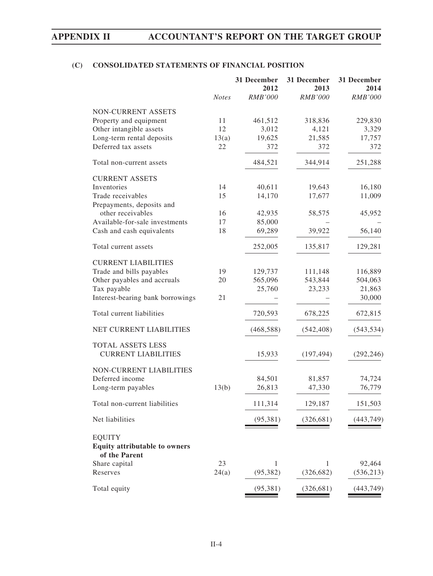# **(C) CONSOLIDATED STATEMENTS OF FINANCIAL POSITION**

|                                                                        | <b>Notes</b> | 31 December<br>2012<br><b>RMB'000</b> | 31 December<br>2013<br><b>RMB'000</b> | 31 December<br>2014<br><b>RMB'000</b> |
|------------------------------------------------------------------------|--------------|---------------------------------------|---------------------------------------|---------------------------------------|
|                                                                        |              |                                       |                                       |                                       |
| NON-CURRENT ASSETS                                                     |              |                                       |                                       |                                       |
| Property and equipment                                                 | 11           | 461,512                               | 318,836                               | 229,830                               |
| Other intangible assets                                                | 12           | 3,012                                 | 4,121                                 | 3,329                                 |
| Long-term rental deposits                                              | 13(a)        | 19,625                                | 21,585                                | 17,757                                |
| Deferred tax assets                                                    | 22           | 372                                   | 372                                   | 372                                   |
| Total non-current assets                                               |              | 484,521                               | 344,914                               | 251,288                               |
| <b>CURRENT ASSETS</b>                                                  |              |                                       |                                       |                                       |
| Inventories                                                            | 14           | 40,611                                | 19,643                                | 16,180                                |
| Trade receivables                                                      | 15           | 14,170                                | 17,677                                | 11,009                                |
| Prepayments, deposits and                                              |              |                                       |                                       |                                       |
| other receivables                                                      | 16           | 42,935                                | 58,575                                | 45,952                                |
| Available-for-sale investments                                         | 17           | 85,000                                |                                       |                                       |
| Cash and cash equivalents                                              | 18           | 69,289                                | 39,922                                | 56,140                                |
| Total current assets                                                   |              | 252,005                               | 135,817                               | 129,281                               |
| <b>CURRENT LIABILITIES</b>                                             |              |                                       |                                       |                                       |
| Trade and bills payables                                               | 19           | 129,737                               | 111,148                               | 116,889                               |
| Other payables and accruals                                            | 20           | 565,096                               | 543,844                               | 504,063                               |
| Tax payable                                                            |              | 25,760                                | 23,233                                | 21,863                                |
| Interest-bearing bank borrowings                                       | 21           |                                       |                                       | 30,000                                |
| Total current liabilities                                              |              | 720,593                               | 678,225                               | 672,815                               |
| NET CURRENT LIABILITIES                                                |              | (468, 588)                            | (542, 408)                            | (543, 534)                            |
| TOTAL ASSETS LESS<br><b>CURRENT LIABILITIES</b>                        |              | 15,933                                | (197, 494)                            | (292, 246)                            |
| NON-CURRENT LIABILITIES                                                |              |                                       |                                       |                                       |
| Deferred income                                                        |              | 84,501                                | 81,857                                | 74,724                                |
| Long-term payables                                                     | 13(b)        | 26,813                                | 47,330                                | 76,779                                |
| Total non-current liabilities                                          |              | 111,314                               | 129,187                               | 151,503                               |
| Net liabilities                                                        |              | (95, 381)                             | (326, 681)                            | (443, 749)                            |
|                                                                        |              |                                       |                                       |                                       |
| <b>EQUITY</b><br><b>Equity attributable to owners</b><br>of the Parent |              |                                       |                                       |                                       |
| Share capital                                                          | 23           | 1                                     | $\mathbf{1}$                          | 92,464                                |
| Reserves                                                               | 24(a)        | (95, 382)                             | (326, 682)                            | (536, 213)                            |
| Total equity                                                           |              | (95, 381)                             | (326, 681)                            | (443, 749)                            |
|                                                                        |              |                                       |                                       |                                       |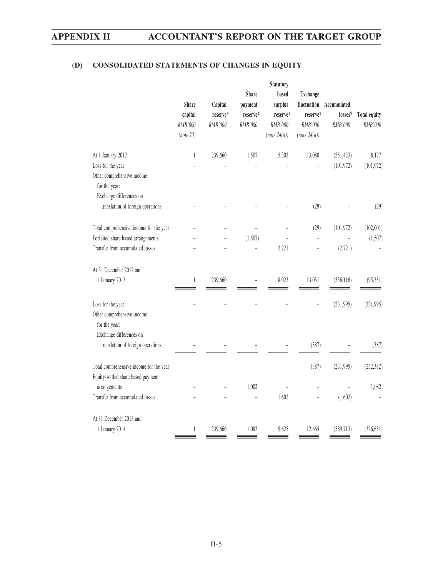# **(D) CONSOLIDATED STATEMENTS OF CHANGES IN EQUITY**

|                                                                                                                   |                                                 |                                | <b>Share</b>                   | <b>Statutory</b><br>based                      | <b>Exchange</b>                                    |                                   |                                |
|-------------------------------------------------------------------------------------------------------------------|-------------------------------------------------|--------------------------------|--------------------------------|------------------------------------------------|----------------------------------------------------|-----------------------------------|--------------------------------|
|                                                                                                                   | <b>Share</b><br>capital<br>RMB'000<br>(note 23) | Capital<br>reserve*<br>RMB'000 | payment<br>reserve*<br>RMB'000 | surplus<br>reserve*<br>RMB'000<br>(note 24(a)) | fluctuation<br>reserve*<br>RMB'000<br>(note 24(a)) | Accumulated<br>losses*<br>RMB'000 | <b>Total equity</b><br>RMB'000 |
| At 1 January 2012<br>Loss for the year<br>Other comprehensive income<br>for the year:                             | $\mathbf{1}$                                    | 239,660                        | 1,507                          | 5,302                                          | 13,080                                             | (251, 423)<br>(101, 972)          | 8,127<br>(101, 972)            |
| Exchange differences on<br>translation of foreign operations                                                      |                                                 |                                |                                |                                                | (29)                                               |                                   | (29)                           |
| Total comprehensive income for the year<br>Forfeited share based arrangements<br>Transfer from accumulated losses |                                                 |                                | (1,507)<br>$\overline{a}$      | 2,721                                          | (29)<br>$\overline{a}$                             | (101, 972)<br>(2,721)             | (102,001)<br>(1,507)           |
| At 31 December 2012 and<br>1 January 2013                                                                         | 1                                               | 239,660                        |                                | 8,023                                          | 13,051                                             | (356, 116)                        | (95, 381)                      |
| Loss for the year<br>Other comprehensive income<br>for the year:                                                  |                                                 |                                |                                |                                                |                                                    | (231,995)                         | (231, 995)                     |
| Exchange differences on<br>translation of foreign operations                                                      |                                                 |                                |                                |                                                | (387)                                              |                                   | (387)                          |
| Total comprehensive income for the year<br>Equity-settled share based payment                                     |                                                 |                                |                                |                                                | (387)                                              | (231, 995)                        | (232, 382)                     |
| arrangements<br>Transfer from accumulated losses                                                                  |                                                 |                                | 1,082                          | 1,602                                          | L,                                                 | (1,602)                           | 1,082                          |
| At 31 December 2013 and<br>1 January 2014                                                                         | $\mathbf{1}$                                    | 239,660                        | 1,082                          | 9,625                                          | 12,664                                             | (589, 713)                        | (326, 681)                     |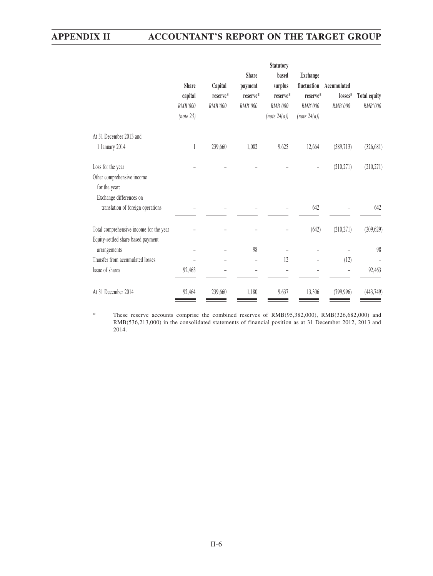|                                                                               | <b>Share</b><br>capital<br>RMB'000<br>(note 23) | Capital<br>reserve*<br>RMB'000 | <b>Share</b><br>payment<br>reserve*<br>RMB'000 | <b>Statutory</b><br>based<br>surplus<br>reserve*<br>RMB'000<br>(note 24(a)) | <b>Exchange</b><br>fluctuation<br>reserve*<br>RMB'000<br>(note 24(a)) | Accumulated<br>losses*<br>RMB'000 | <b>Total equity</b><br>RMB'000 |
|-------------------------------------------------------------------------------|-------------------------------------------------|--------------------------------|------------------------------------------------|-----------------------------------------------------------------------------|-----------------------------------------------------------------------|-----------------------------------|--------------------------------|
| At 31 December 2013 and                                                       |                                                 |                                |                                                |                                                                             |                                                                       |                                   |                                |
| 1 January 2014                                                                | $\mathbf{1}$                                    | 239,660                        | 1,082                                          | 9,625                                                                       | 12,664                                                                | (589, 713)                        | (326, 681)                     |
| Loss for the year                                                             |                                                 |                                |                                                |                                                                             |                                                                       | (210, 271)                        | (210, 271)                     |
| Other comprehensive income<br>for the year:<br>Exchange differences on        |                                                 |                                |                                                |                                                                             |                                                                       |                                   |                                |
| translation of foreign operations                                             |                                                 |                                |                                                |                                                                             | 642                                                                   |                                   | 642                            |
| Total comprehensive income for the year<br>Equity-settled share based payment |                                                 |                                |                                                |                                                                             | (642)                                                                 | (210, 271)                        | (209, 629)                     |
| arrangements                                                                  |                                                 |                                | 98                                             |                                                                             |                                                                       |                                   | 98                             |
| Transfer from accumulated losses                                              |                                                 |                                |                                                | 12                                                                          |                                                                       | (12)                              |                                |
| Issue of shares                                                               | 92,463                                          |                                |                                                |                                                                             |                                                                       |                                   | 92,463                         |
| At 31 December 2014                                                           | 92,464                                          | 239,660                        | 1,180                                          | 9,637                                                                       | 13,306                                                                | (799, 996)                        | (443, 749)                     |

\* These reserve accounts comprise the combined reserves of RMB(95,382,000), RMB(326,682,000) and RMB(536,213,000) in the consolidated statements of financial position as at 31 December 2012, 2013 and 2014.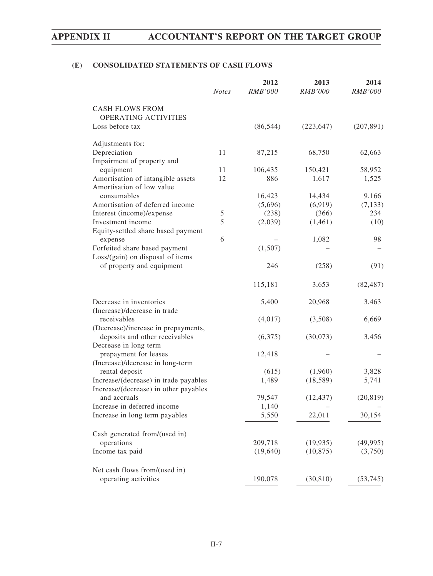# **(E) CONSOLIDATED STATEMENTS OF CASH FLOWS**

|                                                | <b>Notes</b> | 2012<br><b>RMB'000</b> | 2013<br><b>RMB'000</b> | 2014<br><b>RMB'000</b> |
|------------------------------------------------|--------------|------------------------|------------------------|------------------------|
|                                                |              |                        |                        |                        |
| <b>CASH FLOWS FROM</b>                         |              |                        |                        |                        |
| <b>OPERATING ACTIVITIES</b><br>Loss before tax |              |                        | (223, 647)             |                        |
|                                                |              | (86, 544)              |                        | (207, 891)             |
| Adjustments for:                               |              |                        |                        |                        |
| Depreciation                                   | 11           | 87,215                 | 68,750                 | 62,663                 |
| Impairment of property and                     |              |                        |                        |                        |
| equipment                                      | 11           | 106,435                | 150,421                | 58,952                 |
| Amortisation of intangible assets              | 12           | 886                    | 1,617                  | 1,525                  |
| Amortisation of low value                      |              |                        |                        |                        |
| consumables                                    |              | 16,423                 | 14,434                 | 9,166                  |
| Amortisation of deferred income                |              | (5,696)                | (6,919)                | (7, 133)               |
| Interest (income)/expense                      | 5            | (238)                  | (366)                  | 234                    |
| Investment income                              | 5            | (2,039)                | (1,461)                | (10)                   |
| Equity-settled share based payment             |              |                        |                        |                        |
| expense                                        | 6            |                        | 1,082                  | 98                     |
| Forfeited share based payment                  |              | (1,507)                |                        |                        |
| Loss/(gain) on disposal of items               |              |                        |                        |                        |
| of property and equipment                      |              | 246                    | (258)                  | (91)                   |
|                                                |              | 115,181                | 3,653                  | (82, 487)              |
| Decrease in inventories                        |              | 5,400                  | 20,968                 | 3,463                  |
| (Increase)/decrease in trade                   |              |                        |                        |                        |
| receivables                                    |              | (4,017)                | (3,508)                | 6,669                  |
| (Decrease)/increase in prepayments,            |              |                        |                        |                        |
| deposits and other receivables                 |              | (6,375)                | (30,073)               | 3,456                  |
| Decrease in long term                          |              |                        |                        |                        |
| prepayment for leases                          |              | 12,418                 |                        |                        |
| (Increase)/decrease in long-term               |              |                        |                        |                        |
| rental deposit                                 |              | (615)                  | (1,960)                | 3,828                  |
| Increase/(decrease) in trade payables          |              | 1,489                  | (18, 589)              | 5,741                  |
| Increase/(decrease) in other payables          |              |                        |                        |                        |
| and accruals                                   |              | 79,547                 | (12, 437)              | (20, 819)              |
| Increase in deferred income                    |              | 1,140                  |                        |                        |
| Increase in long term payables                 |              | 5,550                  | 22,011                 | 30,154                 |
| Cash generated from/(used in)                  |              |                        |                        |                        |
| operations                                     |              | 209,718                | (19, 935)              | (49, 995)              |
| Income tax paid                                |              | (19,640)               | (10, 875)              | (3,750)                |
|                                                |              |                        |                        |                        |
| Net cash flows from/(used in)                  |              |                        |                        |                        |
| operating activities                           |              | 190,078                | (30, 810)              | (53,745)               |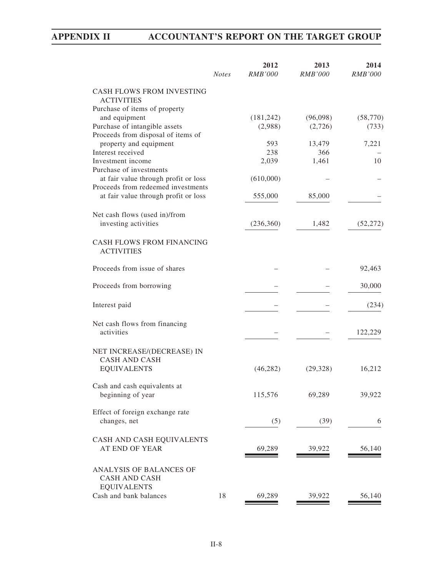|                                                       | <b>Notes</b> | 2012<br><b>RMB'000</b> | 2013<br><b>RMB'000</b> | 2014<br><b>RMB'000</b> |
|-------------------------------------------------------|--------------|------------------------|------------------------|------------------------|
| <b>CASH FLOWS FROM INVESTING</b><br><b>ACTIVITIES</b> |              |                        |                        |                        |
| Purchase of items of property                         |              |                        |                        |                        |
| and equipment                                         |              | (181, 242)             | (96,098)               | (58, 770)              |
| Purchase of intangible assets                         |              | (2,988)                | (2,726)                | (733)                  |
| Proceeds from disposal of items of                    |              |                        |                        |                        |
| property and equipment                                |              | 593                    | 13,479                 | 7,221                  |
| Interest received                                     |              | 238                    | 366                    |                        |
| Investment income<br>Purchase of investments          |              | 2,039                  | 1,461                  | 10                     |
| at fair value through profit or loss                  |              | (610,000)              |                        |                        |
| Proceeds from redeemed investments                    |              |                        |                        |                        |
| at fair value through profit or loss                  |              | 555,000                | 85,000                 |                        |
|                                                       |              |                        |                        |                        |
| Net cash flows (used in)/from                         |              |                        |                        |                        |
| investing activities                                  |              | (236, 360)             | 1,482                  | (52, 272)              |
|                                                       |              |                        |                        |                        |
| <b>CASH FLOWS FROM FINANCING</b><br><b>ACTIVITIES</b> |              |                        |                        |                        |
| Proceeds from issue of shares                         |              |                        |                        | 92,463                 |
| Proceeds from borrowing                               |              |                        |                        | 30,000                 |
| Interest paid                                         |              |                        |                        | (234)                  |
| Net cash flows from financing<br>activities           |              |                        |                        | 122,229                |
|                                                       |              |                        |                        |                        |
| NET INCREASE/(DECREASE) IN<br><b>CASH AND CASH</b>    |              |                        |                        |                        |
| <b>EQUIVALENTS</b>                                    |              | (46, 282)              | (29, 328)              | 16,212                 |
|                                                       |              |                        |                        |                        |
| Cash and cash equivalents at<br>beginning of year     |              | 115,576                | 69,289                 | 39,922                 |
| Effect of foreign exchange rate                       |              |                        |                        |                        |
| changes, net                                          |              | (5)                    | (39)                   | 6                      |
| CASH AND CASH EQUIVALENTS                             |              |                        |                        |                        |
| AT END OF YEAR                                        |              | 69,289                 | 39,922                 | 56,140                 |
|                                                       |              |                        |                        |                        |
| ANALYSIS OF BALANCES OF<br><b>CASH AND CASH</b>       |              |                        |                        |                        |
| <b>EQUIVALENTS</b>                                    |              |                        |                        |                        |
| Cash and bank balances                                | 18           | 69,289                 | 39,922                 | 56,140                 |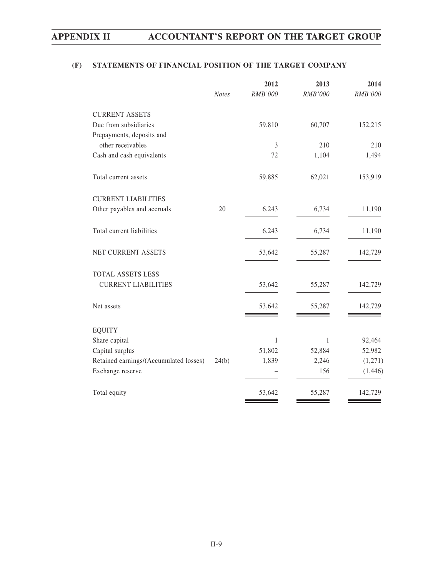# **(F) STATEMENTS OF FINANCIAL POSITION OF THE TARGET COMPANY**

|                                        |              | 2012           | 2013    | 2014    |
|----------------------------------------|--------------|----------------|---------|---------|
|                                        | <b>Notes</b> | RMB'000        | RMB'000 | RMB'000 |
| <b>CURRENT ASSETS</b>                  |              |                |         |         |
| Due from subsidiaries                  |              | 59,810         | 60,707  | 152,215 |
| Prepayments, deposits and              |              |                |         |         |
| other receivables                      |              | $\mathfrak{Z}$ | 210     | 210     |
| Cash and cash equivalents              |              | 72             | 1,104   | 1,494   |
| Total current assets                   |              | 59,885         | 62,021  | 153,919 |
| <b>CURRENT LIABILITIES</b>             |              |                |         |         |
| Other payables and accruals            | 20           | 6,243          | 6,734   | 11,190  |
| Total current liabilities              |              | 6,243          | 6,734   | 11,190  |
| NET CURRENT ASSETS                     |              | 53,642         | 55,287  | 142,729 |
| TOTAL ASSETS LESS                      |              |                |         |         |
| <b>CURRENT LIABILITIES</b>             |              | 53,642         | 55,287  | 142,729 |
| Net assets                             |              | 53,642         | 55,287  | 142,729 |
| <b>EQUITY</b>                          |              |                |         |         |
| Share capital                          |              | $\mathbf{1}$   | 1       | 92,464  |
| Capital surplus                        |              | 51,802         | 52,884  | 52,982  |
| Retained earnings/(Accumulated losses) | 24(b)        | 1,839          | 2,246   | (1,271) |
| Exchange reserve                       |              |                | 156     | (1,446) |
| Total equity                           |              | 53,642         | 55,287  | 142,729 |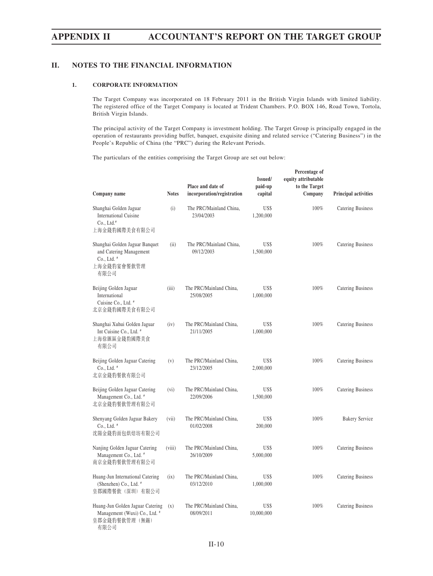# **II. NOTES TO THE FINANCIAL INFORMATION**

### **1. CORPORATE INFORMATION**

The Target Company was incorporated on 18 February 2011 in the British Virgin Islands with limited liability. The registered office of the Target Company is located at Trident Chambers. P.O. BOX 146, Road Town, Tortola, British Virgin Islands.

The principal activity of the Target Company is investment holding. The Target Group is principally engaged in the operation of restaurants providing buffet, banquet, exquisite dining and related service ("Catering Business") in the People's Republic of China (the "PRC") during the Relevant Periods.

 **Percentage of**

The particulars of the entities comprising the Target Group are set out below:

| Company name                                                                                    | <b>Notes</b> | Place and date of<br>incorporation/registration | Issued/<br>paid-up<br>capital | equity attributable<br>to the Target<br>Company | <b>Principal activities</b> |
|-------------------------------------------------------------------------------------------------|--------------|-------------------------------------------------|-------------------------------|-------------------------------------------------|-----------------------------|
| Shanghai Golden Jaguar<br><b>International Cuisine</b><br>$Co., Ltd.*$<br>上海金錢豹國際美食有限公司         | (i)          | The PRC/Mainland China,<br>23/04/2003           | US\$<br>1,200,000             | 100%                                            | Catering Business           |
| Shanghai Golden Jaguar Banquet<br>and Catering Management<br>Co., Ltd. #<br>上海金錢豹宴會餐飲管理<br>有限公司 | (ii)         | The PRC/Mainland China,<br>09/12/2003           | US\$<br>1,500,000             | 100%                                            | Catering Business           |
| Beijing Golden Jaguar<br>International<br>Cuisine Co., Ltd. <sup>#</sup><br>北京金錢豹國際美食有限公司       | (iii)        | The PRC/Mainland China,<br>25/08/2005           | US\$<br>1,000,000             | 100%                                            | Catering Business           |
| Shanghai Xuhui Golden Jaguar<br>Int Cuisine Co., Ltd. #<br>上海徐匯區金錢豹國際美食<br>有限公司                 | (iv)         | The PRC/Mainland China,<br>21/11/2005           | US\$<br>1,000,000             | 100%                                            | Catering Business           |
| Beijing Golden Jaguar Catering<br>Co., Ltd. #<br>北京金錢豹餐飲有限公司                                    | (v)          | The PRC/Mainland China,<br>23/12/2005           | US\$<br>2,000,000             | 100%                                            | Catering Business           |
| Beijing Golden Jaguar Catering<br>Management Co., Ltd. #<br>北京金錢豹餐飲管理有限公司                       | $(v_i)$      | The PRC/Mainland China,<br>22/09/2006           | US\$<br>1,500,000             | 100%                                            | Catering Business           |
| Shenyang Golden Jaguar Bakery<br>Co., Ltd. #<br>沈陽金錢豹面包烘焙坊有限公司                                  | (vii)        | The PRC/Mainland China,<br>01/02/2008           | US\$<br>200,000               | 100%                                            | <b>Bakery Service</b>       |
| Nanjing Golden Jaguar Catering<br>Management Co., Ltd. #<br>南京金錢豹餐飲管理有限公司                       | (viii)       | The PRC/Mainland China,<br>26/10/2009           | US\$<br>5,000,000             | 100%                                            | Catering Business           |
| Huang-Jun International Catering<br>(Shenzhen) Co., Ltd. #<br>皇郡國際餐飲(深圳)有限公司                    | (ix)         | The PRC/Mainland China,<br>03/12/2010           | US\$<br>1,000,000             | 100%                                            | Catering Business           |
| Huang-Jun Golden Jaguar Catering<br>Management (Wuxi) Co., Ltd. #<br>皇郡金錢豹餐飲管理(無錫)<br>有限公司      | (x)          | The PRC/Mainland China,<br>08/09/2011           | US\$<br>10,000,000            | 100%                                            | <b>Catering Business</b>    |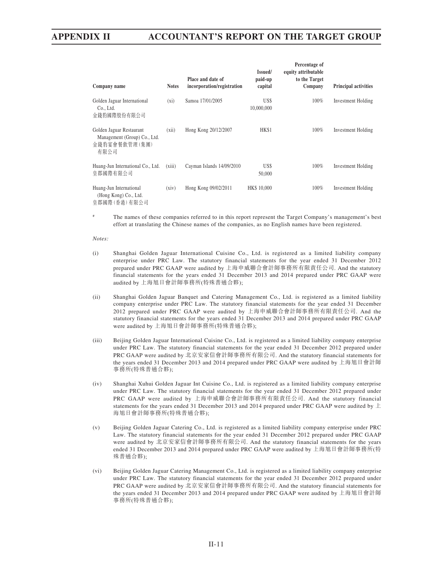| Company name                                                                      | <b>Notes</b> | Place and date of<br>incorporation/registration | Issued/<br>paid-up<br>capital | Percentage of<br>equity attributable<br>to the Target<br>Company | <b>Principal activities</b> |
|-----------------------------------------------------------------------------------|--------------|-------------------------------------------------|-------------------------------|------------------------------------------------------------------|-----------------------------|
| Golden Jaguar International<br>Co., Ltd.<br>金錢豹國際股份有限公司                           | $(x_i)$      | Samoa 17/01/2005                                | US\$<br>10,000,000            | 100%                                                             | Investment Holding          |
| Golden Jaguar Restaurant<br>Management (Group) Co., Ltd.<br>金錢豹宴會餐飲管理(集團)<br>有限公司 | (xii)        | Hong Kong 20/12/2007                            | HK\$1                         | 100%                                                             | Investment Holding          |
| Huang-Jun International Co., Ltd.<br>皇郡國際有限公司                                     | (xiii)       | Cayman Islands 14/09/2010                       | US\$<br>50,000                | 100%                                                             | Investment Holding          |
| Huang-Jun International<br>(Hong Kong) Co., Ltd.<br>皇郡國際(香港)有限公司                  | (xiv)        | Hong Kong 09/02/2011                            | HK\$ 10,000                   | 100%                                                             | Investment Holding          |

The names of these companies referred to in this report represent the Target Company's management's best effort at translating the Chinese names of the companies, as no English names have been registered.

#### *Notes:*

- (i) Shanghai Golden Jaguar International Cuisine Co., Ltd. is registered as a limited liability company enterprise under PRC Law. The statutory financial statements for the year ended 31 December 2012 prepared under PRC GAAP were audited by 上海申威聯合會計師事務所有限責任公司. And the statutory financial statements for the years ended 31 December 2013 and 2014 prepared under PRC GAAP were audited by 上海旭日會計師事務所(特殊普通合夥);
- (ii) Shanghai Golden Jaguar Banquet and Catering Management Co., Ltd. is registered as a limited liability company enterprise under PRC Law. The statutory financial statements for the year ended 31 December 2012 prepared under PRC GAAP were audited by 上海申威聯合會計師事務所有限責任公司. And the statutory financial statements for the years ended 31 December 2013 and 2014 prepared under PRC GAAP were audited by 上海旭日會計師事務所(特殊普通合夥);
- (iii) Beijing Golden Jaguar International Cuisine Co., Ltd. is registered as a limited liability company enterprise under PRC Law. The statutory financial statements for the year ended 31 December 2012 prepared under PRC GAAP were audited by 北京安家信會計師事務所有限公司. And the statutory financial statements for the years ended 31 December 2013 and 2014 prepared under PRC GAAP were audited by 上海旭日會計師 事務所(特殊普通合夥);
- (iv) Shanghai Xuhui Golden Jaguar Int Cuisine Co., Ltd. is registered as a limited liability company enterprise under PRC Law. The statutory financial statements for the year ended 31 December 2012 prepared under PRC GAAP were audited by 上海申威聯合會計師事務所有限責任公司. And the statutory financial statements for the years ended 31 December 2013 and 2014 prepared under PRC GAAP were audited by 上 海旭日會計師事務所(特殊普通合夥);
- (v) Beijing Golden Jaguar Catering Co., Ltd. is registered as a limited liability company enterprise under PRC Law. The statutory financial statements for the year ended 31 December 2012 prepared under PRC GAAP were audited by 北京安家信會計師事務所有限公司. And the statutory financial statements for the years ended 31 December 2013 and 2014 prepared under PRC GAAP were audited by 上海旭日會計師事務所(特 殊普通合夥);
- (vi) Beijing Golden Jaguar Catering Management Co., Ltd. is registered as a limited liability company enterprise under PRC Law. The statutory financial statements for the year ended 31 December 2012 prepared under PRC GAAP were audited by 北京安家信會計師事務所有限公司. And the statutory financial statements for the years ended 31 December 2013 and 2014 prepared under PRC GAAP were audited by 上海旭日會計師 事務所(特殊普通合夥);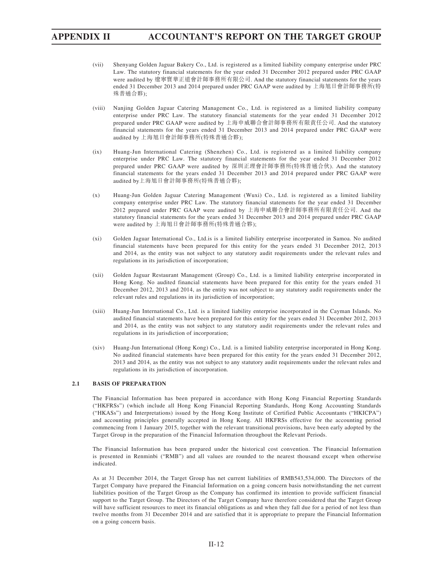- (vii) Shenyang Golden Jaguar Bakery Co., Ltd. is registered as a limited liability company enterprise under PRC Law. The statutory financial statements for the year ended 31 December 2012 prepared under PRC GAAP were audited by 遼寧寶華正道會計師事務所有限公司. And the statutory financial statements for the years ended 31 December 2013 and 2014 prepared under PRC GAAP were audited by 上海旭日會計師事務所(特 殊普通合夥);
- (viii) Nanjing Golden Jaguar Catering Management Co., Ltd. is registered as a limited liability company enterprise under PRC Law. The statutory financial statements for the year ended 31 December 2012 prepared under PRC GAAP were audited by 上海申威聯合會計師事務所有限責任公司. And the statutory financial statements for the years ended 31 December 2013 and 2014 prepared under PRC GAAP were audited by 上海旭日會計師事務所(特殊普通合夥);
- (ix) Huang-Jun International Catering (Shenzhen) Co., Ltd. is registered as a limited liability company enterprise under PRC Law. The statutory financial statements for the year ended 31 December 2012 prepared under PRC GAAP were audited by 深圳正理會計師事務所(特殊普通合伙). And the statutory financial statements for the years ended 31 December 2013 and 2014 prepared under PRC GAAP were audited by上海旭日會計師事務所(特殊普通合夥);
- (x) Huang-Jun Golden Jaguar Catering Management (Wuxi) Co., Ltd. is registered as a limited liability company enterprise under PRC Law. The statutory financial statements for the year ended 31 December 2012 prepared under PRC GAAP were audited by 上海申威聯合會計師事務所有限責任公司. And the statutory financial statements for the years ended 31 December 2013 and 2014 prepared under PRC GAAP were audited by 上海旭日會計師事務所(特殊普通合夥);
- (xi) Golden Jaguar International Co., Ltd.is is a limited liability enterprise incorporated in Samoa. No audited financial statements have been prepared for this entity for the years ended 31 December 2012, 2013 and 2014, as the entity was not subject to any statutory audit requirements under the relevant rules and regulations in its jurisdiction of incorporation;
- (xii) Golden Jaguar Restaurant Management (Group) Co., Ltd. is a limited liability enterprise incorporated in Hong Kong. No audited financial statements have been prepared for this entity for the years ended 31 December 2012, 2013 and 2014, as the entity was not subject to any statutory audit requirements under the relevant rules and regulations in its jurisdiction of incorporation;
- (xiii) Huang-Jun International Co., Ltd. is a limited liability enterprise incorporated in the Cayman Islands. No audited financial statements have been prepared for this entity for the years ended 31 December 2012, 2013 and 2014, as the entity was not subject to any statutory audit requirements under the relevant rules and regulations in its jurisdiction of incorporation;
- (xiv) Huang-Jun International (Hong Kong) Co., Ltd. is a limited liability enterprise incorporated in Hong Kong. No audited financial statements have been prepared for this entity for the years ended 31 December 2012, 2013 and 2014, as the entity was not subject to any statutory audit requirements under the relevant rules and regulations in its jurisdiction of incorporation.

### **2.1 BASIS OF PREPARATION**

The Financial Information has been prepared in accordance with Hong Kong Financial Reporting Standards ("HKFRSs") (which include all Hong Kong Financial Reporting Standards, Hong Kong Accounting Standards ("HKASs") and Interpretations) issued by the Hong Kong Institute of Certified Public Accountants ("HKICPA") and accounting principles generally accepted in Hong Kong. All HKFRSs effective for the accounting period commencing from 1 January 2015, together with the relevant transitional provisions, have been early adopted by the Target Group in the preparation of the Financial Information throughout the Relevant Periods.

The Financial Information has been prepared under the historical cost convention. The Financial Information is presented in Renminbi ("RMB") and all values are rounded to the nearest thousand except when otherwise indicated.

As at 31 December 2014, the Target Group has net current liabilities of RMB543,534,000. The Directors of the Target Company have prepared the Financial Information on a going concern basis notwithstanding the net current liabilities position of the Target Group as the Company has confirmed its intention to provide sufficient financial support to the Target Group. The Directors of the Target Company have therefore considered that the Target Group will have sufficient resources to meet its financial obligations as and when they fall due for a period of not less than twelve months from 31 December 2014 and are satisfied that it is appropriate to prepare the Financial Information on a going concern basis.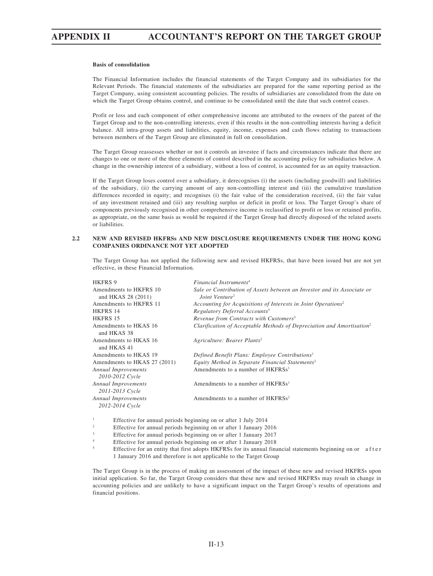### **Basis of consolidation**

The Financial Information includes the financial statements of the Target Company and its subsidiaries for the Relevant Periods. The financial statements of the subsidiaries are prepared for the same reporting period as the Target Company, using consistent accounting policies. The results of subsidiaries are consolidated from the date on which the Target Group obtains control, and continue to be consolidated until the date that such control ceases.

Profit or loss and each component of other comprehensive income are attributed to the owners of the parent of the Target Group and to the non-controlling interests, even if this results in the non-controlling interests having a deficit balance. All intra-group assets and liabilities, equity, income, expenses and cash flows relating to transactions between members of the Target Group are eliminated in full on consolidation.

The Target Group reassesses whether or not it controls an investee if facts and circumstances indicate that there are changes to one or more of the three elements of control described in the accounting policy for subsidiaries below. A change in the ownership interest of a subsidiary, without a loss of control, is accounted for as an equity transaction.

If the Target Group loses control over a subsidiary, it derecognises (i) the assets (including goodwill) and liabilities of the subsidiary, (ii) the carrying amount of any non-controlling interest and (iii) the cumulative translation differences recorded in equity; and recognises (i) the fair value of the consideration received, (ii) the fair value of any investment retained and (iii) any resulting surplus or deficit in profit or loss. The Target Group's share of components previously recognised in other comprehensive income is reclassified to profit or loss or retained profits, as appropriate, on the same basis as would be required if the Target Group had directly disposed of the related assets or liabilities.

## **2.2 NEW AND REVISED HKFRSs AND NEW DISCLOSURE REQUIREMENTS UNDER THE HONG KONG COMPANIES ORDINANCE NOT YET ADOPTED**

The Target Group has not applied the following new and revised HKFRSs, that have been issued but are not yet effective, in these Financial Information.

| <b>HKFRS9</b>                | Financial Instruments <sup>4</sup>                                                |
|------------------------------|-----------------------------------------------------------------------------------|
| Amendments to HKFRS 10       | Sale or Contribution of Assets between an Investor and its Associate or           |
| and HKAS 28 (2011)           | Joint Venture <sup>2</sup>                                                        |
| Amendments to HKFRS 11       | Accounting for Acquisitions of Interests in Joint Operations <sup>2</sup>         |
| HKFRS 14                     | Regulatory Deferral Accounts <sup>5</sup>                                         |
| HKFRS 15                     | Revenue from Contracts with Customers <sup>3</sup>                                |
| Amendments to HKAS 16        | Clarification of Acceptable Methods of Depreciation and Amortisation <sup>2</sup> |
| and HKAS 38                  |                                                                                   |
| Amendments to HKAS 16        | Agriculture: Bearer Plants <sup>2</sup>                                           |
| and HKAS 41                  |                                                                                   |
| Amendments to HKAS 19        | Defined Benefit Plans: Employee Contributions <sup>1</sup>                        |
| Amendments to HKAS 27 (2011) | Equity Method in Separate Financial Statements <sup>2</sup>                       |
| Annual Improvements          | Amendments to a number of HKFRSs <sup>1</sup>                                     |
| 2010-2012 Cycle              |                                                                                   |
| <b>Annual Improvements</b>   | Amendments to a number of HKFRSs <sup>1</sup>                                     |
| 2011-2013 Cycle              |                                                                                   |
| <b>Annual Improvements</b>   | Amendments to a number of HKFRSs <sup>2</sup>                                     |
| 2012-2014 Cycle              |                                                                                   |
|                              |                                                                                   |

<sup>1</sup> Effective for annual periods beginning on or after 1 July 2014<br> **Effective for annual periods beginning on or after 1 January 20** 

- <sup>2</sup> Effective for annual periods beginning on or after 1 January 2016
- <sup>3</sup> Effective for annual periods beginning on or after 1 January 2017
- <sup>4</sup><br>Effective for an entity that first edents HVED Se for its annual fine<br> $\frac{5}{2}$
- Effective for an entity that first adopts HKFRSs for its annual financial statements beginning on or a f t e r 1 January 2016 and therefore is not applicable to the Target Group

The Target Group is in the process of making an assessment of the impact of these new and revised HKFRSs upon initial application. So far, the Target Group considers that these new and revised HKFRSs may result in change in accounting policies and are unlikely to have a significant impact on the Target Group's results of operations and financial positions.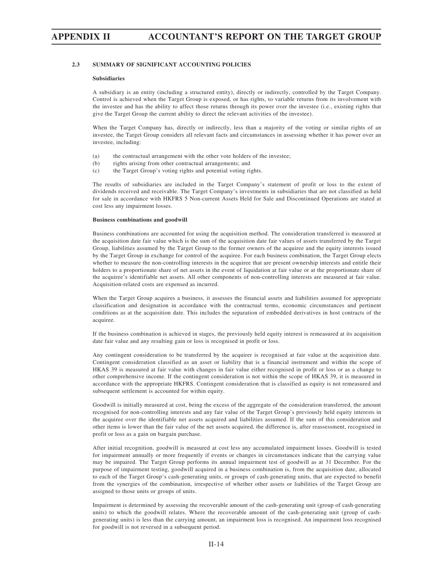# **2.3 SUMMARY OF SIGNIFICANT ACCOUNTING POLICIES**

#### **Subsidiaries**

A subsidiary is an entity (including a structured entity), directly or indirectly, controlled by the Target Company. Control is achieved when the Target Group is exposed, or has rights, to variable returns from its involvement with the investee and has the ability to affect those returns through its power over the investee (i.e., existing rights that give the Target Group the current ability to direct the relevant activities of the investee).

When the Target Company has, directly or indirectly, less than a majority of the voting or similar rights of an investee, the Target Group considers all relevant facts and circumstances in assessing whether it has power over an investee, including:

- (a) the contractual arrangement with the other vote holders of the investee;
- (b) rights arising from other contractual arrangements; and
- (c) the Target Group's voting rights and potential voting rights.

The results of subsidiaries are included in the Target Company's statement of profit or loss to the extent of dividends received and receivable. The Target Company's investments in subsidiaries that are not classified as held for sale in accordance with HKFRS 5 Non-current Assets Held for Sale and Discontinued Operations are stated at cost less any impairment losses.

### **Business combinations and goodwill**

Business combinations are accounted for using the acquisition method. The consideration transferred is measured at the acquisition date fair value which is the sum of the acquisition date fair values of assets transferred by the Target Group, liabilities assumed by the Target Group to the former owners of the acquiree and the equity interests issued by the Target Group in exchange for control of the acquiree. For each business combination, the Target Group elects whether to measure the non-controlling interests in the acquiree that are present ownership interests and entitle their holders to a proportionate share of net assets in the event of liquidation at fair value or at the proportionate share of the acquiree's identifiable net assets. All other components of non-controlling interests are measured at fair value. Acquisition-related costs are expensed as incurred.

When the Target Group acquires a business, it assesses the financial assets and liabilities assumed for appropriate classification and designation in accordance with the contractual terms, economic circumstances and pertinent conditions as at the acquisition date. This includes the separation of embedded derivatives in host contracts of the acquiree.

If the business combination is achieved in stages, the previously held equity interest is remeasured at its acquisition date fair value and any resulting gain or loss is recognised in profit or loss.

Any contingent consideration to be transferred by the acquirer is recognised at fair value at the acquisition date. Contingent consideration classified as an asset or liability that is a financial instrument and within the scope of HKAS 39 is measured at fair value with changes in fair value either recognised in profit or loss or as a change to other comprehensive income. If the contingent consideration is not within the scope of HKAS 39, it is measured in accordance with the appropriate HKFRS. Contingent consideration that is classified as equity is not remeasured and subsequent settlement is accounted for within equity.

Goodwill is initially measured at cost, being the excess of the aggregate of the consideration transferred, the amount recognised for non-controlling interests and any fair value of the Target Group's previously held equity interests in the acquiree over the identifiable net assets acquired and liabilities assumed. If the sum of this consideration and other items is lower than the fair value of the net assets acquired, the difference is, after reassessment, recognised in profit or loss as a gain on bargain purchase.

After initial recognition, goodwill is measured at cost less any accumulated impairment losses. Goodwill is tested for impairment annually or more frequently if events or changes in circumstances indicate that the carrying value may be impaired. The Target Group performs its annual impairment test of goodwill as at 31 December. For the purpose of impairment testing, goodwill acquired in a business combination is, from the acquisition date, allocated to each of the Target Group's cash-generating units, or groups of cash-generating units, that are expected to benefit from the synergies of the combination, irrespective of whether other assets or liabilities of the Target Group are assigned to those units or groups of units.

Impairment is determined by assessing the recoverable amount of the cash-generating unit (group of cash-generating units) to which the goodwill relates. Where the recoverable amount of the cash-generating unit (group of cashgenerating units) is less than the carrying amount, an impairment loss is recognised. An impairment loss recognised for goodwill is not reversed in a subsequent period.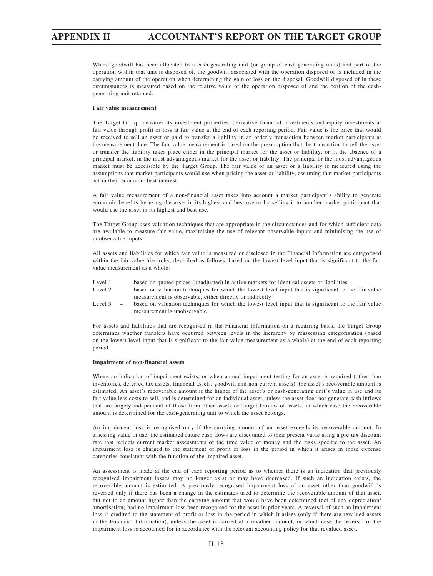Where goodwill has been allocated to a cash-generating unit (or group of cash-generating units) and part of the operation within that unit is disposed of, the goodwill associated with the operation disposed of is included in the carrying amount of the operation when determining the gain or loss on the disposal. Goodwill disposed of in these circumstances is measured based on the relative value of the operation disposed of and the portion of the cashgenerating unit retained.

### **Fair value measurement**

The Target Group measures its investment properties, derivative financial investments and equity investments at fair value through profit or loss at fair value at the end of each reporting period. Fair value is the price that would be received to sell an asset or paid to transfer a liability in an orderly transaction between market participants at the measurement date. The fair value measurement is based on the presumption that the transaction to sell the asset or transfer the liability takes place either in the principal market for the asset or liability, or in the absence of a principal market, in the most advantageous market for the asset or liability. The principal or the most advantageous market must be accessible by the Target Group. The fair value of an asset or a liability is measured using the assumptions that market participants would use when pricing the asset or liability, assuming that market participants act in their economic best interest.

A fair value measurement of a non-financial asset takes into account a market participant's ability to generate economic benefits by using the asset in its highest and best use or by selling it to another market participant that would use the asset in its highest and best use.

The Target Group uses valuation techniques that are appropriate in the circumstances and for which sufficient data are available to measure fair value, maximising the use of relevant observable inputs and minimising the use of unobservable inputs.

All assets and liabilities for which fair value is measured or disclosed in the Financial Information are categorised within the fair value hierarchy, described as follows, based on the lowest level input that is significant to the fair value measurement as a whole:

- Level 1 based on quoted prices (unadjusted) in active markets for identical assets or liabilities
- Level 2 based on valuation techniques for which the lowest level input that is significant to the fair value measurement is observable, either directly or indirectly
- Level 3 based on valuation techniques for which the lowest level input that is significant to the fair value measurement is unobservable

For assets and liabilities that are recognised in the Financial Information on a recurring basis, the Target Group determines whether transfers have occurred between levels in the hierarchy by reassessing categorisation (based on the lowest level input that is significant to the fair value measurement as a whole) at the end of each reporting period.

#### **Impairment of non-financial assets**

Where an indication of impairment exists, or when annual impairment testing for an asset is required (other than inventories, deferred tax assets, financial assets, goodwill and non-current assets), the asset's recoverable amount is estimated. An asset's recoverable amount is the higher of the asset's or cash-generating unit's value in use and its fair value less costs to sell, and is determined for an individual asset, unless the asset does not generate cash inflows that are largely independent of those from other assets or Target Groups of assets, in which case the recoverable amount is determined for the cash-generating unit to which the asset belongs.

An impairment loss is recognised only if the carrying amount of an asset exceeds its recoverable amount. In assessing value in use, the estimated future cash flows are discounted to their present value using a pre-tax discount rate that reflects current market assessments of the time value of money and the risks specific to the asset. An impairment loss is charged to the statement of profit or loss in the period in which it arises in those expense categories consistent with the function of the impaired asset.

An assessment is made at the end of each reporting period as to whether there is an indication that previously recognised impairment losses may no longer exist or may have decreased. If such an indication exists, the recoverable amount is estimated. A previously recognised impairment loss of an asset other than goodwill is reversed only if there has been a change in the estimates used to determine the recoverable amount of that asset, but not to an amount higher than the carrying amount that would have been determined (net of any depreciation/ amortisation) had no impairment loss been recognised for the asset in prior years. A reversal of such an impairment loss is credited to the statement of profit or loss in the period in which it arises (only if there are revalued assets in the Financial Information), unless the asset is carried at a revalued amount, in which case the reversal of the impairment loss is accounted for in accordance with the relevant accounting policy for that revalued asset.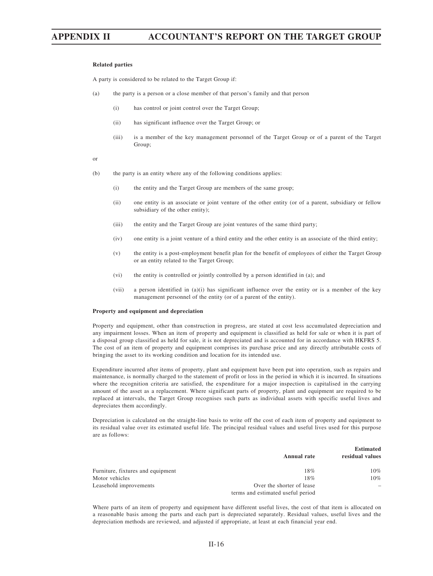### **Related parties**

A party is considered to be related to the Target Group if:

- (a) the party is a person or a close member of that person's family and that person
	- (i) has control or joint control over the Target Group;
	- (ii) has significant influence over the Target Group; or
	- (iii) is a member of the key management personnel of the Target Group or of a parent of the Target Group;

or

- (b) the party is an entity where any of the following conditions applies:
	- (i) the entity and the Target Group are members of the same group;
	- (ii) one entity is an associate or joint venture of the other entity (or of a parent, subsidiary or fellow subsidiary of the other entity);
	- (iii) the entity and the Target Group are joint ventures of the same third party;
	- (iv) one entity is a joint venture of a third entity and the other entity is an associate of the third entity;
	- (v) the entity is a post-employment benefit plan for the benefit of employees of either the Target Group or an entity related to the Target Group;
	- (vi) the entity is controlled or jointly controlled by a person identified in (a); and
	- (vii) a person identified in (a)(i) has significant influence over the entity or is a member of the key management personnel of the entity (or of a parent of the entity).

### **Property and equipment and depreciation**

Property and equipment, other than construction in progress, are stated at cost less accumulated depreciation and any impairment losses. When an item of property and equipment is classified as held for sale or when it is part of a disposal group classified as held for sale, it is not depreciated and is accounted for in accordance with HKFRS 5. The cost of an item of property and equipment comprises its purchase price and any directly attributable costs of bringing the asset to its working condition and location for its intended use.

Expenditure incurred after items of property, plant and equipment have been put into operation, such as repairs and maintenance, is normally charged to the statement of profit or loss in the period in which it is incurred. In situations where the recognition criteria are satisfied, the expenditure for a major inspection is capitalised in the carrying amount of the asset as a replacement. Where significant parts of property, plant and equipment are required to be replaced at intervals, the Target Group recognises such parts as individual assets with specific useful lives and depreciates them accordingly.

Depreciation is calculated on the straight-line basis to write off the cost of each item of property and equipment to its residual value over its estimated useful life. The principal residual values and useful lives used for this purpose are as follows:

|                                   |                                                                | <b>Estimated</b> |
|-----------------------------------|----------------------------------------------------------------|------------------|
|                                   | Annual rate                                                    | residual values  |
| Furniture, fixtures and equipment | 18%                                                            | $10\%$           |
| Motor vehicles                    | 18%                                                            | 10%              |
| Leasehold improvements            | Over the shorter of lease<br>terms and estimated useful period |                  |

Where parts of an item of property and equipment have different useful lives, the cost of that item is allocated on a reasonable basis among the parts and each part is depreciated separately. Residual values, useful lives and the depreciation methods are reviewed, and adjusted if appropriate, at least at each financial year end.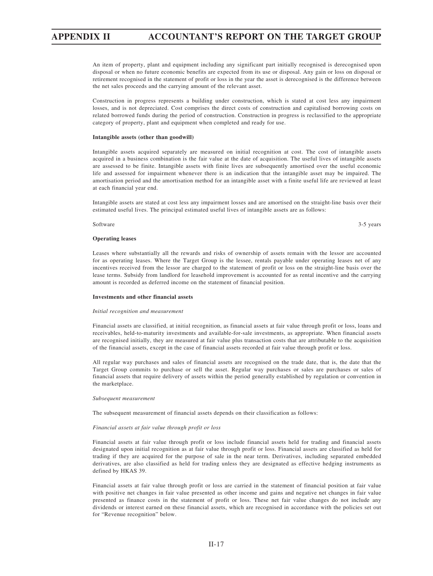An item of property, plant and equipment including any significant part initially recognised is derecognised upon disposal or when no future economic benefits are expected from its use or disposal. Any gain or loss on disposal or retirement recognised in the statement of profit or loss in the year the asset is derecognised is the difference between the net sales proceeds and the carrying amount of the relevant asset.

Construction in progress represents a building under construction, which is stated at cost less any impairment losses, and is not depreciated. Cost comprises the direct costs of construction and capitalised borrowing costs on related borrowed funds during the period of construction. Construction in progress is reclassified to the appropriate category of property, plant and equipment when completed and ready for use.

### **Intangible assets (other than goodwill)**

Intangible assets acquired separately are measured on initial recognition at cost. The cost of intangible assets acquired in a business combination is the fair value at the date of acquisition. The useful lives of intangible assets are assessed to be finite. Intangible assets with finite lives are subsequently amortised over the useful economic life and assessed for impairment whenever there is an indication that the intangible asset may be impaired. The amortisation period and the amortisation method for an intangible asset with a finite useful life are reviewed at least at each financial year end.

Intangible assets are stated at cost less any impairment losses and are amortised on the straight-line basis over their estimated useful lives. The principal estimated useful lives of intangible assets are as follows:

#### Software 3-5 years 32-5 years 3.34 and 3.45 years 3.45 years 3.45 years 3.45 years 3.45 years 3.45 years 3.45 years 3.45 years 3.45 years 3.45 years 3.45 years 3.45 years 3.45 years 3.45 years 3.45 years 3.45 years 3.45 ye

#### **Operating leases**

Leases where substantially all the rewards and risks of ownership of assets remain with the lessor are accounted for as operating leases. Where the Target Group is the lessee, rentals payable under operating leases net of any incentives received from the lessor are charged to the statement of profit or loss on the straight-line basis over the lease terms. Subsidy from landlord for leasehold improvement is accounted for as rental incentive and the carrying amount is recorded as deferred income on the statement of financial position.

### **Investments and other financial assets**

#### *Initial recognition and measurement*

Financial assets are classified, at initial recognition, as financial assets at fair value through profit or loss, loans and receivables, held-to-maturity investments and available-for-sale investments, as appropriate. When financial assets are recognised initially, they are measured at fair value plus transaction costs that are attributable to the acquisition of the financial assets, except in the case of financial assets recorded at fair value through profit or loss.

All regular way purchases and sales of financial assets are recognised on the trade date, that is, the date that the Target Group commits to purchase or sell the asset. Regular way purchases or sales are purchases or sales of financial assets that require delivery of assets within the period generally established by regulation or convention in the marketplace.

#### *Subsequent measurement*

The subsequent measurement of financial assets depends on their classification as follows:

#### *Financial assets at fair value through profit or loss*

Financial assets at fair value through profit or loss include financial assets held for trading and financial assets designated upon initial recognition as at fair value through profit or loss. Financial assets are classified as held for trading if they are acquired for the purpose of sale in the near term. Derivatives, including separated embedded derivatives, are also classified as held for trading unless they are designated as effective hedging instruments as defined by HKAS 39.

Financial assets at fair value through profit or loss are carried in the statement of financial position at fair value with positive net changes in fair value presented as other income and gains and negative net changes in fair value presented as finance costs in the statement of profit or loss. These net fair value changes do not include any dividends or interest earned on these financial assets, which are recognised in accordance with the policies set out for "Revenue recognition" below.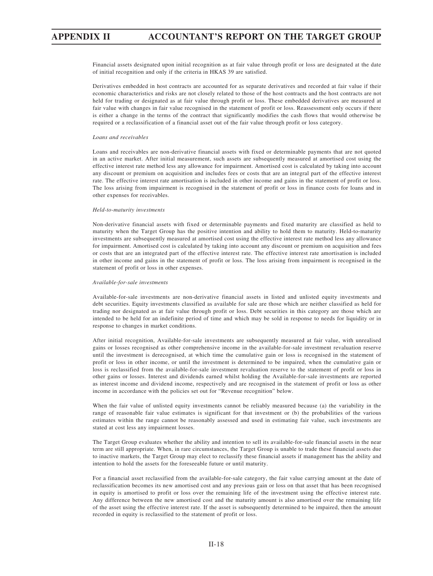Financial assets designated upon initial recognition as at fair value through profit or loss are designated at the date of initial recognition and only if the criteria in HKAS 39 are satisfied.

Derivatives embedded in host contracts are accounted for as separate derivatives and recorded at fair value if their economic characteristics and risks are not closely related to those of the host contracts and the host contracts are not held for trading or designated as at fair value through profit or loss. These embedded derivatives are measured at fair value with changes in fair value recognised in the statement of profit or loss. Reassessment only occurs if there is either a change in the terms of the contract that significantly modifies the cash flows that would otherwise be required or a reclassification of a financial asset out of the fair value through profit or loss category.

### *Loans and receivables*

Loans and receivables are non-derivative financial assets with fixed or determinable payments that are not quoted in an active market. After initial measurement, such assets are subsequently measured at amortised cost using the effective interest rate method less any allowance for impairment. Amortised cost is calculated by taking into account any discount or premium on acquisition and includes fees or costs that are an integral part of the effective interest rate. The effective interest rate amortisation is included in other income and gains in the statement of profit or loss. The loss arising from impairment is recognised in the statement of profit or loss in finance costs for loans and in other expenses for receivables.

### *Held-to-maturity investments*

Non-derivative financial assets with fixed or determinable payments and fixed maturity are classified as held to maturity when the Target Group has the positive intention and ability to hold them to maturity. Held-to-maturity investments are subsequently measured at amortised cost using the effective interest rate method less any allowance for impairment. Amortised cost is calculated by taking into account any discount or premium on acquisition and fees or costs that are an integrated part of the effective interest rate. The effective interest rate amortisation is included in other income and gains in the statement of profit or loss. The loss arising from impairment is recognised in the statement of profit or loss in other expenses.

### *Available-for-sale investments*

Available-for-sale investments are non-derivative financial assets in listed and unlisted equity investments and debt securities. Equity investments classified as available for sale are those which are neither classified as held for trading nor designated as at fair value through profit or loss. Debt securities in this category are those which are intended to be held for an indefinite period of time and which may be sold in response to needs for liquidity or in response to changes in market conditions.

After initial recognition, Available-for-sale investments are subsequently measured at fair value, with unrealised gains or losses recognised as other comprehensive income in the available-for-sale investment revaluation reserve until the investment is derecognised, at which time the cumulative gain or loss is recognised in the statement of profit or loss in other income, or until the investment is determined to be impaired, when the cumulative gain or loss is reclassified from the available-for-sale investment revaluation reserve to the statement of profit or loss in other gains or losses. Interest and dividends earned whilst holding the Available-for-sale investments are reported as interest income and dividend income, respectively and are recognised in the statement of profit or loss as other income in accordance with the policies set out for "Revenue recognition" below.

When the fair value of unlisted equity investments cannot be reliably measured because (a) the variability in the range of reasonable fair value estimates is significant for that investment or (b) the probabilities of the various estimates within the range cannot be reasonably assessed and used in estimating fair value, such investments are stated at cost less any impairment losses.

The Target Group evaluates whether the ability and intention to sell its available-for-sale financial assets in the near term are still appropriate. When, in rare circumstances, the Target Group is unable to trade these financial assets due to inactive markets, the Target Group may elect to reclassify these financial assets if management has the ability and intention to hold the assets for the foreseeable future or until maturity.

For a financial asset reclassified from the available-for-sale category, the fair value carrying amount at the date of reclassification becomes its new amortised cost and any previous gain or loss on that asset that has been recognised in equity is amortised to profit or loss over the remaining life of the investment using the effective interest rate. Any difference between the new amortised cost and the maturity amount is also amortised over the remaining life of the asset using the effective interest rate. If the asset is subsequently determined to be impaired, then the amount recorded in equity is reclassified to the statement of profit or loss.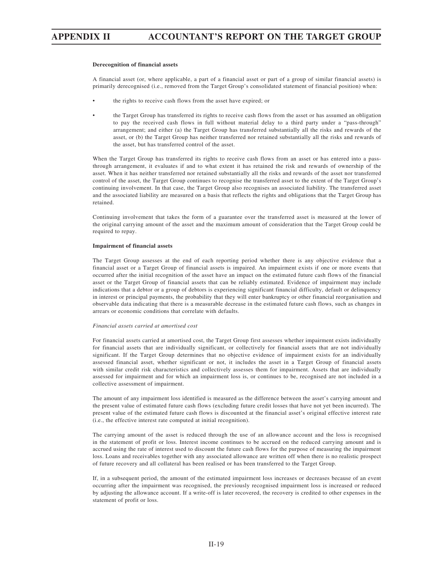#### **Derecognition of financial assets**

A financial asset (or, where applicable, a part of a financial asset or part of a group of similar financial assets) is primarily derecognised (i.e., removed from the Target Group's consolidated statement of financial position) when:

- the rights to receive cash flows from the asset have expired; or
- the Target Group has transferred its rights to receive cash flows from the asset or has assumed an obligation to pay the received cash flows in full without material delay to a third party under a "pass-through" arrangement; and either (a) the Target Group has transferred substantially all the risks and rewards of the asset, or (b) the Target Group has neither transferred nor retained substantially all the risks and rewards of the asset, but has transferred control of the asset.

When the Target Group has transferred its rights to receive cash flows from an asset or has entered into a passthrough arrangement, it evaluates if and to what extent it has retained the risk and rewards of ownership of the asset. When it has neither transferred nor retained substantially all the risks and rewards of the asset nor transferred control of the asset, the Target Group continues to recognise the transferred asset to the extent of the Target Group's continuing involvement. In that case, the Target Group also recognises an associated liability. The transferred asset and the associated liability are measured on a basis that reflects the rights and obligations that the Target Group has retained.

Continuing involvement that takes the form of a guarantee over the transferred asset is measured at the lower of the original carrying amount of the asset and the maximum amount of consideration that the Target Group could be required to repay.

### **Impairment of financial assets**

The Target Group assesses at the end of each reporting period whether there is any objective evidence that a financial asset or a Target Group of financial assets is impaired. An impairment exists if one or more events that occurred after the initial recognition of the asset have an impact on the estimated future cash flows of the financial asset or the Target Group of financial assets that can be reliably estimated. Evidence of impairment may include indications that a debtor or a group of debtors is experiencing significant financial difficulty, default or delinquency in interest or principal payments, the probability that they will enter bankruptcy or other financial reorganisation and observable data indicating that there is a measurable decrease in the estimated future cash flows, such as changes in arrears or economic conditions that correlate with defaults.

### *Financial assets carried at amortised cost*

For financial assets carried at amortised cost, the Target Group first assesses whether impairment exists individually for financial assets that are individually significant, or collectively for financial assets that are not individually significant. If the Target Group determines that no objective evidence of impairment exists for an individually assessed financial asset, whether significant or not, it includes the asset in a Target Group of financial assets with similar credit risk characteristics and collectively assesses them for impairment. Assets that are individually assessed for impairment and for which an impairment loss is, or continues to be, recognised are not included in a collective assessment of impairment.

The amount of any impairment loss identified is measured as the difference between the asset's carrying amount and the present value of estimated future cash flows (excluding future credit losses that have not yet been incurred). The present value of the estimated future cash flows is discounted at the financial asset's original effective interest rate (i.e., the effective interest rate computed at initial recognition).

The carrying amount of the asset is reduced through the use of an allowance account and the loss is recognised in the statement of profit or loss. Interest income continues to be accrued on the reduced carrying amount and is accrued using the rate of interest used to discount the future cash flows for the purpose of measuring the impairment loss. Loans and receivables together with any associated allowance are written off when there is no realistic prospect of future recovery and all collateral has been realised or has been transferred to the Target Group.

If, in a subsequent period, the amount of the estimated impairment loss increases or decreases because of an event occurring after the impairment was recognised, the previously recognised impairment loss is increased or reduced by adjusting the allowance account. If a write-off is later recovered, the recovery is credited to other expenses in the statement of profit or loss.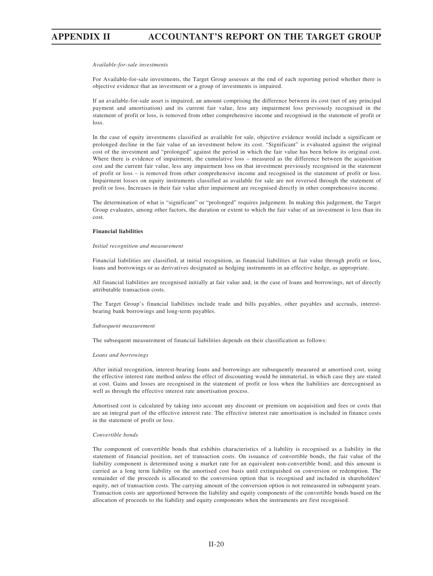#### *Available-for-sale investments*

For Available-for-sale investments, the Target Group assesses at the end of each reporting period whether there is objective evidence that an investment or a group of investments is impaired.

If an available-for-sale asset is impaired, an amount comprising the difference between its cost (net of any principal payment and amortisation) and its current fair value, less any impairment loss previously recognised in the statement of profit or loss, is removed from other comprehensive income and recognised in the statement of profit or loss.

In the case of equity investments classified as available for sale, objective evidence would include a significant or prolonged decline in the fair value of an investment below its cost. "Significant" is evaluated against the original cost of the investment and "prolonged" against the period in which the fair value has been below its original cost. Where there is evidence of impairment, the cumulative loss – measured as the difference between the acquisition cost and the current fair value, less any impairment loss on that investment previously recognised in the statement of profit or loss – is removed from other comprehensive income and recognised in the statement of profit or loss. Impairment losses on equity instruments classified as available for sale are not reversed through the statement of profit or loss. Increases in their fair value after impairment are recognised directly in other comprehensive income.

The determination of what is "significant" or "prolonged" requires judgement. In making this judgement, the Target Group evaluates, among other factors, the duration or extent to which the fair value of an investment is less than its cost.

### **Financial liabilities**

### *Initial recognition and measurement*

Financial liabilities are classified, at initial recognition, as financial liabilities at fair value through profit or loss, loans and borrowings or as derivatives designated as hedging instruments in an effective hedge, as appropriate.

All financial liabilities are recognised initially at fair value and, in the case of loans and borrowings, net of directly attributable transaction costs.

The Target Group's financial liabilities include trade and bills payables, other payables and accruals, interestbearing bank borrowings and long-term payables.

#### *Subsequent measurement*

The subsequent measurement of financial liabilities depends on their classification as follows:

### *Loans and borrowings*

After initial recognition, interest-bearing loans and borrowings are subsequently measured at amortised cost, using the effective interest rate method unless the effect of discounting would be immaterial, in which case they are stated at cost. Gains and losses are recognised in the statement of profit or loss when the liabilities are derecognised as well as through the effective interest rate amortisation process.

Amortised cost is calculated by taking into account any discount or premium on acquisition and fees or costs that are an integral part of the effective interest rate. The effective interest rate amortisation is included in finance costs in the statement of profit or loss.

### *Convertible bonds*

The component of convertible bonds that exhibits characteristics of a liability is recognised as a liability in the statement of financial position, net of transaction costs. On issuance of convertible bonds, the fair value of the liability component is determined using a market rate for an equivalent non-convertible bond; and this amount is carried as a long term liability on the amortised cost basis until extinguished on conversion or redemption. The remainder of the proceeds is allocated to the conversion option that is recognised and included in shareholders' equity, net of transaction costs. The carrying amount of the conversion option is not remeasured in subsequent years. Transaction costs are apportioned between the liability and equity components of the convertible bonds based on the allocation of proceeds to the liability and equity components when the instruments are first recognised.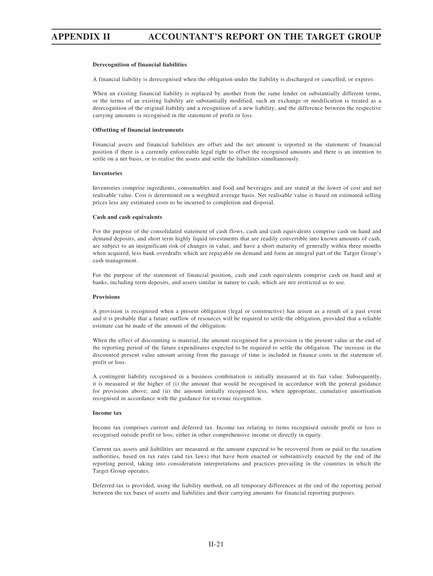### **Derecognition of financial liabilities**

A financial liability is derecognised when the obligation under the liability is discharged or cancelled, or expires.

When an existing financial liability is replaced by another from the same lender on substantially different terms, or the terms of an existing liability are substantially modified, such an exchange or modification is treated as a derecognition of the original liability and a recognition of a new liability, and the difference between the respective carrying amounts is recognised in the statement of profit or loss.

### **Offsetting of financial instruments**

Financial assets and financial liabilities are offset and the net amount is reported in the statement of financial position if there is a currently enforceable legal right to offset the recognised amounts and there is an intention to settle on a net basis, or to realise the assets and settle the liabilities simultaneously.

#### **Inventories**

Inventories comprise ingredients, consumables and food and beverages and are stated at the lower of cost and net realisable value. Cost is determined on a weighted average basis. Net realisable value is based on estimated selling prices less any estimated costs to be incurred to completion and disposal.

### **Cash and cash equivalents**

For the purpose of the consolidated statement of cash flows, cash and cash equivalents comprise cash on hand and demand deposits, and short term highly liquid investments that are readily convertible into known amounts of cash, are subject to an insignificant risk of changes in value, and have a short maturity of generally within three months when acquired, less bank overdrafts which are repayable on demand and form an integral part of the Target Group's cash management.

For the purpose of the statement of financial position, cash and cash equivalents comprise cash on hand and at banks, including term deposits, and assets similar in nature to cash, which are not restricted as to use.

### **Provisions**

A provision is recognised when a present obligation (legal or constructive) has arisen as a result of a past event and it is probable that a future outflow of resources will be required to settle the obligation, provided that a reliable estimate can be made of the amount of the obligation.

When the effect of discounting is material, the amount recognised for a provision is the present value at the end of the reporting period of the future expenditures expected to be required to settle the obligation. The increase in the discounted present value amount arising from the passage of time is included in finance costs in the statement of profit or loss.

A contingent liability recognised in a business combination is initially measured at its fair value. Subsequently, it is measured at the higher of (i) the amount that would be recognised in accordance with the general guidance for provisions above; and (ii) the amount initially recognised less, when appropriate, cumulative amortisation recognised in accordance with the guidance for revenue recognition.

#### **Income tax**

Income tax comprises current and deferred tax. Income tax relating to items recognised outside profit or loss is recognised outside profit or loss, either in other comprehensive income or directly in equity.

Current tax assets and liabilities are measured at the amount expected to be recovered from or paid to the taxation authorities, based on tax rates (and tax laws) that have been enacted or substantively enacted by the end of the reporting period, taking into consideration interpretations and practices prevailing in the countries in which the Target Group operates.

Deferred tax is provided, using the liability method, on all temporary differences at the end of the reporting period between the tax bases of assets and liabilities and their carrying amounts for financial reporting purposes.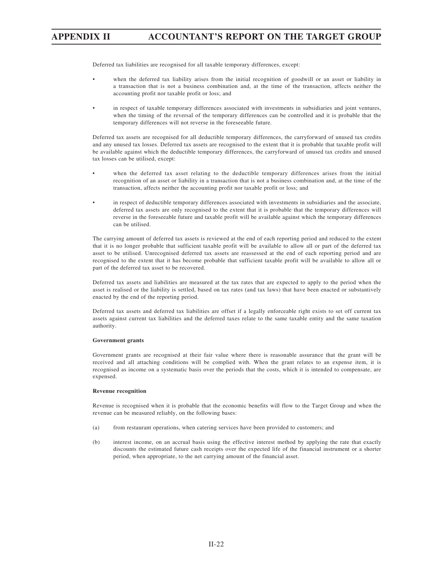Deferred tax liabilities are recognised for all taxable temporary differences, except:

- when the deferred tax liability arises from the initial recognition of goodwill or an asset or liability in a transaction that is not a business combination and, at the time of the transaction, affects neither the accounting profit nor taxable profit or loss; and
- in respect of taxable temporary differences associated with investments in subsidiaries and joint ventures, when the timing of the reversal of the temporary differences can be controlled and it is probable that the temporary differences will not reverse in the foreseeable future.

Deferred tax assets are recognised for all deductible temporary differences, the carryforward of unused tax credits and any unused tax losses. Deferred tax assets are recognised to the extent that it is probable that taxable profit will be available against which the deductible temporary differences, the carryforward of unused tax credits and unused tax losses can be utilised, except:

- when the deferred tax asset relating to the deductible temporary differences arises from the initial recognition of an asset or liability in a transaction that is not a business combination and, at the time of the transaction, affects neither the accounting profit nor taxable profit or loss; and
- in respect of deductible temporary differences associated with investments in subsidiaries and the associate, deferred tax assets are only recognised to the extent that it is probable that the temporary differences will reverse in the foreseeable future and taxable profit will be available against which the temporary differences can be utilised.

The carrying amount of deferred tax assets is reviewed at the end of each reporting period and reduced to the extent that it is no longer probable that sufficient taxable profit will be available to allow all or part of the deferred tax asset to be utilised. Unrecognised deferred tax assets are reassessed at the end of each reporting period and are recognised to the extent that it has become probable that sufficient taxable profit will be available to allow all or part of the deferred tax asset to be recovered.

Deferred tax assets and liabilities are measured at the tax rates that are expected to apply to the period when the asset is realised or the liability is settled, based on tax rates (and tax laws) that have been enacted or substantively enacted by the end of the reporting period.

Deferred tax assets and deferred tax liabilities are offset if a legally enforceable right exists to set off current tax assets against current tax liabilities and the deferred taxes relate to the same taxable entity and the same taxation authority.

### **Government grants**

Government grants are recognised at their fair value where there is reasonable assurance that the grant will be received and all attaching conditions will be complied with. When the grant relates to an expense item, it is recognised as income on a systematic basis over the periods that the costs, which it is intended to compensate, are expensed.

### **Revenue recognition**

Revenue is recognised when it is probable that the economic benefits will flow to the Target Group and when the revenue can be measured reliably, on the following bases:

- (a) from restaurant operations, when catering services have been provided to customers; and
- (b) interest income, on an accrual basis using the effective interest method by applying the rate that exactly discounts the estimated future cash receipts over the expected life of the financial instrument or a shorter period, when appropriate, to the net carrying amount of the financial asset.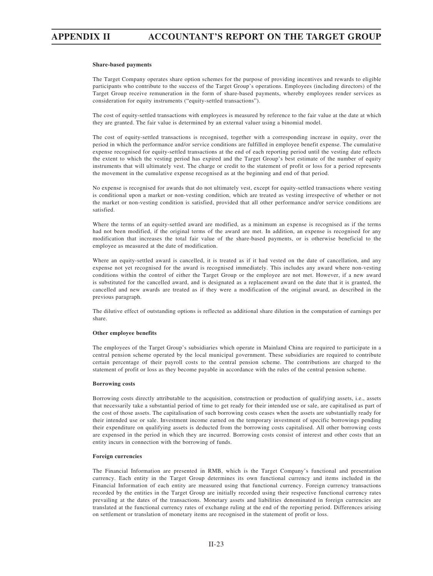#### **Share-based payments**

The Target Company operates share option schemes for the purpose of providing incentives and rewards to eligible participants who contribute to the success of the Target Group's operations. Employees (including directors) of the Target Group receive remuneration in the form of share-based payments, whereby employees render services as consideration for equity instruments ("equity-settled transactions").

The cost of equity-settled transactions with employees is measured by reference to the fair value at the date at which they are granted. The fair value is determined by an external valuer using a binomial model.

The cost of equity-settled transactions is recognised, together with a corresponding increase in equity, over the period in which the performance and/or service conditions are fulfilled in employee benefit expense. The cumulative expense recognised for equity-settled transactions at the end of each reporting period until the vesting date reflects the extent to which the vesting period has expired and the Target Group's best estimate of the number of equity instruments that will ultimately vest. The charge or credit to the statement of profit or loss for a period represents the movement in the cumulative expense recognised as at the beginning and end of that period.

No expense is recognised for awards that do not ultimately vest, except for equity-settled transactions where vesting is conditional upon a market or non-vesting condition, which are treated as vesting irrespective of whether or not the market or non-vesting condition is satisfied, provided that all other performance and/or service conditions are satisfied.

Where the terms of an equity-settled award are modified, as a minimum an expense is recognised as if the terms had not been modified, if the original terms of the award are met. In addition, an expense is recognised for any modification that increases the total fair value of the share-based payments, or is otherwise beneficial to the employee as measured at the date of modification.

Where an equity-settled award is cancelled, it is treated as if it had vested on the date of cancellation, and any expense not yet recognised for the award is recognised immediately. This includes any award where non-vesting conditions within the control of either the Target Group or the employee are not met. However, if a new award is substituted for the cancelled award, and is designated as a replacement award on the date that it is granted, the cancelled and new awards are treated as if they were a modification of the original award, as described in the previous paragraph.

The dilutive effect of outstanding options is reflected as additional share dilution in the computation of earnings per share.

#### **Other employee benefits**

The employees of the Target Group's subsidiaries which operate in Mainland China are required to participate in a central pension scheme operated by the local municipal government. These subsidiaries are required to contribute certain percentage of their payroll costs to the central pension scheme. The contributions are charged to the statement of profit or loss as they become payable in accordance with the rules of the central pension scheme.

#### **Borrowing costs**

Borrowing costs directly attributable to the acquisition, construction or production of qualifying assets, i.e., assets that necessarily take a substantial period of time to get ready for their intended use or sale, are capitalised as part of the cost of those assets. The capitalisation of such borrowing costs ceases when the assets are substantially ready for their intended use or sale. Investment income earned on the temporary investment of specific borrowings pending their expenditure on qualifying assets is deducted from the borrowing costs capitalised. All other borrowing costs are expensed in the period in which they are incurred. Borrowing costs consist of interest and other costs that an entity incurs in connection with the borrowing of funds.

### **Foreign currencies**

The Financial Information are presented in RMB, which is the Target Company's functional and presentation currency. Each entity in the Target Group determines its own functional currency and items included in the Financial Information of each entity are measured using that functional currency. Foreign currency transactions recorded by the entities in the Target Group are initially recorded using their respective functional currency rates prevailing at the dates of the transactions. Monetary assets and liabilities denominated in foreign currencies are translated at the functional currency rates of exchange ruling at the end of the reporting period. Differences arising on settlement or translation of monetary items are recognised in the statement of profit or loss.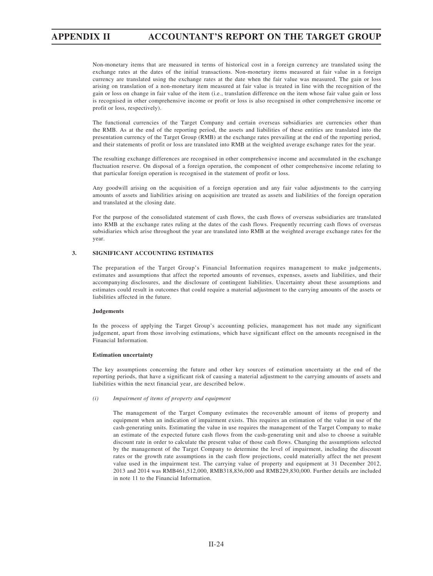Non-monetary items that are measured in terms of historical cost in a foreign currency are translated using the exchange rates at the dates of the initial transactions. Non-monetary items measured at fair value in a foreign currency are translated using the exchange rates at the date when the fair value was measured. The gain or loss arising on translation of a non-monetary item measured at fair value is treated in line with the recognition of the gain or loss on change in fair value of the item (i.e., translation difference on the item whose fair value gain or loss is recognised in other comprehensive income or profit or loss is also recognised in other comprehensive income or profit or loss, respectively).

The functional currencies of the Target Company and certain overseas subsidiaries are currencies other than the RMB. As at the end of the reporting period, the assets and liabilities of these entities are translated into the presentation currency of the Target Group (RMB) at the exchange rates prevailing at the end of the reporting period, and their statements of profit or loss are translated into RMB at the weighted average exchange rates for the year.

The resulting exchange differences are recognised in other comprehensive income and accumulated in the exchange fluctuation reserve. On disposal of a foreign operation, the component of other comprehensive income relating to that particular foreign operation is recognised in the statement of profit or loss.

Any goodwill arising on the acquisition of a foreign operation and any fair value adjustments to the carrying amounts of assets and liabilities arising on acquisition are treated as assets and liabilities of the foreign operation and translated at the closing date.

For the purpose of the consolidated statement of cash flows, the cash flows of overseas subsidiaries are translated into RMB at the exchange rates ruling at the dates of the cash flows. Frequently recurring cash flows of overseas subsidiaries which arise throughout the year are translated into RMB at the weighted average exchange rates for the year.

## **3. SIGNIFICANT ACCOUNTING ESTIMATES**

The preparation of the Target Group's Financial Information requires management to make judgements, estimates and assumptions that affect the reported amounts of revenues, expenses, assets and liabilities, and their accompanying disclosures, and the disclosure of contingent liabilities. Uncertainty about these assumptions and estimates could result in outcomes that could require a material adjustment to the carrying amounts of the assets or liabilities affected in the future.

### **Judgements**

In the process of applying the Target Group's accounting policies, management has not made any significant judgement, apart from those involving estimations, which have significant effect on the amounts recognised in the Financial Information.

### **Estimation uncertainty**

The key assumptions concerning the future and other key sources of estimation uncertainty at the end of the reporting periods, that have a significant risk of causing a material adjustment to the carrying amounts of assets and liabilities within the next financial year, are described below.

*(i) Impairment of items of property and equipment*

The management of the Target Company estimates the recoverable amount of items of property and equipment when an indication of impairment exists. This requires an estimation of the value in use of the cash-generating units. Estimating the value in use requires the management of the Target Company to make an estimate of the expected future cash flows from the cash-generating unit and also to choose a suitable discount rate in order to calculate the present value of those cash flows. Changing the assumptions selected by the management of the Target Company to determine the level of impairment, including the discount rates or the growth rate assumptions in the cash flow projections, could materially affect the net present value used in the impairment test. The carrying value of property and equipment at 31 December 2012, 2013 and 2014 was RMB461,512,000, RMB318,836,000 and RMB229,830,000. Further details are included in note 11 to the Financial Information.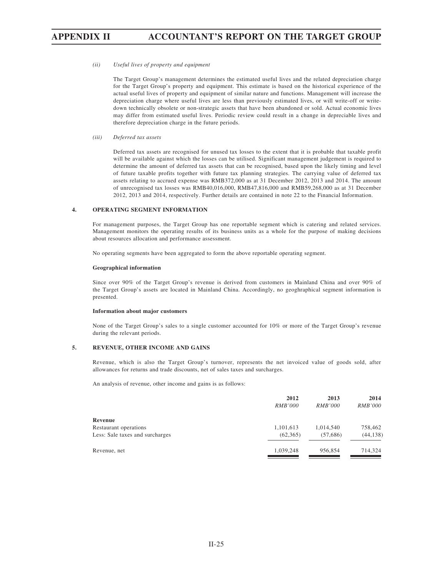### *(ii) Useful lives of property and equipment*

The Target Group's management determines the estimated useful lives and the related depreciation charge for the Target Group's property and equipment. This estimate is based on the historical experience of the actual useful lives of property and equipment of similar nature and functions. Management will increase the depreciation charge where useful lives are less than previously estimated lives, or will write-off or writedown technically obsolete or non-strategic assets that have been abandoned or sold. Actual economic lives may differ from estimated useful lives. Periodic review could result in a change in depreciable lives and therefore depreciation charge in the future periods.

### *(iii) Deferred tax assets*

Deferred tax assets are recognised for unused tax losses to the extent that it is probable that taxable profit will be available against which the losses can be utilised. Significant management judgement is required to determine the amount of deferred tax assets that can be recognised, based upon the likely timing and level of future taxable profits together with future tax planning strategies. The carrying value of deferred tax assets relating to accrued expense was RMB372,000 as at 31 December 2012, 2013 and 2014. The amount of unrecognised tax losses was RMB40,016,000, RMB47,816,000 and RMB59,268,000 as at 31 December 2012, 2013 and 2014, respectively. Further details are contained in note 22 to the Financial Information.

### **4. OPERATING SEGMENT INFORMATION**

For management purposes, the Target Group has one reportable segment which is catering and related services. Management monitors the operating results of its business units as a whole for the purpose of making decisions about resources allocation and performance assessment.

No operating segments have been aggregated to form the above reportable operating segment.

#### **Geographical information**

Since over 90% of the Target Group's revenue is derived from customers in Mainland China and over 90% of the Target Group's assets are located in Mainland China. Accordingly, no geoghraphical segment information is presented.

### **Information about major customers**

None of the Target Group's sales to a single customer accounted for 10% or more of the Target Group's revenue during the relevant periods.

## **5. REVENUE, OTHER INCOME AND GAINS**

Revenue, which is also the Target Group's turnover, represents the net invoiced value of goods sold, after allowances for returns and trade discounts, net of sales taxes and surcharges.

An analysis of revenue, other income and gains is as follows:

|                                 | 2012           | 2013           | 2014           |
|---------------------------------|----------------|----------------|----------------|
|                                 | <i>RMB'000</i> | <i>RMB'000</i> | <i>RMB'000</i> |
| Revenue                         |                |                |                |
| Restaurant operations           | 1,101,613      | 1,014,540      | 758,462        |
| Less: Sale taxes and surcharges | (62, 365)      | (57,686)       | (44, 138)      |
| Revenue, net                    | 1,039,248      | 956,854        | 714,324        |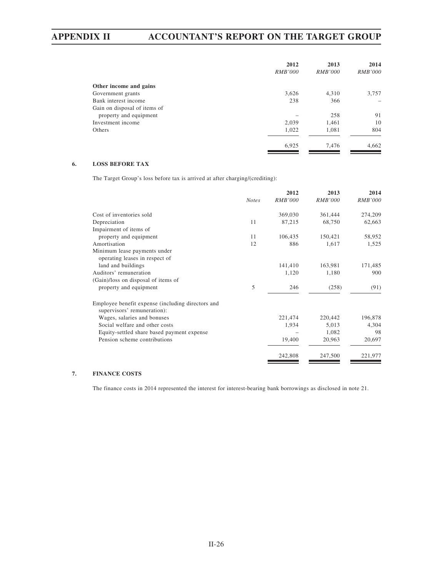|                              | 2012           | 2013           | 2014           |
|------------------------------|----------------|----------------|----------------|
|                              | <i>RMB'000</i> | <i>RMB'000</i> | <i>RMB'000</i> |
| Other income and gains       |                |                |                |
| Government grants            | 3,626          | 4,310          | 3,757          |
| Bank interest income         | 238            | 366            |                |
| Gain on disposal of items of |                |                |                |
| property and equipment       |                | 258            | 91             |
| Investment income            | 2,039          | 1,461          | 10             |
| Others                       | 1,022          | 1,081          | 804            |
|                              | 6,925          | 7,476          | 4,662          |

# **6. LOSS BEFORE TAX**

The Target Group's loss before tax is arrived at after charging/(crediting):

|                                                                                  |              | 2012           | 2013           | 2014           |
|----------------------------------------------------------------------------------|--------------|----------------|----------------|----------------|
|                                                                                  | <b>Notes</b> | <i>RMB'000</i> | <i>RMB'000</i> | <i>RMB'000</i> |
| Cost of inventories sold                                                         |              | 369,030        | 361,444        | 274,209        |
| Depreciation                                                                     | 11           | 87,215         | 68,750         | 62,663         |
| Impairment of items of                                                           |              |                |                |                |
| property and equipment                                                           | 11           | 106,435        | 150,421        | 58,952         |
| Amortisation                                                                     | 12           | 886            | 1,617          | 1,525          |
| Minimum lease payments under                                                     |              |                |                |                |
| operating leases in respect of                                                   |              |                |                |                |
| land and buildings                                                               |              | 141,410        | 163,981        | 171,485        |
| Auditors' remuneration                                                           |              | 1,120          | 1,180          | 900            |
| (Gain)/loss on disposal of items of                                              |              |                |                |                |
| property and equipment                                                           | 5            | 246            | (258)          | (91)           |
| Employee benefit expense (including directors and<br>supervisors' remuneration): |              |                |                |                |
| Wages, salaries and bonuses                                                      |              | 221,474        | 220,442        | 196,878        |
| Social welfare and other costs                                                   |              | 1,934          | 5,013          | 4,304          |
| Equity-settled share based payment expense                                       |              |                | 1,082          | 98             |
| Pension scheme contributions                                                     |              | 19,400         | 20,963         | 20,697         |
|                                                                                  |              | 242,808        | 247,500        | 221,977        |

# **7. FINANCE COSTS**

The finance costs in 2014 represented the interest for interest-bearing bank borrowings as disclosed in note 21.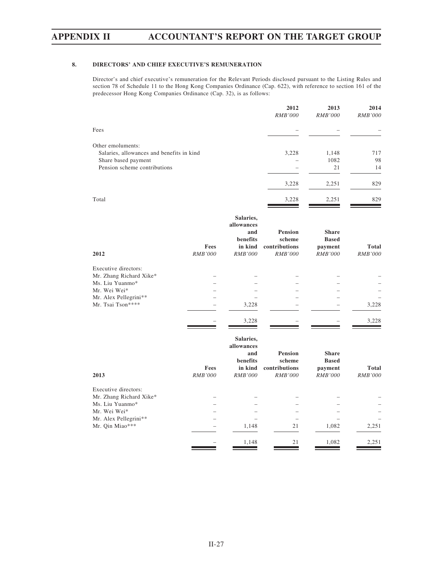# **8. DIRECTORS' AND CHIEF EXECUTIVE'S REMUNERATION**

Director's and chief executive's remuneration for the Relevant Periods disclosed pursuant to the Listing Rules and section 78 of Schedule 11 to the Hong Kong Companies Ordinance (Cap. 622), with reference to section 161 of the predecessor Hong Kong Companies Ordinance (Cap. 32), is as follows:

|                        |                                                                         | 2012<br>RMB'000                                             | 2013<br><b>RMB'000</b>                                    | 2014<br><b>RMB'000</b>  |
|------------------------|-------------------------------------------------------------------------|-------------------------------------------------------------|-----------------------------------------------------------|-------------------------|
|                        |                                                                         |                                                             |                                                           |                         |
|                        |                                                                         | 3,228                                                       | 1,148<br>1082<br>21                                       | 717<br>98<br>14         |
|                        |                                                                         | 3,228                                                       | 2,251                                                     | 829                     |
|                        |                                                                         | 3,228                                                       | 2,251                                                     | 829                     |
| Fees                   | Salaries,<br>allowances<br>and<br>benefits<br>in kind                   | <b>Pension</b><br>scheme<br>contributions                   | <b>Share</b><br><b>Based</b><br>payment                   | Total                   |
|                        |                                                                         |                                                             |                                                           | RMB'000                 |
|                        | 3,228                                                                   |                                                             |                                                           | 3,228                   |
|                        | 3,228                                                                   |                                                             |                                                           | 3,228                   |
| Fees<br><b>RMB'000</b> | Salaries,<br>allowances<br>and<br>benefits<br>in kind<br><b>RMB'000</b> | <b>Pension</b><br>scheme<br>contributions<br><b>RMB'000</b> | <b>Share</b><br><b>Based</b><br>payment<br><b>RMB'000</b> | Total<br><b>RMB'000</b> |
|                        | 1,148                                                                   | 21<br>21                                                    | 1,082                                                     | 2,251<br>2,251          |
|                        | Salaries, allowances and benefits in kind<br>RMB'000                    | <b>RMB'000</b><br>1,148                                     | <b>RMB'000</b>                                            | <b>RMB'000</b><br>1,082 |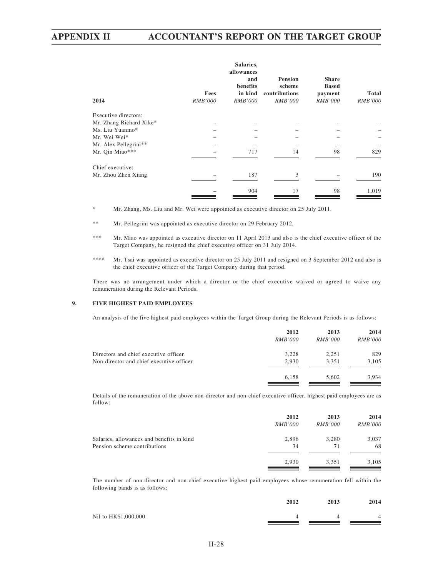| 2014                    | Fees<br><i>RMB'000</i> | Salaries,<br>allowances<br>and<br>benefits<br>in kind<br><i>RMB'000</i> | <b>Pension</b><br>scheme<br>contributions<br><i>RMB'000</i> | <b>Share</b><br><b>Based</b><br>payment<br><i>RMB'000</i> | <b>Total</b><br><i>RMB'000</i> |
|-------------------------|------------------------|-------------------------------------------------------------------------|-------------------------------------------------------------|-----------------------------------------------------------|--------------------------------|
| Executive directors:    |                        |                                                                         |                                                             |                                                           |                                |
| Mr. Zhang Richard Xike* |                        |                                                                         |                                                             |                                                           |                                |
| Ms. Liu Yuanmo*         |                        |                                                                         |                                                             |                                                           |                                |
| Mr. Wei Wei*            |                        |                                                                         |                                                             |                                                           |                                |
| Mr. Alex Pellegrini**   |                        |                                                                         |                                                             |                                                           |                                |
| Mr. Qin Miao***         |                        | 717                                                                     | 14                                                          | 98                                                        | 829                            |
| Chief executive:        |                        |                                                                         |                                                             |                                                           |                                |
| Mr. Zhou Zhen Xiang     |                        | 187                                                                     | 3                                                           |                                                           | 190                            |
|                         |                        | 904                                                                     | 17                                                          | 98                                                        | 1,019                          |

\* Mr. Zhang, Ms. Liu and Mr. Wei were appointed as executive director on 25 July 2011.

\*\* Mr. Pellegrini was appointed as executive director on 29 February 2012.

- \*\*\* Mr. Miao was appointed as executive director on 11 April 2013 and also is the chief executive officer of the Target Company, he resigned the chief executive officer on 31 July 2014.
- \*\*\*\* Mr. Tsai was appointed as executive director on 25 July 2011 and resigned on 3 September 2012 and also is the chief executive officer of the Target Company during that period.

There was no arrangement under which a director or the chief executive waived or agreed to waive any remuneration during the Relevant Periods.

# **9. FIVE HIGHEST PAID EMPLOYEES**

An analysis of the five highest paid employees within the Target Group during the Relevant Periods is as follows:

|                                          | 2012           | 2013           | 2014           |
|------------------------------------------|----------------|----------------|----------------|
|                                          | <i>RMB'000</i> | <i>RMB'000</i> | <i>RMB'000</i> |
| Directors and chief executive officer    | 3.228          | 2,251          | 829            |
| Non-director and chief executive officer | 2.930          | 3.351          | 3,105          |
|                                          | 6.158          | 5.602          | 3.934          |

Details of the remuneration of the above non-director and non-chief executive officer, highest paid employees are as follow:

|                                           | 2012           | 2013           | 2014           |
|-------------------------------------------|----------------|----------------|----------------|
|                                           | <i>RMB'000</i> | <i>RMB'000</i> | <i>RMB'000</i> |
| Salaries, allowances and benefits in kind | 2,896          | 3.280          | 3,037          |
| Pension scheme contributions              | 34             | 71             | 68             |
|                                           | 2.930          | 3.351          | 3,105          |

The number of non-director and non-chief executive highest paid employees whose remuneration fell within the following bands is as follows:

|                      | 2012 | 2013 | 2014 |
|----------------------|------|------|------|
| Nil to HK\$1,000,000 |      |      | 4    |
|                      |      |      |      |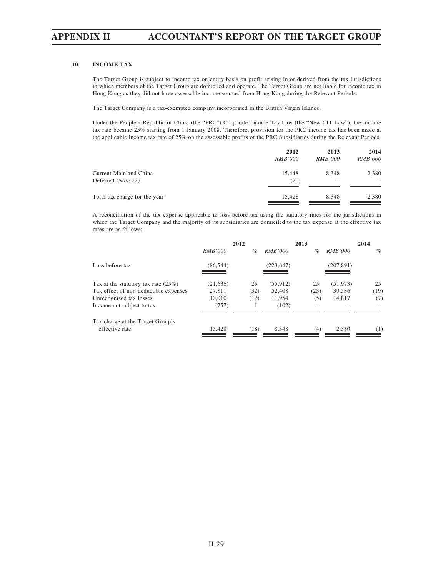# **10. INCOME TAX**

The Target Group is subject to income tax on entity basis on profit arising in or derived from the tax jurisdictions in which members of the Target Group are domiciled and operate. The Target Group are not liable for income tax in Hong Kong as they did not have assessable income sourced from Hong Kong during the Relevant Periods.

The Target Company is a tax-exempted company incorporated in the British Virgin Islands.

Under the People's Republic of China (the "PRC") Corporate Income Tax Law (the "New CIT Law"), the income tax rate became 25% starting from 1 January 2008. Therefore, provision for the PRC income tax has been made at the applicable income tax rate of 25% on the assessable profits of the PRC Subsidiaries during the Relevant Periods.

|                               | 2012           | 2013                     | 2014           |
|-------------------------------|----------------|--------------------------|----------------|
|                               | <i>RMB'000</i> | <i>RMB'000</i>           | <i>RMB'000</i> |
| Current Mainland China        | 15.448         | 8.348                    | 2,380          |
| Deferred (Note 22)            | (20)           | $\overline{\phantom{a}}$ |                |
| Total tax charge for the year | 15.428         | 8.348                    | 2,380          |

A reconciliation of the tax expense applicable to loss before tax using the statutory rates for the jurisdictions in which the Target Company and the majority of its subsidiaries are domiciled to the tax expense at the effective tax rates are as follows:

|                                       |                | 2012 |                | 2013 |                | 2014 |
|---------------------------------------|----------------|------|----------------|------|----------------|------|
|                                       | <i>RMB'000</i> | $\%$ | <i>RMB'000</i> | $\%$ | <i>RMB'000</i> | $\%$ |
| Loss before tax                       | (86, 544)      |      | (223, 647)     |      | (207, 891)     |      |
| Tax at the statutory tax rate $(25%)$ | (21, 636)      | 25   | (55, 912)      | 25   | (51, 973)      | 25   |
| Tax effect of non-deductible expenses | 27.811         | (32) | 52,408         | (23) | 39,536         | (19) |
| Unrecognised tax losses               | 10.010         | (12) | 11.954         | (5)  | 14,817         | (7)  |
| Income not subject to tax             | (757)          |      | (102)          |      |                |      |
| Tax charge at the Target Group's      |                |      |                |      |                |      |
| effective rate                        | 15.428         | (18) | 8.348          | (4)  | 2.380          | (1)  |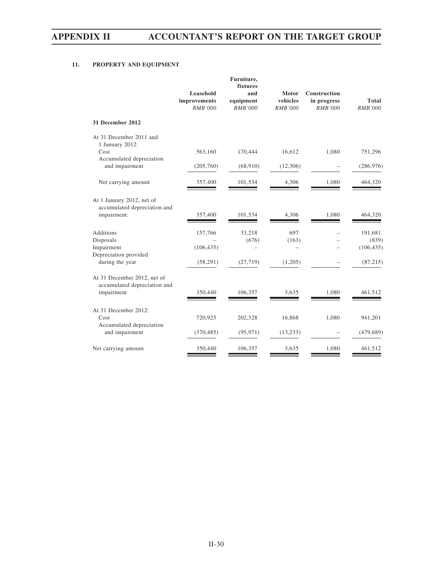# **11. PROPERTY AND EQUIPMENT**

|                                                             | Leasehold<br>improvements<br><b>RMB'000</b> | Furniture,<br>fixtures<br>and<br>equipment<br><b>RMB'000</b> | <b>Motor</b><br>vehicles<br><b>RMB'000</b> | Construction<br>in progress<br><b>RMB'000</b> | <b>Total</b><br><b>RMB'000</b> |
|-------------------------------------------------------------|---------------------------------------------|--------------------------------------------------------------|--------------------------------------------|-----------------------------------------------|--------------------------------|
| <b>31 December 2012</b>                                     |                                             |                                                              |                                            |                                               |                                |
| At 31 December 2011 and<br>1 January 2012:                  |                                             |                                                              |                                            |                                               |                                |
| Cost<br>Accumulated depreciation                            | 563,160                                     | 170,444                                                      | 16,612                                     | 1,080                                         | 751,296                        |
| and impairment                                              | (205,760)                                   | (68,910)                                                     | (12,306)                                   |                                               | (286, 976)                     |
| Net carrying amount                                         | 357,400                                     | 101,534                                                      | 4,306                                      | 1,080                                         | 464,320                        |
| At 1 January 2012, net of<br>accumulated depreciation and   |                                             |                                                              |                                            |                                               |                                |
| impairment:                                                 | 357,400                                     | 101,534                                                      | 4,306                                      | 1,080                                         | 464,320                        |
| <b>Additions</b>                                            | 157,766                                     | 33,218                                                       | 697                                        |                                               | 191,681                        |
| Disposals<br>Impairment<br>Depreciation provided            | (106, 435)                                  | (676)                                                        | (163)                                      | $\equiv$                                      | (839)<br>(106, 435)            |
| during the year                                             | (58,291)                                    | (27, 719)                                                    | (1,205)                                    |                                               | (87, 215)                      |
| At 31 December 2012, net of<br>accumulated depreciation and |                                             |                                                              |                                            |                                               |                                |
| impairment                                                  | 350,440                                     | 106,357                                                      | 3,635                                      | 1,080                                         | 461,512                        |
| At 31 December 2012:<br>Cost                                | 720,925                                     | 202,328                                                      | 16,868                                     | 1,080                                         | 941,201                        |
| Accumulated depreciation<br>and impairment                  | (370, 485)                                  | (95, 971)                                                    | (13, 233)                                  |                                               | (479, 689)                     |
| Net carrying amount                                         | 350,440                                     | 106,357                                                      | 3,635                                      | 1.080                                         | 461,512                        |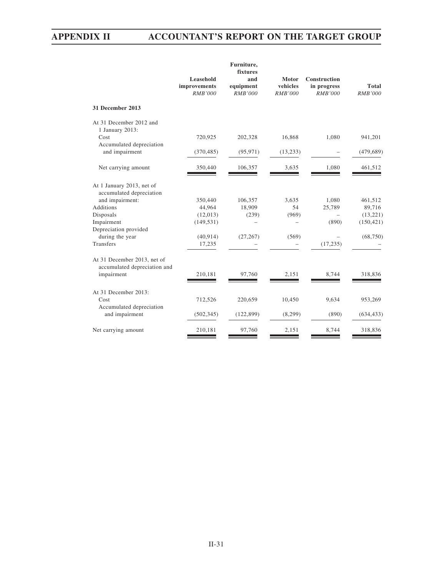|                                                             | Leasehold<br>improvements | Furniture,<br>fixtures<br>and<br>equipment | <b>Motor</b><br>vehicles | Construction<br>in progress | <b>Total</b>   |
|-------------------------------------------------------------|---------------------------|--------------------------------------------|--------------------------|-----------------------------|----------------|
|                                                             | <b>RMB'000</b>            | <b>RMB'000</b>                             | <b>RMB'000</b>           | <b>RMB'000</b>              | <b>RMB'000</b> |
| 31 December 2013                                            |                           |                                            |                          |                             |                |
| At 31 December 2012 and<br>1 January 2013:                  |                           |                                            |                          |                             |                |
| Cost                                                        | 720,925                   | 202,328                                    | 16,868                   | 1,080                       | 941,201        |
| Accumulated depreciation                                    |                           |                                            |                          |                             |                |
| and impairment                                              | (370, 485)                | (95, 971)                                  | (13, 233)                |                             | (479, 689)     |
| Net carrying amount                                         | 350,440                   | 106,357                                    | 3,635                    | 1,080                       | 461,512        |
| At 1 January 2013, net of<br>accumulated depreciation       |                           |                                            |                          |                             |                |
| and impairment:                                             | 350,440                   | 106,357                                    | 3,635                    | 1,080                       | 461,512        |
| <b>Additions</b>                                            | 44,964                    | 18,909                                     | 54                       | 25,789                      | 89,716         |
| Disposals                                                   | (12,013)                  | (239)                                      | (969)                    |                             | (13,221)       |
| Impairment                                                  | (149, 531)                |                                            |                          | (890)                       | (150, 421)     |
| Depreciation provided                                       |                           |                                            |                          |                             |                |
| during the year                                             | (40, 914)                 | (27, 267)                                  | (569)                    |                             | (68, 750)      |
| Transfers                                                   | 17,235                    |                                            |                          | (17, 235)                   |                |
| At 31 December 2013, net of<br>accumulated depreciation and |                           |                                            |                          |                             |                |
| impairment                                                  | 210,181                   | 97,760                                     | 2,151                    | 8,744                       | 318,836        |
| At 31 December 2013:                                        |                           |                                            |                          |                             |                |
| Cost                                                        | 712,526                   | 220,659                                    | 10,450                   | 9,634                       | 953,269        |
| Accumulated depreciation                                    |                           |                                            |                          |                             |                |
| and impairment                                              | (502, 345)                | (122, 899)                                 | (8,299)                  | (890)                       | (634, 433)     |
| Net carrying amount                                         | 210,181                   | 97,760                                     | 2,151                    | 8,744                       | 318,836        |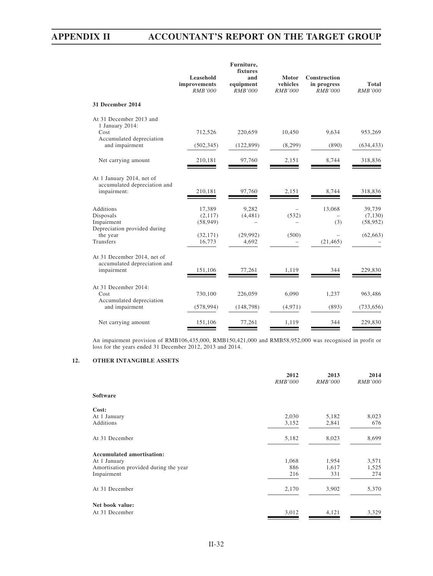|                                                                             | Leasehold<br>improvements<br>RMB'000 | Furniture,<br>fixtures<br>and<br>equipment<br>RMB'000 | <b>Motor</b><br>vehicles<br>RMB'000 | <b>Construction</b><br>in progress<br>RMB'000 | Total<br>RMB'000               |
|-----------------------------------------------------------------------------|--------------------------------------|-------------------------------------------------------|-------------------------------------|-----------------------------------------------|--------------------------------|
| 31 December 2014                                                            |                                      |                                                       |                                     |                                               |                                |
| At 31 December 2013 and<br>1 January 2014:<br>Cost                          | 712,526                              | 220,659                                               | 10,450                              | 9,634                                         | 953,269                        |
| Accumulated depreciation<br>and impairment                                  | (502, 345)                           | (122, 899)                                            | (8,299)                             | (890)                                         | (634, 433)                     |
| Net carrying amount                                                         | 210,181                              | 97,760                                                | 2,151                               | 8,744                                         | 318,836                        |
| At 1 January 2014, net of<br>accumulated depreciation and<br>impairment:    | 210,181                              | 97,760                                                | 2,151                               | 8,744                                         | 318,836                        |
| <b>Additions</b><br>Disposals<br>Impairment<br>Depreciation provided during | 17,389<br>(2,117)<br>(58, 949)       | 9.282<br>(4, 481)                                     | (532)                               | 13,068<br>(3)                                 | 39,739<br>(7,130)<br>(58, 952) |
| the year<br>Transfers                                                       | (32, 171)<br>16,773                  | (29,992)<br>4,692                                     | (500)                               | (21, 465)                                     | (62, 663)                      |
| At 31 December 2014, net of<br>accumulated depreciation and<br>impairment   | 151,106                              | 77,261                                                | 1,119                               | 344                                           | 229,830                        |
| At 31 December 2014:<br>Cost<br>Accumulated depreciation                    | 730,100                              | 226,059                                               | 6,090                               | 1,237                                         | 963,486                        |
| and impairment                                                              | (578, 994)                           | (148, 798)                                            | (4,971)                             | (893)                                         | (733, 656)                     |
| Net carrying amount                                                         | 151,106                              | 77,261                                                | 1,119                               | 344                                           | 229,830                        |
|                                                                             |                                      |                                                       |                                     |                                               |                                |

An impairment provision of RMB106,435,000, RMB150,421,000 and RMB58,952,000 was recognised in profit or loss for the years ended 31 December 2012, 2013 and 2014.

# **12. OTHER INTANGIBLE ASSETS**

|                                       | 2012<br><b>RMB'000</b> | 2013<br><b>RMB'000</b> | 2014<br><b>RMB'000</b> |
|---------------------------------------|------------------------|------------------------|------------------------|
| <b>Software</b>                       |                        |                        |                        |
| Cost:                                 |                        |                        |                        |
| At 1 January                          | 2,030                  | 5,182                  | 8,023                  |
| Additions                             | 3,152                  | 2,841                  | 676                    |
| At 31 December                        | 5,182                  | 8,023                  | 8,699                  |
| <b>Accumulated amortisation:</b>      |                        |                        |                        |
| At 1 January                          | 1,068                  | 1,954                  | 3,571                  |
| Amortisation provided during the year | 886                    | 1,617                  | 1,525                  |
| Impairment                            | 216                    | 331                    | 274                    |
| At 31 December                        | 2,170                  | 3,902                  | 5,370                  |
| Net book value:                       |                        |                        |                        |
| At 31 December                        | 3,012                  | 4,121                  | 3,329                  |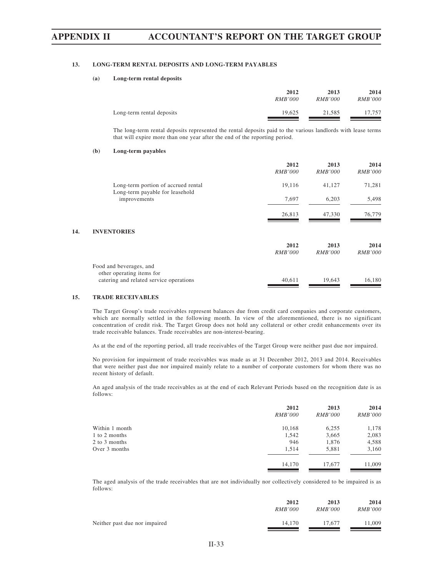# **13. LONG-TERM RENTAL DEPOSITS AND LONG-TERM PAYABLES**

### **(a) Long-term rental deposits**

|                           | 2012           | 2013           | 2014           |
|---------------------------|----------------|----------------|----------------|
|                           | <i>RMB'000</i> | <i>RMB'000</i> | <b>RMB'000</b> |
| Long-term rental deposits | 19.625         | 21.585         | 17.757         |

The long-term rental deposits represented the rental deposits paid to the various landlords with lease terms that will expire more than one year after the end of the reporting period.

### **(b) Long-term payables**

|                                                      | 2012<br><i>RMB'000</i> | 2013<br><i>RMB'000</i> | 2014<br><i>RMB'000</i> |
|------------------------------------------------------|------------------------|------------------------|------------------------|
| Long-term portion of accrued rental                  | 19,116                 | 41,127                 | 71,281                 |
| Long-term payable for leasehold<br>improvements      | 7,697                  | 6,203                  | 5,498                  |
|                                                      | 26,813                 | 47,330                 | 76,779                 |
| <b>INVENTORIES</b>                                   |                        |                        |                        |
|                                                      | 2012<br><i>RMB'000</i> | 2013<br><i>RMB'000</i> | 2014<br><i>RMB'000</i> |
| Food and beverages, and<br>other operating items for |                        |                        |                        |
| catering and related service operations              | 40,611                 | 19,643                 | 16,180                 |

## **15. TRADE RECEIVABLES**

14. **I** 

The Target Group's trade receivables represent balances due from credit card companies and corporate customers, which are normally settled in the following month. In view of the aforementioned, there is no significant concentration of credit risk. The Target Group does not hold any collateral or other credit enhancements over its trade receivable balances. Trade receivables are non-interest-bearing.

As at the end of the reporting period, all trade receivables of the Target Group were neither past due nor impaired.

No provision for impairment of trade receivables was made as at 31 December 2012, 2013 and 2014. Receivables that were neither past due nor impaired mainly relate to a number of corporate customers for whom there was no recent history of default.

An aged analysis of the trade receivables as at the end of each Relevant Periods based on the recognition date is as follows:

|                | 2012           | 2013           | 2014           |
|----------------|----------------|----------------|----------------|
|                | <i>RMB'000</i> | <i>RMB'000</i> | <i>RMB'000</i> |
| Within 1 month | 10,168         | 6,255          | 1,178          |
| 1 to 2 months  | 1,542          | 3,665          | 2,083          |
| 2 to 3 months  | 946            | 1,876          | 4,588          |
| Over 3 months  | 1.514          | 5,881          | 3,160          |
|                | 14,170         | 17,677         | 11,009         |

The aged analysis of the trade receivables that are not individually nor collectively considered to be impaired is as follows:

|                               | 2012           | 2013           | 2014           |
|-------------------------------|----------------|----------------|----------------|
|                               | <i>RMB'000</i> | <i>RMB'000</i> | <i>RMB'000</i> |
| Neither past due nor impaired | 14.170         | 17.677         | 1.009          |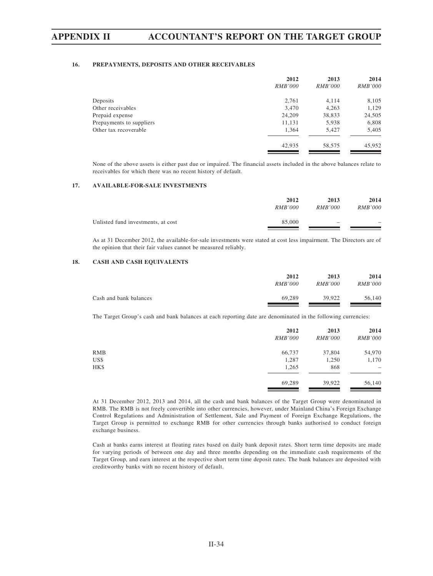# **16. PREPAYMENTS, DEPOSITS AND OTHER RECEIVABLES**

|                          | 2012           | 2013           | 2014           |
|--------------------------|----------------|----------------|----------------|
|                          | <i>RMB'000</i> | <i>RMB'000</i> | <i>RMB'000</i> |
| Deposits                 | 2,761          | 4,114          | 8,105          |
| Other receivables        | 3,470          | 4,263          | 1,129          |
| Prepaid expense          | 24,209         | 38,833         | 24,505         |
| Prepayments to suppliers | 11,131         | 5,938          | 6,808          |
| Other tax recoverable    | 1,364          | 5,427          | 5,405          |
|                          | 42,935         | 58,575         | 45,952         |

None of the above assets is either past due or impaired. The financial assets included in the above balances relate to receivables for which there was no recent history of default.

# **17. AVAILABLE-FOR-SALE INVESTMENTS**

|                                    | 2012           | 2013                     | 2014           |
|------------------------------------|----------------|--------------------------|----------------|
|                                    | <i>RMB'000</i> | <i>RMB'000</i>           | <i>RMB'000</i> |
| Unlisted fund investments, at cost | 85,000         | $\overline{\phantom{a}}$ | -              |

As at 31 December 2012, the available-for-sale investments were stated at cost less impairment. The Directors are of the opinion that their fair values cannot be measured reliably.

# **18. CASH AND CASH EQUIVALENTS**

|                        | 2012           | 2013           | 2014           |
|------------------------|----------------|----------------|----------------|
|                        | <i>RMB'000</i> | <i>RMB'000</i> | <i>RMB'000</i> |
| Cash and bank balances | 69.289         | 39,922         | 56,140         |

The Target Group's cash and bank balances at each reporting date are denominated in the following currencies:

|      | 2012<br><i>RMB'000</i> | 2013<br><b>RMB'000</b> | 2014<br><i>RMB'000</i> |
|------|------------------------|------------------------|------------------------|
| RMB  | 66,737                 | 37,804                 | 54,970                 |
| US\$ | 1,287                  | 1,250                  | 1,170                  |
| HK\$ | 1,265                  | 868                    | $\hspace{0.05cm}$      |
|      | 69,289                 | 39,922                 | 56,140                 |

At 31 December 2012, 2013 and 2014, all the cash and bank balances of the Target Group were denominated in RMB. The RMB is not freely convertible into other currencies, however, under Mainland China's Foreign Exchange Control Regulations and Administration of Settlement, Sale and Payment of Foreign Exchange Regulations, the Target Group is permitted to exchange RMB for other currencies through banks authorised to conduct foreign exchange business.

Cash at banks earns interest at floating rates based on daily bank deposit rates. Short term time deposits are made for varying periods of between one day and three months depending on the immediate cash requirements of the Target Group, and earn interest at the respective short term time deposit rates. The bank balances are deposited with creditworthy banks with no recent history of default.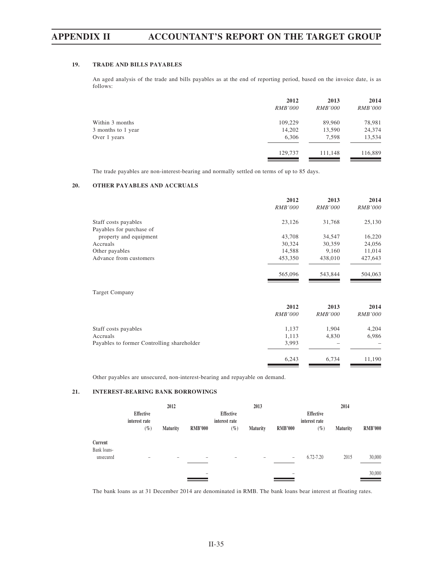# **19. TRADE AND BILLS PAYABLES**

An aged analysis of the trade and bills payables as at the end of reporting period, based on the invoice date, is as follows:

|                    | 2012           | 2013           | 2014           |
|--------------------|----------------|----------------|----------------|
|                    | <i>RMB'000</i> | <i>RMB'000</i> | <i>RMB'000</i> |
| Within 3 months    | 109,229        | 89,960         | 78,981         |
| 3 months to 1 year | 14,202         | 13,590         | 24,374         |
| Over 1 years       | 6,306          | 7,598          | 13,534         |
|                    | 129,737        | 111,148        | 116,889        |

The trade payables are non-interest-bearing and normally settled on terms of up to 85 days.

# **20. OTHER PAYABLES AND ACCRUALS**

|                                            | 2012           | 2013           | 2014           |
|--------------------------------------------|----------------|----------------|----------------|
|                                            | <b>RMB'000</b> | <b>RMB'000</b> | <b>RMB'000</b> |
| Staff costs payables                       | 23,126         | 31,768         | 25,130         |
| Payables for purchase of                   |                |                |                |
| property and equipment                     | 43,708         | 34,547         | 16,220         |
| Accruals                                   | 30,324         | 30,359         | 24,056         |
| Other payables                             | 14,588         | 9,160          | 11,014         |
| Advance from customers                     | 453,350        | 438,010        | 427,643        |
|                                            | 565,096        | 543,844        | 504,063        |
| <b>Target Company</b>                      |                |                |                |
|                                            | 2012           | 2013           | 2014           |
|                                            | <b>RMB'000</b> | <b>RMB'000</b> | <b>RMB'000</b> |
| Staff costs payables                       | 1,137          | 1,904          | 4,204          |
| Accruals                                   | 1,113          | 4,830          | 6,986          |
| Payables to former Controlling shareholder | 3,993          |                |                |
|                                            | 6,243          | 6,734          | 11,190         |
|                                            |                |                |                |

Other payables are unsecured, non-interest-bearing and repayable on demand.

# **21. INTEREST-BEARING BANK BORROWINGS**

|                        |                            | 2012                     |                          |                            | 2013                     |                          |                            | 2014            |                |
|------------------------|----------------------------|--------------------------|--------------------------|----------------------------|--------------------------|--------------------------|----------------------------|-----------------|----------------|
|                        | Effective<br>interest rate |                          |                          | Effective<br>interest rate |                          |                          | Effective<br>interest rate |                 |                |
|                        | $(\%)$                     | <b>Maturity</b>          | <b>RMB'000</b>           | $(\%)$                     | <b>Maturity</b>          | <b>RMB'000</b>           | $(\%)$                     | <b>Maturity</b> | <b>RMB'000</b> |
| Current<br>Bank loans- |                            |                          |                          |                            |                          |                          |                            |                 |                |
| unsecured              | $\qquad \qquad$            | $\overline{\phantom{a}}$ | $\overline{\phantom{a}}$ |                            | $\overline{\phantom{0}}$ | $\overline{\phantom{0}}$ | $6.72 - 7.20$              | 2015            | 30,000         |
|                        |                            |                          | $\overline{\phantom{0}}$ |                            |                          | $\overline{\phantom{a}}$ |                            |                 | 30,000         |

The bank loans as at 31 December 2014 are denominated in RMB. The bank loans bear interest at floating rates.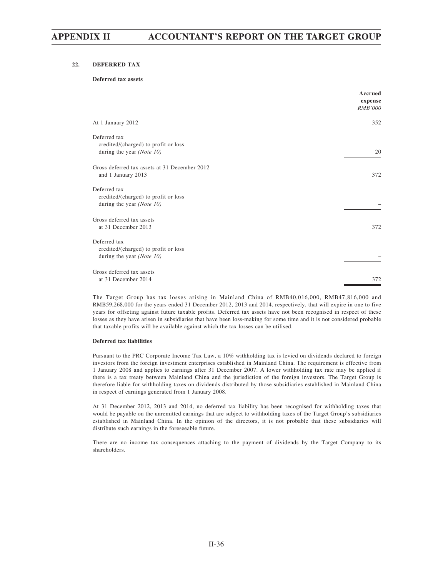# **22. DEFERRED TAX**

# **Deferred tax assets**

|                                                                                      | Accrued<br>expense<br><b>RMB'000</b> |
|--------------------------------------------------------------------------------------|--------------------------------------|
| At 1 January 2012                                                                    | 352                                  |
| Deferred tax<br>credited/(charged) to profit or loss<br>during the year (Note $10$ ) | 20                                   |
| Gross deferred tax assets at 31 December 2012<br>and 1 January 2013                  | 372                                  |
| Deferred tax<br>credited/(charged) to profit or loss<br>during the year (Note $10$ ) |                                      |
| Gross deferred tax assets<br>at 31 December 2013                                     | 372                                  |
| Deferred tax<br>credited/(charged) to profit or loss<br>during the year (Note $10$ ) |                                      |
| Gross deferred tax assets<br>at 31 December 2014                                     | 372                                  |

The Target Group has tax losses arising in Mainland China of RMB40,016,000, RMB47,816,000 and RMB59,268,000 for the years ended 31 December 2012, 2013 and 2014, respectively, that will expire in one to five years for offseting against future taxable profits. Deferred tax assets have not been recognised in respect of these losses as they have arisen in subsidiaries that have been loss-making for some time and it is not considered probable that taxable profits will be available against which the tax losses can be utilised.

### **Deferred tax liabilities**

Pursuant to the PRC Corporate Income Tax Law, a 10% withholding tax is levied on dividends declared to foreign investors from the foreign investment enterprises established in Mainland China. The requirement is effective from 1 January 2008 and applies to earnings after 31 December 2007. A lower withholding tax rate may be applied if there is a tax treaty between Mainland China and the jurisdiction of the foreign investors. The Target Group is therefore liable for withholding taxes on dividends distributed by those subsidiaries established in Mainland China in respect of earnings generated from 1 January 2008.

At 31 December 2012, 2013 and 2014, no deferred tax liability has been recognised for withholding taxes that would be payable on the unremitted earnings that are subject to withholding taxes of the Target Group's subsidiaries established in Mainland China. In the opinion of the directors, it is not probable that these subsidiaries will distribute such earnings in the foreseeable future.

There are no income tax consequences attaching to the payment of dividends by the Target Company to its shareholders.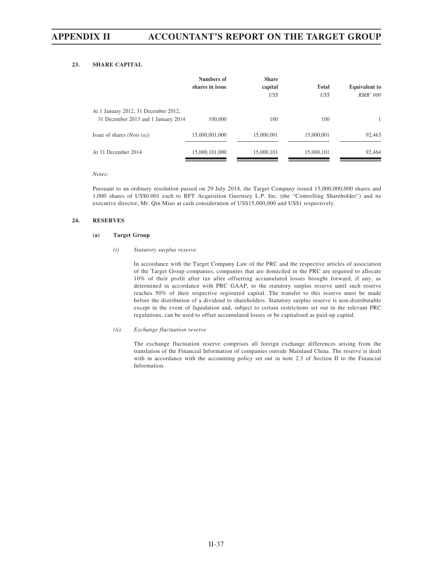# **23. SHARE CAPITAL**

|                                                                             | <b>Numbers of</b><br>shares in issue | <b>Share</b><br>capital<br>US\$ | <b>Total</b><br>US\$ | <b>Equivalent to</b><br><i>RMB' 000</i> |
|-----------------------------------------------------------------------------|--------------------------------------|---------------------------------|----------------------|-----------------------------------------|
| At 1 January 2012, 31 December 2012,<br>31 December 2013 and 1 January 2014 | 100,000                              | 100                             | 100                  |                                         |
| Issue of shares ( <i>Note</i> $(a)$ )                                       | 15,000,001,000                       | 15,000,001                      | 15,000,001           | 92,463                                  |
| At 31 December 2014                                                         | 15,000,101,000                       | 15,000,101                      | 15,000,101           | 92,464                                  |

*Notes:*

Pursuant to an ordinary resolution passed on 29 July 2014, the Target Company issued 15,000,000,000 shares and 1,000 shares of US\$0.001 each to BFT Acquisition Guernsey L.P. Inc. (the "Controlling Shareholder") and its executive director, Mr. Qin Miao at cash consideration of US\$15,000,000 and US\$1 respectively.

## **24. RESERVES**

### **(a) Target Group**

### *(i) Statutory surplus reserve*

In accordance with the Target Company Law of the PRC and the respective articles of association of the Target Group companies, companies that are domiciled in the PRC are required to allocate 10% of their profit after tax after offsetting accumulated losses brought forward, if any, as determined in accordance with PRC GAAP, to the statutory surplus reserve until such reserve reaches 50% of their respective registered capital. The transfer to this reserve must be made before the distribution of a dividend to shareholders. Statutory surplus reserve is non-distributable except in the event of liquidation and, subject to certain restrictions set out in the relevant PRC regulations, can be used to offset accumulated losses or be capitalised as paid-up capital.

### *(ii) Exchange fluctuation reserve*

The exchange fluctuation reserve comprises all foreign exchange differences arising from the translation of the Financial Information of companies outside Mainland China. The reserve is dealt with in accordance with the accounting policy set out in note 2.3 of Section II to the Financial Information.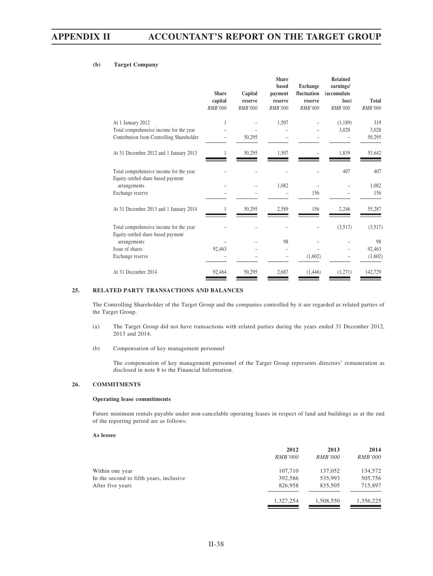# **(b) Target Company**

|                                                                               | <b>Share</b><br>capital<br><b>RMB'000</b> | Capital<br>reserve<br>RMB'000 | <b>Share</b><br>based<br>payment<br>reserve<br>RMB'000 | <b>Exchange</b><br>fluctuation<br>reserve<br><b>RMB'000</b> | <b>Retained</b><br>earnings/<br><i>(accumulate)</i><br>loss)<br>RMB'000 | <b>Total</b><br>RMB'000 |
|-------------------------------------------------------------------------------|-------------------------------------------|-------------------------------|--------------------------------------------------------|-------------------------------------------------------------|-------------------------------------------------------------------------|-------------------------|
| At 1 January 2012                                                             | 1                                         |                               | 1,507                                                  |                                                             | (1,189)                                                                 | 319                     |
| Total comprehensive income for the year                                       |                                           |                               |                                                        |                                                             | 3,028                                                                   | 3,028                   |
| Contribution from Controlling Shareholder                                     |                                           | 50,295                        |                                                        |                                                             |                                                                         | 50,295                  |
| At 31 December 2012 and 1 January 2013                                        |                                           | 50,295                        | 1,507                                                  |                                                             | 1,839                                                                   | 53,642                  |
| Total comprehensive income for the year<br>Equity-settled share based payment |                                           |                               |                                                        |                                                             | 407                                                                     | 407                     |
| arrangements                                                                  |                                           |                               | 1,082                                                  |                                                             |                                                                         | 1,082                   |
| Exchange reserve                                                              |                                           |                               |                                                        | 156                                                         |                                                                         | 156                     |
| At 31 December 2013 and 1 January 2014                                        | 1                                         | 50,295                        | 2,589                                                  | 156                                                         | 2,246                                                                   | 55,287                  |
| Total comprehensive income for the year                                       |                                           |                               |                                                        |                                                             | (3,517)                                                                 | (3,517)                 |
| Equity-settled share based payment<br>arrangements                            |                                           |                               | 98                                                     |                                                             |                                                                         | 98                      |
| Issue of shares                                                               | 92,463                                    |                               |                                                        |                                                             |                                                                         | 92,463                  |
| Exchange reserve                                                              |                                           |                               |                                                        | (1,602)                                                     |                                                                         | (1,602)                 |
| At 31 December 2014                                                           | 92,464                                    | 50,295                        | 2,687                                                  | (1,446)                                                     | (1,271)                                                                 | 142,729                 |

# **25. RELATED PARTY TRANSACTIONS AND BALANCES**

The Controlling Shareholder of the Target Group and the companies controlled by it are regarded as related parties of the Target Group.

- (a) The Target Group did not have transactions with related parties during the years ended 31 December 2012, 2013 and 2014.
- (b) Compensation of key management personnel

The compensation of key management personnel of the Target Group represents directors' remuneration as disclosed in note 8 to the Financial Information.

# **26. COMMITMENTS**

### **Operating lease commitments**

Future minimum rentals payable under non-cancelable operating leases in respect of land and buildings as at the end of the reporting period are as follows:

#### **As lessee**

|                                         | 2012<br><i>RMB'000</i> | 2013<br><i>RMB'000</i> | 2014<br><i>RMB'000</i> |
|-----------------------------------------|------------------------|------------------------|------------------------|
| Within one year                         | 107,710                | 137,052                | 134,572                |
| In the second to fifth years, inclusive | 392,586                | 535,993                | 505,756                |
| After five years                        | 826,958                | 835,505                | 715,897                |
|                                         | 1,327,254              | 1,508,550              | 1,356,225              |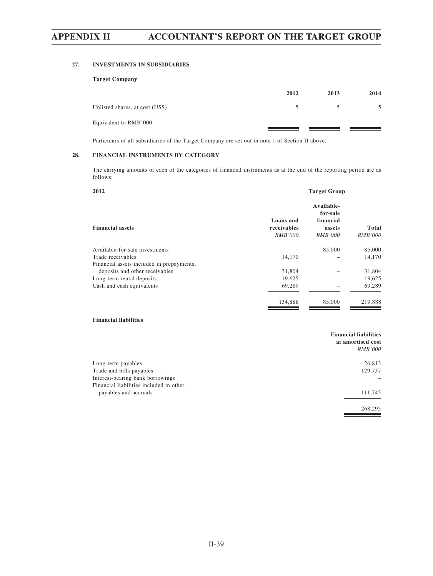# **27. INVESTMENTS IN SUBSIDIARIES**

# **Target Company**

|                                 | 2012 | 2013 | 2014 |
|---------------------------------|------|------|------|
| Unlisted shares, at cost (US\$) |      |      |      |
| Equivalent to RMB'000           |      |      |      |

Particulars of all subsidiaries of the Target Company are set out in note 1 of Section II above.

# **28. FINANCIAL INSTRUMENTS BY CATEGORY**

The carrying amounts of each of the categories of financial instruments as at the end of the reporting period are as follows:

| 2012                                      | <b>Target Group</b>                        |                                                                 |                                |
|-------------------------------------------|--------------------------------------------|-----------------------------------------------------------------|--------------------------------|
| <b>Financial assets</b>                   | Loans and<br>receivables<br><b>RMB'000</b> | Available-<br>for-sale<br>financial<br>assets<br><i>RMB'000</i> | <b>Total</b><br><b>RMB'000</b> |
| Available-for-sale investments            |                                            | 85,000                                                          | 85,000                         |
| Trade receivables                         | 14,170                                     |                                                                 | 14,170                         |
| Financial assets included in prepayments, |                                            |                                                                 |                                |
| deposits and other receivables            | 31,804                                     |                                                                 | 31,804                         |
| Long-term rental deposits                 | 19,625                                     |                                                                 | 19,625                         |
| Cash and cash equivalents                 | 69,289                                     |                                                                 | 69,289                         |
|                                           | 134,888                                    | 85,000                                                          | 219,888                        |

# **Financial liabilities**

|                                         | <b>Financial liabilities</b><br>at amortised cost |
|-----------------------------------------|---------------------------------------------------|
|                                         | <i>RMB'000</i>                                    |
| Long-term payables                      | 26,813                                            |
| Trade and bills payables                | 129,737                                           |
| Interest-bearing bank borrowings        |                                                   |
| Financial liabilities included in other |                                                   |
| payables and accruals                   | 111,745                                           |
|                                         | 268,295                                           |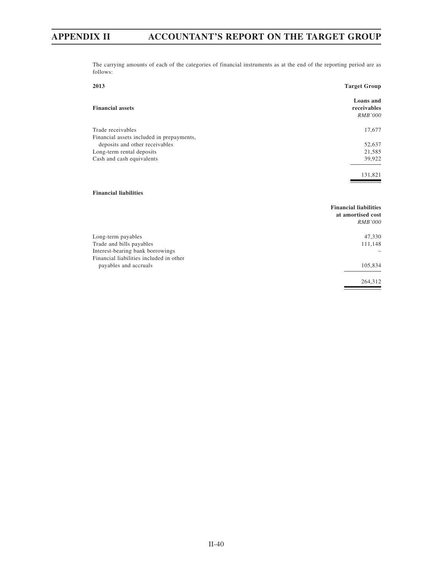The carrying amounts of each of the categories of financial instruments as at the end of the reporting period are as follows:

| 2013                                                                                                                          | <b>Target Group</b>                                                 |
|-------------------------------------------------------------------------------------------------------------------------------|---------------------------------------------------------------------|
| <b>Financial assets</b>                                                                                                       | Loans and<br>receivables<br><b>RMB'000</b>                          |
| Trade receivables                                                                                                             | 17,677                                                              |
| Financial assets included in prepayments,                                                                                     |                                                                     |
| deposits and other receivables                                                                                                | 52,637                                                              |
| Long-term rental deposits                                                                                                     | 21,585                                                              |
| Cash and cash equivalents                                                                                                     | 39,922                                                              |
| <b>Financial liabilities</b>                                                                                                  | 131,821                                                             |
|                                                                                                                               | <b>Financial liabilities</b><br>at amortised cost<br><b>RMB'000</b> |
| Long-term payables<br>Trade and bills payables<br>Interest-bearing bank borrowings<br>Financial liabilities included in other | 47,330<br>111,148                                                   |
| payables and accruals                                                                                                         | 105,834                                                             |

264,312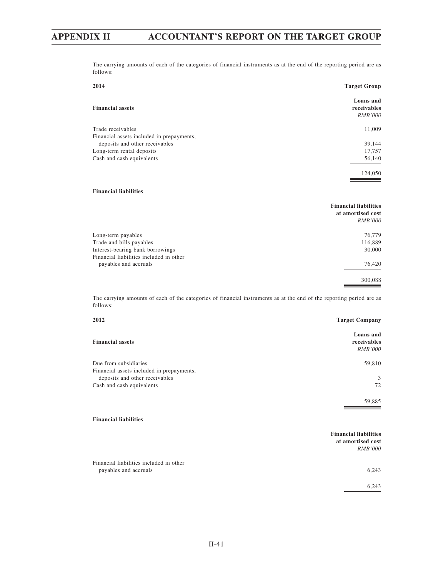The carrying amounts of each of the categories of financial instruments as at the end of the reporting period are as follows:

| 2014                                                                                                                                  | <b>Target Group</b>                                                 |
|---------------------------------------------------------------------------------------------------------------------------------------|---------------------------------------------------------------------|
| <b>Financial assets</b>                                                                                                               | Loans and<br>receivables<br><b>RMB'000</b>                          |
| Trade receivables                                                                                                                     | 11,009                                                              |
| Financial assets included in prepayments,<br>deposits and other receivables<br>Long-term rental deposits<br>Cash and cash equivalents | 39,144<br>17,757<br>56,140<br>124,050                               |
| <b>Financial liabilities</b>                                                                                                          |                                                                     |
|                                                                                                                                       | <b>Financial liabilities</b><br>at amortised cost<br><b>RMB'000</b> |
| Long-term payables                                                                                                                    | 76,779                                                              |
| Trade and bills payables                                                                                                              | 116,889                                                             |
| Interest-bearing bank borrowings                                                                                                      | 30,000                                                              |
| Financial liabilities included in other<br>payables and accruals                                                                      | 76,420                                                              |
|                                                                                                                                       | 300,088                                                             |

The carrying amounts of each of the categories of financial instruments as at the end of the reporting period are as follows:

| 2012                                                                        | <b>Target Company</b>                                               |
|-----------------------------------------------------------------------------|---------------------------------------------------------------------|
| <b>Financial assets</b>                                                     | Loans and<br>receivables<br><b>RMB'000</b>                          |
| Due from subsidiaries                                                       | 59,810                                                              |
| Financial assets included in prepayments,<br>deposits and other receivables | 3                                                                   |
| Cash and cash equivalents                                                   | 72                                                                  |
|                                                                             | 59,885                                                              |
| <b>Financial liabilities</b>                                                |                                                                     |
|                                                                             | <b>Financial liabilities</b><br>at amortised cost<br><i>RMB'000</i> |
| Financial liabilities included in other                                     |                                                                     |

payables and accruals 6,243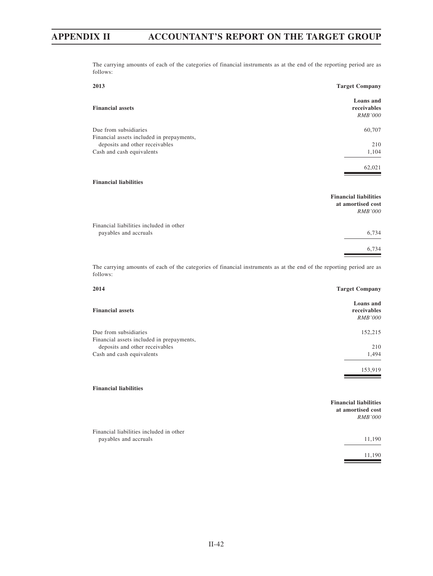The carrying amounts of each of the categories of financial instruments as at the end of the reporting period are as follows:

| 2013                                                                                                                             | <b>Target Company</b>                                               |
|----------------------------------------------------------------------------------------------------------------------------------|---------------------------------------------------------------------|
| <b>Financial assets</b>                                                                                                          | Loans and<br>receivables<br><b>RMB'000</b>                          |
| Due from subsidiaries                                                                                                            | 60,707                                                              |
| Financial assets included in prepayments,                                                                                        |                                                                     |
| deposits and other receivables                                                                                                   | 210                                                                 |
| Cash and cash equivalents                                                                                                        | 1,104                                                               |
|                                                                                                                                  | 62,021                                                              |
| <b>Financial liabilities</b>                                                                                                     |                                                                     |
|                                                                                                                                  | <b>Financial liabilities</b><br>at amortised cost<br><b>RMB'000</b> |
| Financial liabilities included in other                                                                                          |                                                                     |
| payables and accruals                                                                                                            | 6,734                                                               |
|                                                                                                                                  | 6,734                                                               |
| The carrying amounts of each of the categories of financial instruments as at the end of the reporting period are as<br>follows: |                                                                     |
| 2014                                                                                                                             | <b>Target Company</b>                                               |
|                                                                                                                                  | Loans and                                                           |

| <b>Financial assets</b>                   | поану ани<br>receivables<br><i>RMB'000</i> |
|-------------------------------------------|--------------------------------------------|
| Due from subsidiaries                     | 152,215                                    |
| Financial assets included in prepayments, |                                            |
| deposits and other receivables            | 210                                        |
| Cash and cash equivalents                 | 1,494                                      |
|                                           | 153,919                                    |
|                                           |                                            |

#### **Financial liabilities**

|                                                                  | <b>Financial liabilities</b><br>at amortised cost<br><i>RMB'000</i> |
|------------------------------------------------------------------|---------------------------------------------------------------------|
| Financial liabilities included in other<br>payables and accruals | 11,190                                                              |
|                                                                  | 11.190                                                              |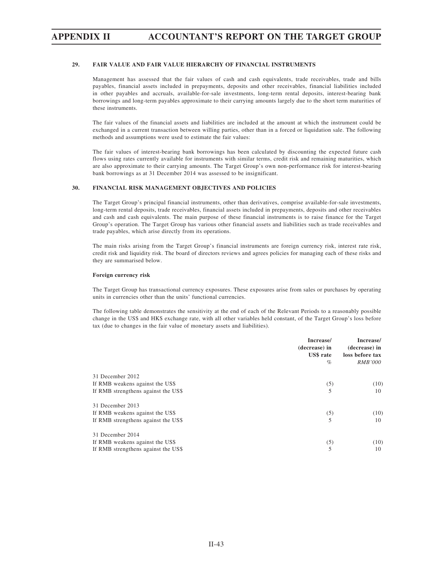# **APPENDIX II ACCOUNTANT'S REPORT ON THE TARGET GROUP**

#### **29. FAIR VALUE AND FAIR VALUE HIERARCHY OF FINANCIAL INSTRUMENTS**

Management has assessed that the fair values of cash and cash equivalents, trade receivables, trade and bills payables, financial assets included in prepayments, deposits and other receivables, financial liabilities included in other payables and accruals, available-for-sale investments, long-term rental deposits, interest-bearing bank borrowings and long-term payables approximate to their carrying amounts largely due to the short term maturities of these instruments.

The fair values of the financial assets and liabilities are included at the amount at which the instrument could be exchanged in a current transaction between willing parties, other than in a forced or liquidation sale. The following methods and assumptions were used to estimate the fair values:

The fair values of interest-bearing bank borrowings has been calculated by discounting the expected future cash flows using rates currently available for instruments with similar terms, credit risk and remaining maturities, which are also approximate to their carrying amounts. The Target Group's own non-performance risk for interest-bearing bank borrowings as at 31 December 2014 was assessed to be insignificant.

#### **30. FINANCIAL RISK MANAGEMENT OBJECTIVES AND POLICIES**

The Target Group's principal financial instruments, other than derivatives, comprise available-for-sale investments, long-term rental deposits, trade receivables, financial assets included in prepayments, deposits and other receivables and cash and cash equivalents. The main purpose of these financial instruments is to raise finance for the Target Group's operation. The Target Group has various other financial assets and liabilities such as trade receivables and trade payables, which arise directly from its operations.

The main risks arising from the Target Group's financial instruments are foreign currency risk, interest rate risk, credit risk and liquidity risk. The board of directors reviews and agrees policies for managing each of these risks and they are summarised below.

#### **Foreign currency risk**

The Target Group has transactional currency exposures. These exposures arise from sales or purchases by operating units in currencies other than the units' functional currencies.

The following table demonstrates the sensitivity at the end of each of the Relevant Periods to a reasonably possible change in the US\$ and HK\$ exchange rate, with all other variables held constant, of the Target Group's loss before tax (due to changes in the fair value of monetary assets and liabilities).

|                                     | Increase/<br>(decrease) in<br><b>US\$</b> rate<br>$\%$ | Increase/<br>(decrease) in<br>loss before tax<br><i>RMB'000</i> |
|-------------------------------------|--------------------------------------------------------|-----------------------------------------------------------------|
| 31 December 2012                    |                                                        |                                                                 |
| If RMB weakens against the US\$     | (5)                                                    | (10)                                                            |
| If RMB strengthens against the US\$ | 5                                                      | 10                                                              |
| 31 December 2013                    |                                                        |                                                                 |
| If RMB weakens against the US\$     | (5)                                                    | (10)                                                            |
| If RMB strengthens against the US\$ | 5                                                      | 10                                                              |
| 31 December 2014                    |                                                        |                                                                 |
| If RMB weakens against the US\$     | (5)                                                    | (10)                                                            |
| If RMB strengthens against the US\$ | 5                                                      | 10                                                              |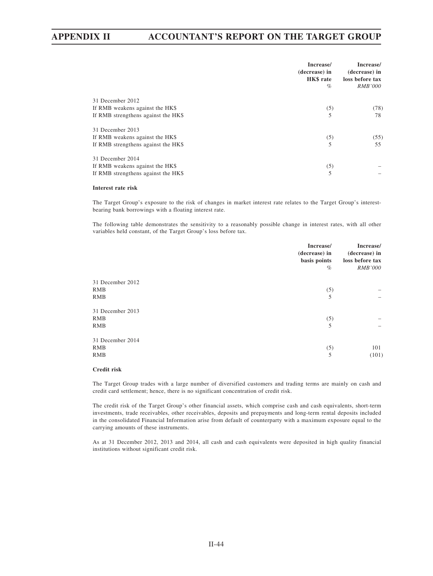# **APPENDIX II ACCOUNTANT'S REPORT ON THE TARGET GROUP**

|                                     | Increase/<br>(decrease) in<br>HK\$ rate<br>$\%$ | Increase/<br>(decrease) in<br>loss before tax<br><i>RMB'000</i> |
|-------------------------------------|-------------------------------------------------|-----------------------------------------------------------------|
| 31 December 2012                    |                                                 |                                                                 |
| If RMB weakens against the HK\$     | (5)                                             | (78)                                                            |
| If RMB strengthens against the HK\$ |                                                 | 78                                                              |
| 31 December 2013                    |                                                 |                                                                 |
| If RMB weakens against the HK\$     | (5)                                             | (55)                                                            |
| If RMB strengthens against the HK\$ | 5                                               | 55                                                              |
| 31 December 2014                    |                                                 |                                                                 |
| If RMB weakens against the HK\$     | (5)                                             |                                                                 |
| If RMB strengthens against the HK\$ | 5                                               |                                                                 |

#### **Interest rate risk**

The Target Group's exposure to the risk of changes in market interest rate relates to the Target Group's interestbearing bank borrowings with a floating interest rate.

The following table demonstrates the sensitivity to a reasonably possible change in interest rates, with all other variables held constant, of the Target Group's loss before tax.

|                  | Increase/<br>(decrease) in<br>basis points<br>$\%$ | Increase/<br>(decrease) in<br>loss before tax<br><b>RMB'000</b> |
|------------------|----------------------------------------------------|-----------------------------------------------------------------|
| 31 December 2012 |                                                    |                                                                 |
| RMB              | (5)                                                |                                                                 |
| RMB              | 5                                                  |                                                                 |
| 31 December 2013 |                                                    |                                                                 |
| RMB              | (5)                                                |                                                                 |
| RMB              | 5                                                  |                                                                 |
| 31 December 2014 |                                                    |                                                                 |
| RMB              | (5)                                                | 101                                                             |
| RMB              | 5                                                  | (101)                                                           |
|                  |                                                    |                                                                 |

#### **Credit risk**

The Target Group trades with a large number of diversified customers and trading terms are mainly on cash and credit card settlement; hence, there is no significant concentration of credit risk.

The credit risk of the Target Group's other financial assets, which comprise cash and cash equivalents, short-term investments, trade receivables, other receivables, deposits and prepayments and long-term rental deposits included in the consolidated Financial Information arise from default of counterparty with a maximum exposure equal to the carrying amounts of these instruments.

As at 31 December 2012, 2013 and 2014, all cash and cash equivalents were deposited in high quality financial institutions without significant credit risk.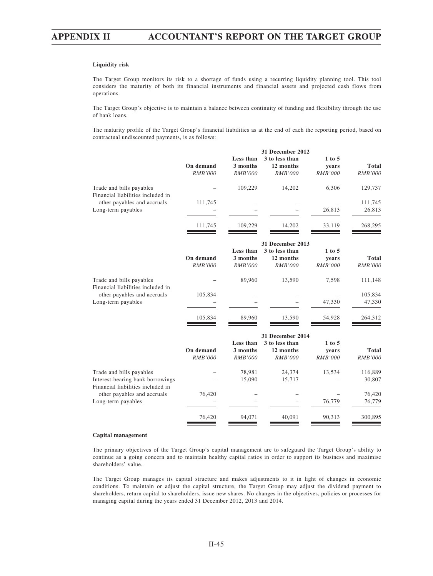# **APPENDIX II ACCOUNTANT'S REPORT ON THE TARGET GROUP**

#### **Liquidity risk**

The Target Group monitors its risk to a shortage of funds using a recurring liquidity planning tool. This tool considers the maturity of both its financial instruments and financial assets and projected cash flows from operations.

The Target Group's objective is to maintain a balance between continuity of funding and flexibility through the use of bank loans.

The maturity profile of the Target Group's financial liabilities as at the end of each the reporting period, based on contractual undiscounted payments, is as follows:

|                                                                       |                |                | 31 December 2012 |                |                |
|-----------------------------------------------------------------------|----------------|----------------|------------------|----------------|----------------|
|                                                                       |                | Less than      | 3 to less than   | $1$ to $5$     |                |
|                                                                       | On demand      | 3 months       | 12 months        | years          | <b>Total</b>   |
|                                                                       | <b>RMB'000</b> | <b>RMB'000</b> | <b>RMB'000</b>   | <b>RMB'000</b> | <b>RMB'000</b> |
| Trade and bills payables<br>Financial liabilities included in         |                | 109,229        | 14,202           | 6,306          | 129,737        |
| other payables and accruals                                           | 111,745        |                |                  |                | 111,745        |
| Long-term payables                                                    |                |                |                  | 26,813         | 26,813         |
|                                                                       | 111,745        | 109,229        | 14,202           | 33,119         | 268,295        |
|                                                                       |                |                | 31 December 2013 |                |                |
|                                                                       |                | Less than      | 3 to less than   | $1$ to $5$     |                |
|                                                                       | On demand      | 3 months       | 12 months        | years          | <b>Total</b>   |
|                                                                       | <b>RMB'000</b> | <b>RMB'000</b> | <b>RMB'000</b>   | <b>RMB'000</b> | <b>RMB'000</b> |
| Trade and bills payables<br>Financial liabilities included in         |                | 89,960         | 13,590           | 7,598          | 111,148        |
| other payables and accruals<br>Long-term payables                     | 105,834        |                |                  |                | 105,834        |
|                                                                       |                |                |                  | 47,330         | 47,330         |
|                                                                       | 105,834        | 89,960         | 13,590           | 54,928         | 264,312        |
|                                                                       |                |                | 31 December 2014 |                |                |
|                                                                       |                | Less than      | 3 to less than   | $1$ to $5$     |                |
|                                                                       | On demand      | 3 months       | 12 months        | years          | <b>Total</b>   |
|                                                                       | <b>RMB'000</b> | <b>RMB'000</b> | <b>RMB'000</b>   | <b>RMB'000</b> | <b>RMB'000</b> |
| Trade and bills payables                                              |                | 78,981         | 24,374           | 13,534         | 116,889        |
| Interest-bearing bank borrowings<br>Financial liabilities included in |                | 15,090         | 15,717           |                | 30,807         |
| other payables and accruals                                           | 76,420         |                |                  |                | 76,420         |
| Long-term payables                                                    |                |                |                  | 76,779         | 76,779         |
|                                                                       | 76,420         | 94,071         | 40,091           | 90,313         | 300,895        |
|                                                                       |                |                |                  |                |                |

#### **Capital management**

The primary objectives of the Target Group's capital management are to safeguard the Target Group's ability to continue as a going concern and to maintain healthy capital ratios in order to support its business and maximise shareholders' value.

The Target Group manages its capital structure and makes adjustments to it in light of changes in economic conditions. To maintain or adjust the capital structure, the Target Group may adjust the dividend payment to shareholders, return capital to shareholders, issue new shares. No changes in the objectives, policies or processes for managing capital during the years ended 31 December 2012, 2013 and 2014.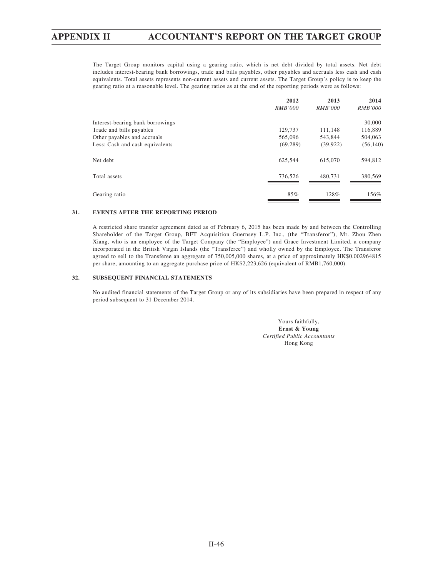The Target Group monitors capital using a gearing ratio, which is net debt divided by total assets. Net debt includes interest-bearing bank borrowings, trade and bills payables, other payables and accruals less cash and cash equivalents. Total assets represents non-current assets and current assets. The Target Group's policy is to keep the gearing ratio at a reasonable level. The gearing ratios as at the end of the reporting periods were as follows:

|                                  | 2012           | 2013           | 2014           |
|----------------------------------|----------------|----------------|----------------|
|                                  | <i>RMB'000</i> | <i>RMB'000</i> | <i>RMB'000</i> |
| Interest-bearing bank borrowings |                |                | 30,000         |
| Trade and bills payables         | 129,737        | 111,148        | 116,889        |
| Other payables and accruals      | 565,096        | 543,844        | 504,063        |
| Less: Cash and cash equivalents  | (69, 289)      | (39, 922)      | (56, 140)      |
| Net debt                         | 625,544        | 615,070        | 594,812        |
| Total assets                     | 736,526        | 480.731        | 380,569        |
| Gearing ratio                    | 85%            | 128%           | 156%           |

#### **31. EVENTS AFTER THE REPORTING PERIOD**

A restricted share transfer agreement dated as of February 6, 2015 has been made by and between the Controlling Shareholder of the Target Group, BFT Acquisition Guernsey L.P. Inc., (the "Transferor"), Mr. Zhou Zhen Xiang, who is an employee of the Target Company (the "Employee") and Grace Investment Limited, a company incorporated in the British Virgin Islands (the "Transferee") and wholly owned by the Employee. The Transferor agreed to sell to the Transferee an aggregate of 750,005,000 shares, at a price of approximately HK\$0.002964815 per share, amounting to an aggregate purchase price of HK\$2,223,626 (equivalent of RMB1,760,000).

#### **32. SUBSEQUENT FINANCIAL STATEMENTS**

No audited financial statements of the Target Group or any of its subsidiaries have been prepared in respect of any period subsequent to 31 December 2014.

> Yours faithfully, **Ernst & Young** *Certified Public Accountants* Hong Kong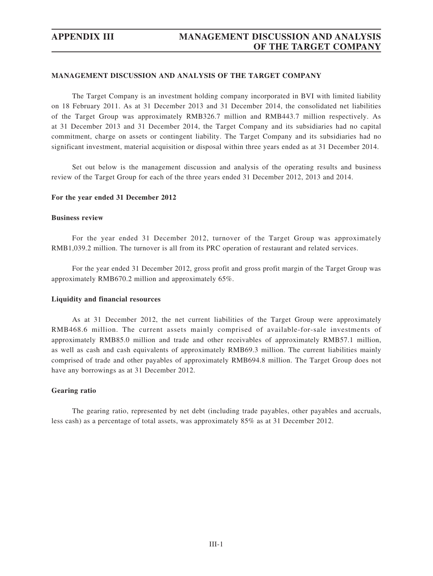## **MANAGEMENT DISCUSSION AND ANALYSIS OF THE TARGET COMPANY**

The Target Company is an investment holding company incorporated in BVI with limited liability on 18 February 2011. As at 31 December 2013 and 31 December 2014, the consolidated net liabilities of the Target Group was approximately RMB326.7 million and RMB443.7 million respectively. As at 31 December 2013 and 31 December 2014, the Target Company and its subsidiaries had no capital commitment, charge on assets or contingent liability. The Target Company and its subsidiaries had no significant investment, material acquisition or disposal within three years ended as at 31 December 2014.

Set out below is the management discussion and analysis of the operating results and business review of the Target Group for each of the three years ended 31 December 2012, 2013 and 2014.

#### **For the year ended 31 December 2012**

### **Business review**

For the year ended 31 December 2012, turnover of the Target Group was approximately RMB1,039.2 million. The turnover is all from its PRC operation of restaurant and related services.

For the year ended 31 December 2012, gross profit and gross profit margin of the Target Group was approximately RMB670.2 million and approximately 65%.

#### **Liquidity and financial resources**

As at 31 December 2012, the net current liabilities of the Target Group were approximately RMB468.6 million. The current assets mainly comprised of available-for-sale investments of approximately RMB85.0 million and trade and other receivables of approximately RMB57.1 million, as well as cash and cash equivalents of approximately RMB69.3 million. The current liabilities mainly comprised of trade and other payables of approximately RMB694.8 million. The Target Group does not have any borrowings as at 31 December 2012.

#### **Gearing ratio**

The gearing ratio, represented by net debt (including trade payables, other payables and accruals, less cash) as a percentage of total assets, was approximately 85% as at 31 December 2012.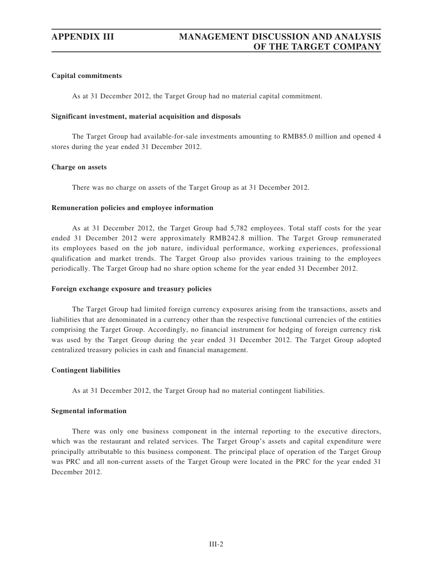## **Capital commitments**

As at 31 December 2012, the Target Group had no material capital commitment.

### **Significant investment, material acquisition and disposals**

The Target Group had available-for-sale investments amounting to RMB85.0 million and opened 4 stores during the year ended 31 December 2012.

## **Charge on assets**

There was no charge on assets of the Target Group as at 31 December 2012.

## **Remuneration policies and employee information**

As at 31 December 2012, the Target Group had 5,782 employees. Total staff costs for the year ended 31 December 2012 were approximately RMB242.8 million. The Target Group remunerated its employees based on the job nature, individual performance, working experiences, professional qualification and market trends. The Target Group also provides various training to the employees periodically. The Target Group had no share option scheme for the year ended 31 December 2012.

### **Foreign exchange exposure and treasury policies**

The Target Group had limited foreign currency exposures arising from the transactions, assets and liabilities that are denominated in a currency other than the respective functional currencies of the entities comprising the Target Group. Accordingly, no financial instrument for hedging of foreign currency risk was used by the Target Group during the year ended 31 December 2012. The Target Group adopted centralized treasury policies in cash and financial management.

## **Contingent liabilities**

As at 31 December 2012, the Target Group had no material contingent liabilities.

#### **Segmental information**

There was only one business component in the internal reporting to the executive directors, which was the restaurant and related services. The Target Group's assets and capital expenditure were principally attributable to this business component. The principal place of operation of the Target Group was PRC and all non-current assets of the Target Group were located in the PRC for the year ended 31 December 2012.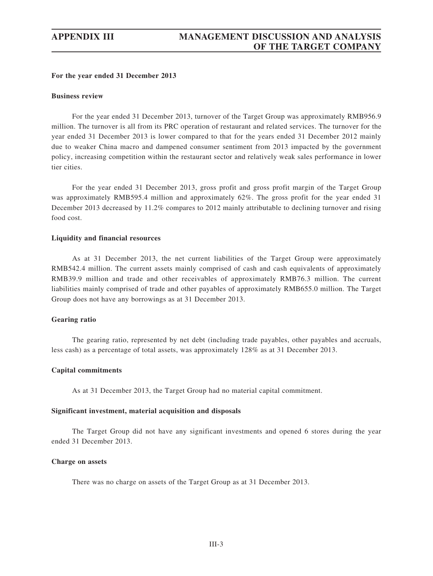### **For the year ended 31 December 2013**

#### **Business review**

For the year ended 31 December 2013, turnover of the Target Group was approximately RMB956.9 million. The turnover is all from its PRC operation of restaurant and related services. The turnover for the year ended 31 December 2013 is lower compared to that for the years ended 31 December 2012 mainly due to weaker China macro and dampened consumer sentiment from 2013 impacted by the government policy, increasing competition within the restaurant sector and relatively weak sales performance in lower tier cities.

For the year ended 31 December 2013, gross profit and gross profit margin of the Target Group was approximately RMB595.4 million and approximately 62%. The gross profit for the year ended 31 December 2013 decreased by 11.2% compares to 2012 mainly attributable to declining turnover and rising food cost.

#### **Liquidity and financial resources**

As at 31 December 2013, the net current liabilities of the Target Group were approximately RMB542.4 million. The current assets mainly comprised of cash and cash equivalents of approximately RMB39.9 million and trade and other receivables of approximately RMB76.3 million. The current liabilities mainly comprised of trade and other payables of approximately RMB655.0 million. The Target Group does not have any borrowings as at 31 December 2013.

### **Gearing ratio**

The gearing ratio, represented by net debt (including trade payables, other payables and accruals, less cash) as a percentage of total assets, was approximately 128% as at 31 December 2013.

#### **Capital commitments**

As at 31 December 2013, the Target Group had no material capital commitment.

#### **Significant investment, material acquisition and disposals**

The Target Group did not have any significant investments and opened 6 stores during the year ended 31 December 2013.

## **Charge on assets**

There was no charge on assets of the Target Group as at 31 December 2013.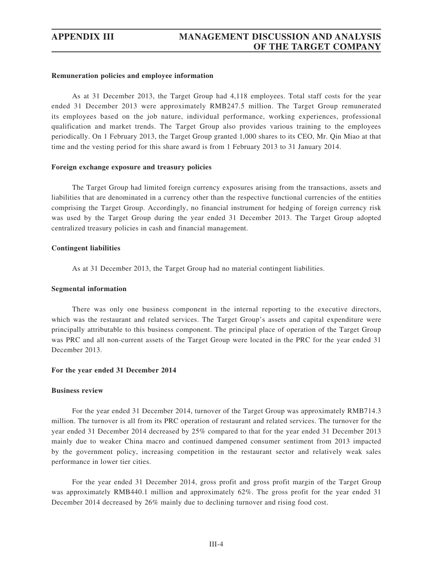#### **Remuneration policies and employee information**

As at 31 December 2013, the Target Group had 4,118 employees. Total staff costs for the year ended 31 December 2013 were approximately RMB247.5 million. The Target Group remunerated its employees based on the job nature, individual performance, working experiences, professional qualification and market trends. The Target Group also provides various training to the employees periodically. On 1 February 2013, the Target Group granted 1,000 shares to its CEO, Mr. Qin Miao at that time and the vesting period for this share award is from 1 February 2013 to 31 January 2014.

## **Foreign exchange exposure and treasury policies**

The Target Group had limited foreign currency exposures arising from the transactions, assets and liabilities that are denominated in a currency other than the respective functional currencies of the entities comprising the Target Group. Accordingly, no financial instrument for hedging of foreign currency risk was used by the Target Group during the year ended 31 December 2013. The Target Group adopted centralized treasury policies in cash and financial management.

### **Contingent liabilities**

As at 31 December 2013, the Target Group had no material contingent liabilities.

## **Segmental information**

There was only one business component in the internal reporting to the executive directors, which was the restaurant and related services. The Target Group's assets and capital expenditure were principally attributable to this business component. The principal place of operation of the Target Group was PRC and all non-current assets of the Target Group were located in the PRC for the year ended 31 December 2013.

#### **For the year ended 31 December 2014**

#### **Business review**

For the year ended 31 December 2014, turnover of the Target Group was approximately RMB714.3 million. The turnover is all from its PRC operation of restaurant and related services. The turnover for the year ended 31 December 2014 decreased by 25% compared to that for the year ended 31 December 2013 mainly due to weaker China macro and continued dampened consumer sentiment from 2013 impacted by the government policy, increasing competition in the restaurant sector and relatively weak sales performance in lower tier cities.

For the year ended 31 December 2014, gross profit and gross profit margin of the Target Group was approximately RMB440.1 million and approximately 62%. The gross profit for the year ended 31 December 2014 decreased by 26% mainly due to declining turnover and rising food cost.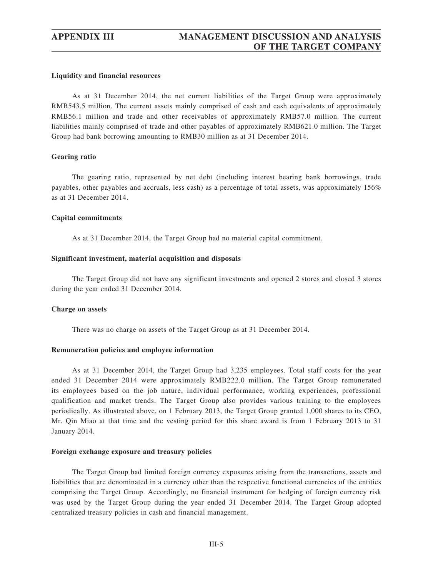#### **Liquidity and financial resources**

As at 31 December 2014, the net current liabilities of the Target Group were approximately RMB543.5 million. The current assets mainly comprised of cash and cash equivalents of approximately RMB56.1 million and trade and other receivables of approximately RMB57.0 million. The current liabilities mainly comprised of trade and other payables of approximately RMB621.0 million. The Target Group had bank borrowing amounting to RMB30 million as at 31 December 2014.

#### **Gearing ratio**

The gearing ratio, represented by net debt (including interest bearing bank borrowings, trade payables, other payables and accruals, less cash) as a percentage of total assets, was approximately 156% as at 31 December 2014.

## **Capital commitments**

As at 31 December 2014, the Target Group had no material capital commitment.

## **Significant investment, material acquisition and disposals**

The Target Group did not have any significant investments and opened 2 stores and closed 3 stores during the year ended 31 December 2014.

#### **Charge on assets**

There was no charge on assets of the Target Group as at 31 December 2014.

#### **Remuneration policies and employee information**

As at 31 December 2014, the Target Group had 3,235 employees. Total staff costs for the year ended 31 December 2014 were approximately RMB222.0 million. The Target Group remunerated its employees based on the job nature, individual performance, working experiences, professional qualification and market trends. The Target Group also provides various training to the employees periodically. As illustrated above, on 1 February 2013, the Target Group granted 1,000 shares to its CEO, Mr. Qin Miao at that time and the vesting period for this share award is from 1 February 2013 to 31 January 2014.

#### **Foreign exchange exposure and treasury policies**

The Target Group had limited foreign currency exposures arising from the transactions, assets and liabilities that are denominated in a currency other than the respective functional currencies of the entities comprising the Target Group. Accordingly, no financial instrument for hedging of foreign currency risk was used by the Target Group during the year ended 31 December 2014. The Target Group adopted centralized treasury policies in cash and financial management.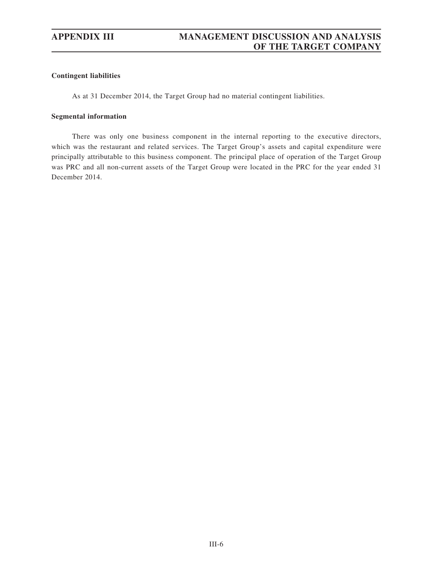## **Contingent liabilities**

As at 31 December 2014, the Target Group had no material contingent liabilities.

## **Segmental information**

There was only one business component in the internal reporting to the executive directors, which was the restaurant and related services. The Target Group's assets and capital expenditure were principally attributable to this business component. The principal place of operation of the Target Group was PRC and all non-current assets of the Target Group were located in the PRC for the year ended 31 December 2014.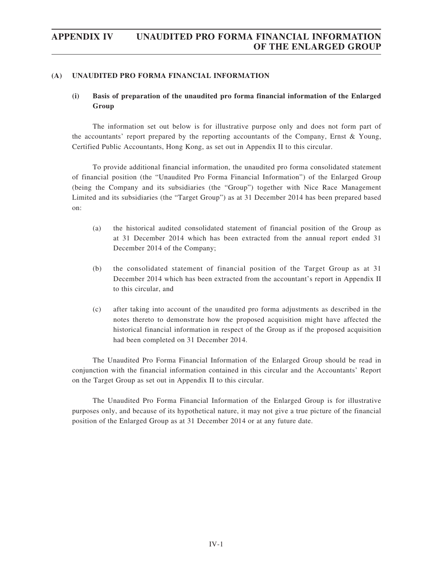## **(A) UNAUDITED PRO FORMA FINANCIAL INFORMATION**

## **(i) Basis of preparation of the unaudited pro forma financial information of the Enlarged Group**

The information set out below is for illustrative purpose only and does not form part of the accountants' report prepared by the reporting accountants of the Company, Ernst & Young, Certified Public Accountants, Hong Kong, as set out in Appendix II to this circular.

To provide additional financial information, the unaudited pro forma consolidated statement of financial position (the "Unaudited Pro Forma Financial Information") of the Enlarged Group (being the Company and its subsidiaries (the "Group") together with Nice Race Management Limited and its subsidiaries (the "Target Group") as at 31 December 2014 has been prepared based on:

- (a) the historical audited consolidated statement of financial position of the Group as at 31 December 2014 which has been extracted from the annual report ended 31 December 2014 of the Company;
- (b) the consolidated statement of financial position of the Target Group as at 31 December 2014 which has been extracted from the accountant's report in Appendix II to this circular, and
- (c) after taking into account of the unaudited pro forma adjustments as described in the notes thereto to demonstrate how the proposed acquisition might have affected the historical financial information in respect of the Group as if the proposed acquisition had been completed on 31 December 2014.

The Unaudited Pro Forma Financial Information of the Enlarged Group should be read in conjunction with the financial information contained in this circular and the Accountants' Report on the Target Group as set out in Appendix II to this circular.

The Unaudited Pro Forma Financial Information of the Enlarged Group is for illustrative purposes only, and because of its hypothetical nature, it may not give a true picture of the financial position of the Enlarged Group as at 31 December 2014 or at any future date.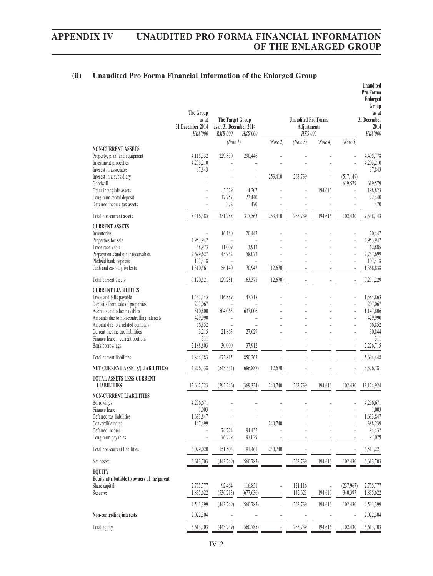## **(ii) Unaudited Pro Forma Financial Information of the Enlarged Group**

|                                                                               | The Group<br>as at<br>31 December 2014<br>HK\$'000 | The Target Group<br>as at 31 December 2014<br>RMB'000 | HK\$'000                 |          | <b>Unaudited Pro Forma</b><br>Adjustments<br>HK\$'000 |              |                | Unaudited<br>Pro Forma<br><b>Enlarged</b><br>Group<br>as at<br>31 December<br>2014<br>HK\$'000 |
|-------------------------------------------------------------------------------|----------------------------------------------------|-------------------------------------------------------|--------------------------|----------|-------------------------------------------------------|--------------|----------------|------------------------------------------------------------------------------------------------|
|                                                                               |                                                    | (Note 1)                                              |                          | (Note 2) | (Note 3)                                              | (Note 4)     | (Note 5)       |                                                                                                |
| <b>NON-CURRENT ASSETS</b>                                                     |                                                    |                                                       |                          |          |                                                       |              |                |                                                                                                |
| Property, plant and equipment<br>Investment properties                        | 4,115,332<br>4,203,210                             | 229,830                                               | 290,446                  |          |                                                       |              |                | 4,405,778<br>4,203,210                                                                         |
| Interest in associates                                                        | 97,843                                             | ÷,                                                    | ÷,                       |          |                                                       |              |                | 97,843                                                                                         |
| Interest in a subsidiary                                                      |                                                    |                                                       | ÷                        | 253,410  | 263,739                                               | $\mathbf{r}$ | (517, 149)     |                                                                                                |
| Goodwill<br>Other intangible assets                                           | $\overline{a}$                                     | 3,329                                                 | 4,207                    |          |                                                       | 194,616      | 619,579        | 619,579<br>198,823                                                                             |
| Long-term rental deposit                                                      | $\overline{a}$                                     | 17,757                                                | 22,440                   |          |                                                       |              |                | 22,440                                                                                         |
| Deferred income tax assets                                                    | $\overline{\phantom{0}}$                           | 372                                                   | 470                      |          |                                                       |              |                | 470                                                                                            |
| Total non-current assets                                                      | 8,416,385                                          | 251,288                                               | 317,563                  | 253,410  | 263,739                                               | 194,616      | 102,430        | 9,548,143                                                                                      |
| <b>CURRENT ASSETS</b><br>Inventories                                          |                                                    |                                                       |                          |          |                                                       |              |                |                                                                                                |
| Properties for sale                                                           | 4,953,942                                          | 16,180                                                | 20,447                   |          |                                                       |              |                | 20,447<br>4,953,942                                                                            |
| Trade receivable                                                              | 48,973                                             | 11,009                                                | 13,912                   |          |                                                       |              |                | 62,885                                                                                         |
| Prepayments and other receivables<br>Pledged bank deposits                    | 2.699.627<br>107,418                               | 45,952<br>$\overline{a}$                              | 58,072<br>$\blacksquare$ |          |                                                       |              | $\overline{a}$ | 2,757,699<br>107,418                                                                           |
| Cash and cash equivalents                                                     | 1,310,561                                          | 56,140                                                | 70,947                   | (12,670) |                                                       |              |                | 1,368,838                                                                                      |
| Total current assets                                                          | 9,120,521                                          | 129,281                                               | 163,378                  | (12,670) |                                                       |              |                | 9.271.229                                                                                      |
| <b>CURRENT LIABILITIES</b>                                                    |                                                    |                                                       |                          |          |                                                       |              |                |                                                                                                |
| Trade and bills payable                                                       | 1,437,145                                          | 116,889                                               | 147,718                  |          |                                                       |              |                | 1,584,863                                                                                      |
| Deposits from sale of properties<br>Accruals and other payables               | 207,067<br>510,800                                 | 504,063                                               | 637,006                  |          |                                                       |              |                | 207,067<br>1,147,806                                                                           |
| Amounts due to non-controlling interests                                      | 429,990                                            | ÷,                                                    |                          |          |                                                       |              | $\overline{a}$ | 429,990                                                                                        |
| Amount due to a related company                                               | 66,852                                             |                                                       |                          |          |                                                       |              |                | 66,852                                                                                         |
| Current income tax liabilities                                                | 3,215<br>311                                       | 21,863                                                | 27,629                   |          | $\overline{a}$                                        |              |                | 30,844<br>311                                                                                  |
| Finance lease - current portions<br><b>Bank borrowings</b>                    | 2,188,803                                          | 30,000                                                | 37,912                   |          |                                                       |              |                | 2,226,715                                                                                      |
| Total current liabilities                                                     | 4,844,183                                          | 672,815                                               | 850,265                  |          |                                                       |              |                | 5,694,448                                                                                      |
| NET CURRENT ASSETS/(LIABILITIES)                                              | 4,276,338                                          | (543, 534)                                            | (686, 887)               | (12,670) |                                                       |              |                | 3,576,781                                                                                      |
| TOTAL ASSETS LESS CURRENT<br><b>LIABILITIES</b>                               | 12,692,723                                         | (292, 246)                                            | (369, 324)               | 240,740  | 263,739                                               | 194,616      | 102,430        | 13,124,924                                                                                     |
| <b>NON-CURRENT LIABILITIES</b>                                                |                                                    |                                                       |                          |          |                                                       |              |                |                                                                                                |
| Borrowings                                                                    | 4,296,671                                          |                                                       |                          |          |                                                       |              |                | 4,296,671                                                                                      |
| Finance lease<br>Deferred tax liabilities                                     | 1,003<br>1,633,847                                 |                                                       |                          |          |                                                       |              |                | 1,003<br>1,633,847                                                                             |
| Convertible notes                                                             | 147,499                                            |                                                       |                          | 240,740  |                                                       |              |                | 388,239                                                                                        |
| Deferred income                                                               |                                                    | 74,724                                                | 94,432                   |          |                                                       |              |                | 94,432                                                                                         |
| Long-term payables                                                            |                                                    | 76,779                                                | 97,029                   |          |                                                       |              |                | 97,029                                                                                         |
| Total non-current liabilities                                                 | 6.079.020                                          | 151,503                                               | 191,461                  | 240,740  |                                                       |              |                | 6,511,221                                                                                      |
| Net assets                                                                    | 6,613,703                                          | (443, 749)                                            | (560, 785)               |          | 263,739                                               | 194,616      | 102,430        | 6,613,703                                                                                      |
| <b>EQUITY</b><br>Equity attributable to owners of the parent<br>Share capital | 2,755,777                                          | 92,464                                                | 116,851                  |          | 121,116                                               |              | (237,967)      | 2,755,777                                                                                      |
| Reserves                                                                      | 1,835,622                                          | (536, 213)                                            | (677, 636)               |          | 142,623                                               | 194,616      | 340,397        | 1,835,622                                                                                      |
|                                                                               | 4,591,399                                          | (443, 749)                                            | (560, 785)               |          | 263,739                                               | 194,616      | 102,430        | 4,591,399                                                                                      |
| Non-controlling interests                                                     | 2,022,304                                          |                                                       |                          |          |                                                       |              |                | 2,022,304                                                                                      |
| Total equity                                                                  | 6,613,703                                          | (443,749)                                             | (560, 785)               |          | 263,739                                               | 194,616      | 102,430        | 6,613,703                                                                                      |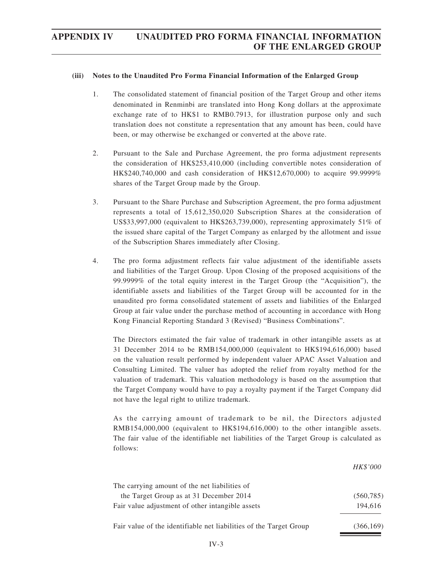## **(iii) Notes to the Unaudited Pro Forma Financial Information of the Enlarged Group**

- 1. The consolidated statement of financial position of the Target Group and other items denominated in Renminbi are translated into Hong Kong dollars at the approximate exchange rate of to HK\$1 to RMB0.7913, for illustration purpose only and such translation does not constitute a representation that any amount has been, could have been, or may otherwise be exchanged or converted at the above rate.
- 2. Pursuant to the Sale and Purchase Agreement, the pro forma adjustment represents the consideration of HK\$253,410,000 (including convertible notes consideration of HK\$240,740,000 and cash consideration of HK\$12,670,000) to acquire 99.9999% shares of the Target Group made by the Group.
- 3. Pursuant to the Share Purchase and Subscription Agreement, the pro forma adjustment represents a total of 15,612,350,020 Subscription Shares at the consideration of US\$33,997,000 (equivalent to HK\$263,739,000), representing approximately 51% of the issued share capital of the Target Company as enlarged by the allotment and issue of the Subscription Shares immediately after Closing.
- 4. The pro forma adjustment reflects fair value adjustment of the identifiable assets and liabilities of the Target Group. Upon Closing of the proposed acquisitions of the 99.9999% of the total equity interest in the Target Group (the "Acquisition"), the identifiable assets and liabilities of the Target Group will be accounted for in the unaudited pro forma consolidated statement of assets and liabilities of the Enlarged Group at fair value under the purchase method of accounting in accordance with Hong Kong Financial Reporting Standard 3 (Revised) "Business Combinations".

The Directors estimated the fair value of trademark in other intangible assets as at 31 December 2014 to be RMB154,000,000 (equivalent to HK\$194,616,000) based on the valuation result performed by independent valuer APAC Asset Valuation and Consulting Limited. The valuer has adopted the relief from royalty method for the valuation of trademark. This valuation methodology is based on the assumption that the Target Company would have to pay a royalty payment if the Target Company did not have the legal right to utilize trademark.

As the carrying amount of trademark to be nil, the Directors adjusted RMB154,000,000 (equivalent to HK\$194,616,000) to the other intangible assets. The fair value of the identifiable net liabilities of the Target Group is calculated as follows:

|                                                                    | HK\$'000   |
|--------------------------------------------------------------------|------------|
| The carrying amount of the net liabilities of                      |            |
| the Target Group as at 31 December 2014                            | (560, 785) |
| Fair value adjustment of other intangible assets                   | 194.616    |
| Fair value of the identifiable net liabilities of the Target Group | (366, 169) |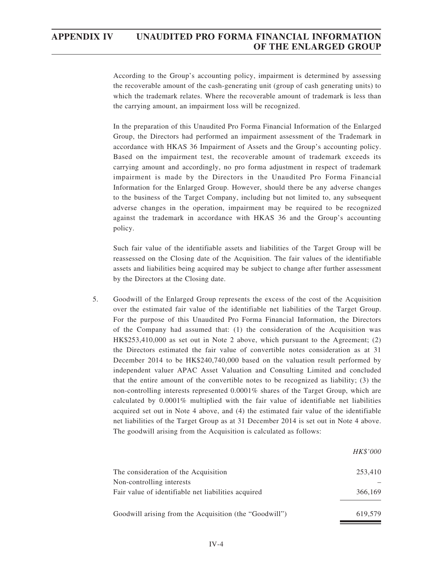According to the Group's accounting policy, impairment is determined by assessing the recoverable amount of the cash-generating unit (group of cash generating units) to which the trademark relates. Where the recoverable amount of trademark is less than the carrying amount, an impairment loss will be recognized.

In the preparation of this Unaudited Pro Forma Financial Information of the Enlarged Group, the Directors had performed an impairment assessment of the Trademark in accordance with HKAS 36 Impairment of Assets and the Group's accounting policy. Based on the impairment test, the recoverable amount of trademark exceeds its carrying amount and accordingly, no pro forma adjustment in respect of trademark impairment is made by the Directors in the Unaudited Pro Forma Financial Information for the Enlarged Group. However, should there be any adverse changes to the business of the Target Company, including but not limited to, any subsequent adverse changes in the operation, impairment may be required to be recognized against the trademark in accordance with HKAS 36 and the Group's accounting policy.

Such fair value of the identifiable assets and liabilities of the Target Group will be reassessed on the Closing date of the Acquisition. The fair values of the identifiable assets and liabilities being acquired may be subject to change after further assessment by the Directors at the Closing date.

5. Goodwill of the Enlarged Group represents the excess of the cost of the Acquisition over the estimated fair value of the identifiable net liabilities of the Target Group. For the purpose of this Unaudited Pro Forma Financial Information, the Directors of the Company had assumed that: (1) the consideration of the Acquisition was HK\$253,410,000 as set out in Note 2 above, which pursuant to the Agreement; (2) the Directors estimated the fair value of convertible notes consideration as at 31 December 2014 to be HK\$240,740,000 based on the valuation result performed by independent valuer APAC Asset Valuation and Consulting Limited and concluded that the entire amount of the convertible notes to be recognized as liability; (3) the non-controlling interests represented 0.0001% shares of the Target Group, which are calculated by 0.0001% multiplied with the fair value of identifiable net liabilities acquired set out in Note 4 above, and (4) the estimated fair value of the identifiable net liabilities of the Target Group as at 31 December 2014 is set out in Note 4 above. The goodwill arising from the Acquisition is calculated as follows:

|                                                        | HK\$'000 |
|--------------------------------------------------------|----------|
| The consideration of the Acquisition                   | 253,410  |
| Non-controlling interests                              |          |
| Fair value of identifiable net liabilities acquired    | 366,169  |
| Goodwill arising from the Acquisition (the "Goodwill") | 619.579  |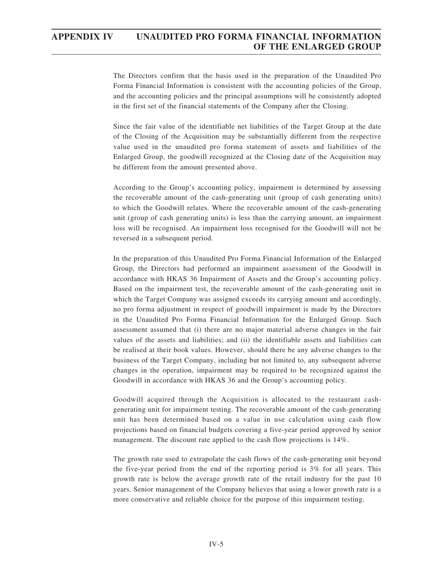The Directors confirm that the basis used in the preparation of the Unaudited Pro Forma Financial Information is consistent with the accounting policies of the Group, and the accounting policies and the principal assumptions will be consistently adopted in the first set of the financial statements of the Company after the Closing.

Since the fair value of the identifiable net liabilities of the Target Group at the date of the Closing of the Acquisition may be substantially different from the respective value used in the unaudited pro forma statement of assets and liabilities of the Enlarged Group, the goodwill recognized at the Closing date of the Acquisition may be different from the amount presented above.

According to the Group's accounting policy, impairment is determined by assessing the recoverable amount of the cash-generating unit (group of cash generating units) to which the Goodwill relates. Where the recoverable amount of the cash-generating unit (group of cash generating units) is less than the carrying amount, an impairment loss will be recognised. An impairment loss recognised for the Goodwill will not be reversed in a subsequent period.

In the preparation of this Unaudited Pro Forma Financial Information of the Enlarged Group, the Directors had performed an impairment assessment of the Goodwill in accordance with HKAS 36 Impairment of Assets and the Group's accounting policy. Based on the impairment test, the recoverable amount of the cash-generating unit in which the Target Company was assigned exceeds its carrying amount and accordingly, no pro forma adjustment in respect of goodwill impairment is made by the Directors in the Unaudited Pro Forma Financial Information for the Enlarged Group. Such assessment assumed that (i) there are no major material adverse changes in the fair values of the assets and liabilities; and (ii) the identifiable assets and liabilities can be realised at their book values. However, should there be any adverse changes to the business of the Target Company, including but not limited to, any subsequent adverse changes in the operation, impairment may be required to be recognized against the Goodwill in accordance with HKAS 36 and the Group's accounting policy.

Goodwill acquired through the Acquisition is allocated to the restaurant cashgenerating unit for impairment testing. The recoverable amount of the cash-generating unit has been determined based on a value in use calculation using cash flow projections based on financial budgets covering a five-year period approved by senior management. The discount rate applied to the cash flow projections is 14%.

The growth rate used to extrapolate the cash flows of the cash-generating unit beyond the five-year period from the end of the reporting period is 3% for all years. This growth rate is below the average growth rate of the retail industry for the past 10 years. Senior management of the Company believes that using a lower growth rate is a more conservative and reliable choice for the purpose of this impairment testing.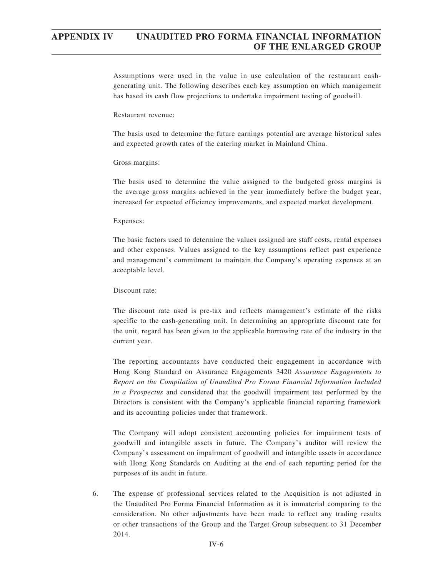Assumptions were used in the value in use calculation of the restaurant cashgenerating unit. The following describes each key assumption on which management has based its cash flow projections to undertake impairment testing of goodwill.

### Restaurant revenue:

The basis used to determine the future earnings potential are average historical sales and expected growth rates of the catering market in Mainland China.

## Gross margins:

The basis used to determine the value assigned to the budgeted gross margins is the average gross margins achieved in the year immediately before the budget year, increased for expected efficiency improvements, and expected market development.

#### Expenses:

The basic factors used to determine the values assigned are staff costs, rental expenses and other expenses. Values assigned to the key assumptions reflect past experience and management's commitment to maintain the Company's operating expenses at an acceptable level.

### Discount rate:

The discount rate used is pre-tax and reflects management's estimate of the risks specific to the cash-generating unit. In determining an appropriate discount rate for the unit, regard has been given to the applicable borrowing rate of the industry in the current year.

The reporting accountants have conducted their engagement in accordance with Hong Kong Standard on Assurance Engagements 3420 *Assurance Engagements to Report on the Compilation of Unaudited Pro Forma Financial Information Included in a Prospectus* and considered that the goodwill impairment test performed by the Directors is consistent with the Company's applicable financial reporting framework and its accounting policies under that framework.

The Company will adopt consistent accounting policies for impairment tests of goodwill and intangible assets in future. The Company's auditor will review the Company's assessment on impairment of goodwill and intangible assets in accordance with Hong Kong Standards on Auditing at the end of each reporting period for the purposes of its audit in future.

6. The expense of professional services related to the Acquisition is not adjusted in the Unaudited Pro Forma Financial Information as it is immaterial comparing to the consideration. No other adjustments have been made to reflect any trading results or other transactions of the Group and the Target Group subsequent to 31 December 2014.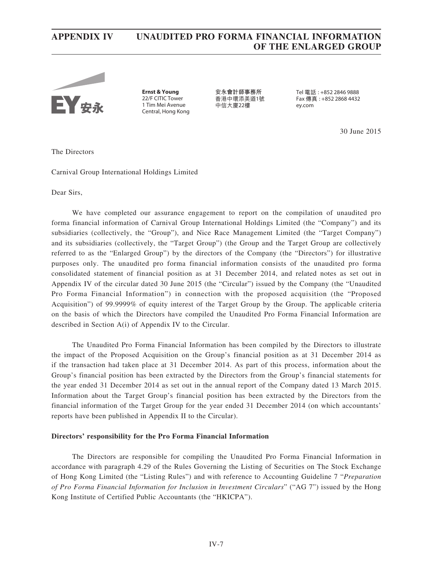

**Ernst & Young** 22/F CITIC Tower 1 Tim Mei Avenue Central, Hong Kong **安永會計師事務所** 香港中環添美道1號 中信大廈22樓

Tel 電話 : +852 2846 9888 Fax 傳真 : +852 2868 4432 ey.com

30 June 2015

The Directors

## Carnival Group International Holdings Limited

Dear Sirs,

We have completed our assurance engagement to report on the compilation of unaudited pro forma financial information of Carnival Group International Holdings Limited (the "Company") and its subsidiaries (collectively, the "Group"), and Nice Race Management Limited (the "Target Company") and its subsidiaries (collectively, the "Target Group") (the Group and the Target Group are collectively referred to as the "Enlarged Group") by the directors of the Company (the "Directors") for illustrative purposes only. The unaudited pro forma financial information consists of the unaudited pro forma consolidated statement of financial position as at 31 December 2014, and related notes as set out in Appendix IV of the circular dated 30 June 2015 (the "Circular") issued by the Company (the "Unaudited Pro Forma Financial Information") in connection with the proposed acquisition (the "Proposed Acquisition") of 99.9999% of equity interest of the Target Group by the Group. The applicable criteria on the basis of which the Directors have compiled the Unaudited Pro Forma Financial Information are described in Section A(i) of Appendix IV to the Circular.

The Unaudited Pro Forma Financial Information has been compiled by the Directors to illustrate the impact of the Proposed Acquisition on the Group's financial position as at 31 December 2014 as if the transaction had taken place at 31 December 2014. As part of this process, information about the Group's financial position has been extracted by the Directors from the Group's financial statements for the year ended 31 December 2014 as set out in the annual report of the Company dated 13 March 2015. Information about the Target Group's financial position has been extracted by the Directors from the financial information of the Target Group for the year ended 31 December 2014 (on which accountants' reports have been published in Appendix II to the Circular).

#### **Directors' responsibility for the Pro Forma Financial Information**

The Directors are responsible for compiling the Unaudited Pro Forma Financial Information in accordance with paragraph 4.29 of the Rules Governing the Listing of Securities on The Stock Exchange of Hong Kong Limited (the "Listing Rules") and with reference to Accounting Guideline 7 "*Preparation of Pro Forma Financial Information for Inclusion in Investment Circulars*" ("AG 7") issued by the Hong Kong Institute of Certified Public Accountants (the "HKICPA").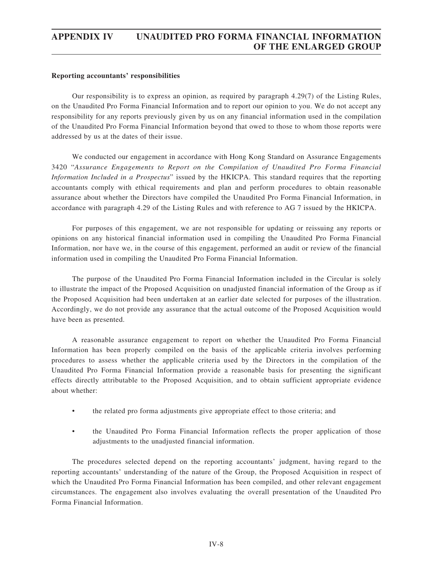## **Reporting accountants' responsibilities**

Our responsibility is to express an opinion, as required by paragraph 4.29(7) of the Listing Rules, on the Unaudited Pro Forma Financial Information and to report our opinion to you. We do not accept any responsibility for any reports previously given by us on any financial information used in the compilation of the Unaudited Pro Forma Financial Information beyond that owed to those to whom those reports were addressed by us at the dates of their issue.

We conducted our engagement in accordance with Hong Kong Standard on Assurance Engagements 3420 "*Assurance Engagements to Report on the Compilation of Unaudited Pro Forma Financial Information Included in a Prospectus*" issued by the HKICPA. This standard requires that the reporting accountants comply with ethical requirements and plan and perform procedures to obtain reasonable assurance about whether the Directors have compiled the Unaudited Pro Forma Financial Information, in accordance with paragraph 4.29 of the Listing Rules and with reference to AG 7 issued by the HKICPA.

For purposes of this engagement, we are not responsible for updating or reissuing any reports or opinions on any historical financial information used in compiling the Unaudited Pro Forma Financial Information, nor have we, in the course of this engagement, performed an audit or review of the financial information used in compiling the Unaudited Pro Forma Financial Information.

The purpose of the Unaudited Pro Forma Financial Information included in the Circular is solely to illustrate the impact of the Proposed Acquisition on unadjusted financial information of the Group as if the Proposed Acquisition had been undertaken at an earlier date selected for purposes of the illustration. Accordingly, we do not provide any assurance that the actual outcome of the Proposed Acquisition would have been as presented.

A reasonable assurance engagement to report on whether the Unaudited Pro Forma Financial Information has been properly compiled on the basis of the applicable criteria involves performing procedures to assess whether the applicable criteria used by the Directors in the compilation of the Unaudited Pro Forma Financial Information provide a reasonable basis for presenting the significant effects directly attributable to the Proposed Acquisition, and to obtain sufficient appropriate evidence about whether:

- the related pro forma adjustments give appropriate effect to those criteria; and
- the Unaudited Pro Forma Financial Information reflects the proper application of those adjustments to the unadjusted financial information.

The procedures selected depend on the reporting accountants' judgment, having regard to the reporting accountants' understanding of the nature of the Group, the Proposed Acquisition in respect of which the Unaudited Pro Forma Financial Information has been compiled, and other relevant engagement circumstances. The engagement also involves evaluating the overall presentation of the Unaudited Pro Forma Financial Information.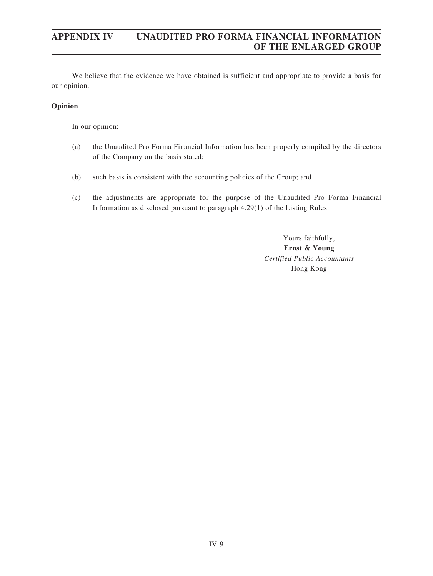We believe that the evidence we have obtained is sufficient and appropriate to provide a basis for our opinion.

## **Opinion**

In our opinion:

- (a) the Unaudited Pro Forma Financial Information has been properly compiled by the directors of the Company on the basis stated;
- (b) such basis is consistent with the accounting policies of the Group; and
- (c) the adjustments are appropriate for the purpose of the Unaudited Pro Forma Financial Information as disclosed pursuant to paragraph 4.29(1) of the Listing Rules.

Yours faithfully, **Ernst & Young** *Certified Public Accountants* Hong Kong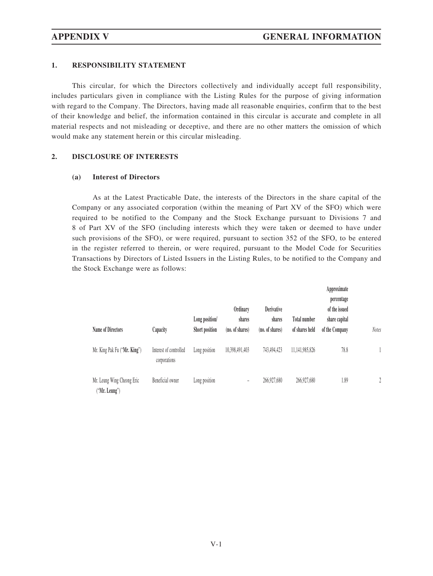## **1. RESPONSIBILITY STATEMENT**

This circular, for which the Directors collectively and individually accept full responsibility, includes particulars given in compliance with the Listing Rules for the purpose of giving information with regard to the Company. The Directors, having made all reasonable enquiries, confirm that to the best of their knowledge and belief, the information contained in this circular is accurate and complete in all material respects and not misleading or deceptive, and there are no other matters the omission of which would make any statement herein or this circular misleading.

## **2. DISCLOSURE OF INTERESTS**

## **(a) Interest of Directors**

As at the Latest Practicable Date, the interests of the Directors in the share capital of the Company or any associated corporation (within the meaning of Part XV of the SFO) which were required to be notified to the Company and the Stock Exchange pursuant to Divisions 7 and 8 of Part XV of the SFO (including interests which they were taken or deemed to have under such provisions of the SFO), or were required, pursuant to section 352 of the SFO, to be entered in the register referred to therein, or were required, pursuant to the Model Code for Securities Transactions by Directors of Listed Issuers in the Listing Rules, to be notified to the Company and the Stock Exchange were as follows:

| <b>Name of Directors</b>                    | Capacity                               | Long position/<br>Short position | Ordinary<br>shares<br>(no. of shares) | Derivative<br>shares<br>(no. of shares) | <b>Total number</b><br>of shares held | Approximate<br>percentage<br>of the issued<br>share capital<br>of the Company | <b>Notes</b>     |
|---------------------------------------------|----------------------------------------|----------------------------------|---------------------------------------|-----------------------------------------|---------------------------------------|-------------------------------------------------------------------------------|------------------|
|                                             |                                        |                                  |                                       |                                         |                                       |                                                                               |                  |
| Mr. King Pak Fu ("Mr. King")                | Interest of controlled<br>corporations | Long position                    | 10,398,491,403                        | 743,494,423                             | 11,141,985,826                        | 78.8                                                                          |                  |
| Mr. Leung Wing Cheong Eric<br>("Mr. Leung") | Beneficial owner                       | Long position                    | -                                     | 266,927,680                             | 266,927,680                           | 1.89                                                                          | $\sum_{i=1}^{n}$ |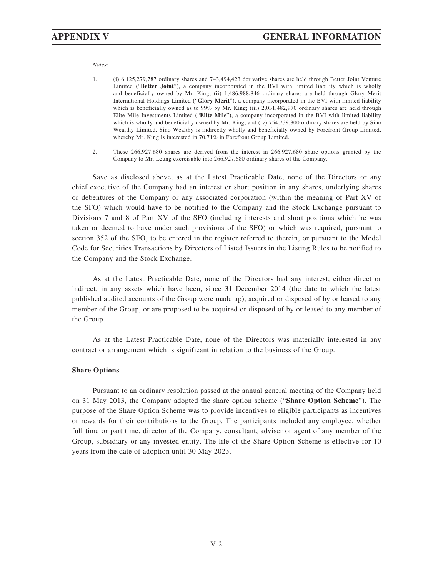*Notes:*

- 1. (i) 6,125,279,787 ordinary shares and 743,494,423 derivative shares are held through Better Joint Venture Limited ("**Better Joint**"), a company incorporated in the BVI with limited liability which is wholly and beneficially owned by Mr. King; (ii) 1,486,988,846 ordinary shares are held through Glory Merit International Holdings Limited ("**Glory Merit**"), a company incorporated in the BVI with limited liability which is beneficially owned as to 99% by Mr. King; (iii) 2,031,482,970 ordinary shares are held through Elite Mile Investments Limited ("**Elite Mile**"), a company incorporated in the BVI with limited liability which is wholly and beneficially owned by Mr. King; and (iv) 754,739,800 ordinary shares are held by Sino Wealthy Limited. Sino Wealthy is indirectly wholly and beneficially owned by Forefront Group Limited, whereby Mr. King is interested in 70.71% in Forefront Group Limited.
- 2. These 266,927,680 shares are derived from the interest in 266,927,680 share options granted by the Company to Mr. Leung exercisable into 266,927,680 ordinary shares of the Company.

Save as disclosed above, as at the Latest Practicable Date, none of the Directors or any chief executive of the Company had an interest or short position in any shares, underlying shares or debentures of the Company or any associated corporation (within the meaning of Part XV of the SFO) which would have to be notified to the Company and the Stock Exchange pursuant to Divisions 7 and 8 of Part XV of the SFO (including interests and short positions which he was taken or deemed to have under such provisions of the SFO) or which was required, pursuant to section 352 of the SFO, to be entered in the register referred to therein, or pursuant to the Model Code for Securities Transactions by Directors of Listed Issuers in the Listing Rules to be notified to the Company and the Stock Exchange.

As at the Latest Practicable Date, none of the Directors had any interest, either direct or indirect, in any assets which have been, since 31 December 2014 (the date to which the latest published audited accounts of the Group were made up), acquired or disposed of by or leased to any member of the Group, or are proposed to be acquired or disposed of by or leased to any member of the Group.

As at the Latest Practicable Date, none of the Directors was materially interested in any contract or arrangement which is significant in relation to the business of the Group.

#### **Share Options**

Pursuant to an ordinary resolution passed at the annual general meeting of the Company held on 31 May 2013, the Company adopted the share option scheme ("**Share Option Scheme**"). The purpose of the Share Option Scheme was to provide incentives to eligible participants as incentives or rewards for their contributions to the Group. The participants included any employee, whether full time or part time, director of the Company, consultant, adviser or agent of any member of the Group, subsidiary or any invested entity. The life of the Share Option Scheme is effective for 10 years from the date of adoption until 30 May 2023.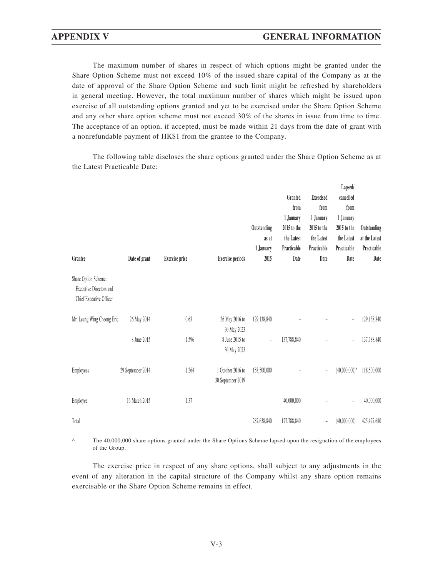The maximum number of shares in respect of which options might be granted under the Share Option Scheme must not exceed 10% of the issued share capital of the Company as at the date of approval of the Share Option Scheme and such limit might be refreshed by shareholders in general meeting. However, the total maximum number of shares which might be issued upon exercise of all outstanding options granted and yet to be exercised under the Share Option Scheme and any other share option scheme must not exceed 30% of the shares in issue from time to time. The acceptance of an option, if accepted, must be made within 21 days from the date of grant with a nonrefundable payment of HK\$1 from the grantee to the Company.

The following table discloses the share options granted under the Share Option Scheme as at the Latest Practicable Date:

| Grantee                                                                           | Date of grant     | <b>Exercise</b> price | <b>Exercise periods</b>                | Outstanding<br>as at<br>1 January<br>2015 | Granted<br>from<br>1 January<br>2015 to the<br>the Latest<br>Practicable<br>Date | <b>Exercised</b><br>from<br>1 January<br>2015 to the<br>the Latest<br>Practicable<br>Date | Lapsed/<br>cancelled<br>from<br>1 January<br>2015 to the<br>the Latest<br>Practicable<br>Date | Outstanding<br>at the Latest<br>Practicable<br>Date |
|-----------------------------------------------------------------------------------|-------------------|-----------------------|----------------------------------------|-------------------------------------------|----------------------------------------------------------------------------------|-------------------------------------------------------------------------------------------|-----------------------------------------------------------------------------------------------|-----------------------------------------------------|
| Share Option Scheme:<br><b>Executive Directors and</b><br>Chief Executive Officer |                   |                       |                                        |                                           |                                                                                  |                                                                                           |                                                                                               |                                                     |
| Mr. Leung Wing Cheong Eric                                                        | 26 May 2014       | 0.63                  | 26 May 2016 to<br>30 May 2023          | 129,138,840                               |                                                                                  |                                                                                           |                                                                                               | 129,138,840                                         |
|                                                                                   | 8 June 2015       | 1.596                 | 8 June 2015 to<br>30 May 2023          | ÷                                         | 137,788,840                                                                      |                                                                                           |                                                                                               | 137,788,840                                         |
| Employees                                                                         | 29 September 2014 | 1.264                 | 1 October 2016 to<br>30 September 2019 | 158,500,000                               |                                                                                  | $\overline{\phantom{a}}$                                                                  | $(40,000,000)^{\wedge}$                                                                       | 118,500,000                                         |
| Employee                                                                          | 16 March 2015     | 1.37                  |                                        |                                           | 40,000,000                                                                       |                                                                                           | $\overline{\phantom{0}}$                                                                      | 40,000,000                                          |
| Total                                                                             |                   |                       |                                        | 287,638,840                               | 177,788,840                                                                      | Ē,                                                                                        | (40,000,000)                                                                                  | 425,427,680                                         |

^ The 40,000,000 share options granted under the Share Options Scheme lapsed upon the resignation of the employees of the Group.

The exercise price in respect of any share options, shall subject to any adjustments in the event of any alteration in the capital structure of the Company whilst any share option remains exercisable or the Share Option Scheme remains in effect.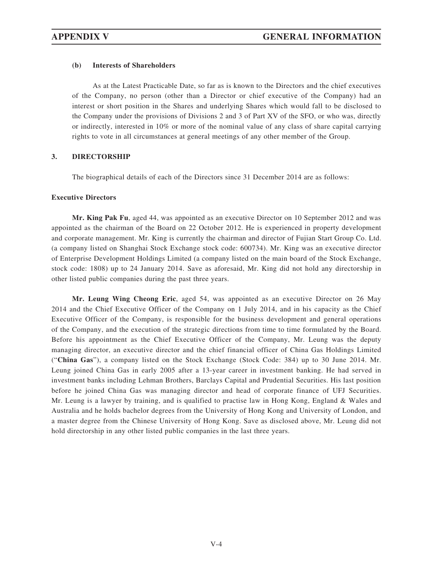## **(b) Interests of Shareholders**

As at the Latest Practicable Date, so far as is known to the Directors and the chief executives of the Company, no person (other than a Director or chief executive of the Company) had an interest or short position in the Shares and underlying Shares which would fall to be disclosed to the Company under the provisions of Divisions 2 and 3 of Part XV of the SFO, or who was, directly or indirectly, interested in 10% or more of the nominal value of any class of share capital carrying rights to vote in all circumstances at general meetings of any other member of the Group.

## **3. DIRECTORSHIP**

The biographical details of each of the Directors since 31 December 2014 are as follows:

## **Executive Directors**

**Mr. King Pak Fu**, aged 44, was appointed as an executive Director on 10 September 2012 and was appointed as the chairman of the Board on 22 October 2012. He is experienced in property development and corporate management. Mr. King is currently the chairman and director of Fujian Start Group Co. Ltd. (a company listed on Shanghai Stock Exchange stock code: 600734). Mr. King was an executive director of Enterprise Development Holdings Limited (a company listed on the main board of the Stock Exchange, stock code: 1808) up to 24 January 2014. Save as aforesaid, Mr. King did not hold any directorship in other listed public companies during the past three years.

**Mr. Leung Wing Cheong Eric**, aged 54, was appointed as an executive Director on 26 May 2014 and the Chief Executive Officer of the Company on 1 July 2014, and in his capacity as the Chief Executive Officer of the Company, is responsible for the business development and general operations of the Company, and the execution of the strategic directions from time to time formulated by the Board. Before his appointment as the Chief Executive Officer of the Company, Mr. Leung was the deputy managing director, an executive director and the chief financial officer of China Gas Holdings Limited ("**China Gas**"), a company listed on the Stock Exchange (Stock Code: 384) up to 30 June 2014. Mr. Leung joined China Gas in early 2005 after a 13-year career in investment banking. He had served in investment banks including Lehman Brothers, Barclays Capital and Prudential Securities. His last position before he joined China Gas was managing director and head of corporate finance of UFJ Securities. Mr. Leung is a lawyer by training, and is qualified to practise law in Hong Kong, England & Wales and Australia and he holds bachelor degrees from the University of Hong Kong and University of London, and a master degree from the Chinese University of Hong Kong. Save as disclosed above, Mr. Leung did not hold directorship in any other listed public companies in the last three years.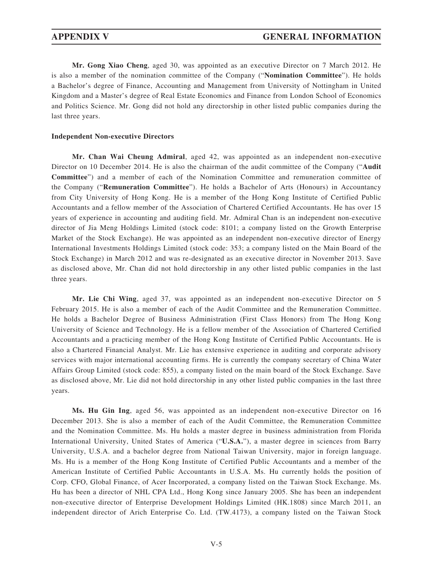**Mr. Gong Xiao Cheng**, aged 30, was appointed as an executive Director on 7 March 2012. He is also a member of the nomination committee of the Company ("**Nomination Committee**"). He holds a Bachelor's degree of Finance, Accounting and Management from University of Nottingham in United Kingdom and a Master's degree of Real Estate Economics and Finance from London School of Economics and Politics Science. Mr. Gong did not hold any directorship in other listed public companies during the last three years.

### **Independent Non-executive Directors**

**Mr. Chan Wai Cheung Admiral**, aged 42, was appointed as an independent non-executive Director on 10 December 2014. He is also the chairman of the audit committee of the Company ("**Audit Committee**") and a member of each of the Nomination Committee and remuneration committee of the Company ("**Remuneration Committee**"). He holds a Bachelor of Arts (Honours) in Accountancy from City University of Hong Kong. He is a member of the Hong Kong Institute of Certified Public Accountants and a fellow member of the Association of Chartered Certified Accountants. He has over 15 years of experience in accounting and auditing field. Mr. Admiral Chan is an independent non-executive director of Jia Meng Holdings Limited (stock code: 8101; a company listed on the Growth Enterprise Market of the Stock Exchange). He was appointed as an independent non-executive director of Energy International Investments Holdings Limited (stock code: 353; a company listed on the Main Board of the Stock Exchange) in March 2012 and was re-designated as an executive director in November 2013. Save as disclosed above, Mr. Chan did not hold directorship in any other listed public companies in the last three years.

**Mr. Lie Chi Wing**, aged 37, was appointed as an independent non-executive Director on 5 February 2015. He is also a member of each of the Audit Committee and the Remuneration Committee. He holds a Bachelor Degree of Business Administration (First Class Honors) from The Hong Kong University of Science and Technology. He is a fellow member of the Association of Chartered Certified Accountants and a practicing member of the Hong Kong Institute of Certified Public Accountants. He is also a Chartered Financial Analyst. Mr. Lie has extensive experience in auditing and corporate advisory services with major international accounting firms. He is currently the company secretary of China Water Affairs Group Limited (stock code: 855), a company listed on the main board of the Stock Exchange. Save as disclosed above, Mr. Lie did not hold directorship in any other listed public companies in the last three years.

**Ms. Hu Gin Ing**, aged 56, was appointed as an independent non-executive Director on 16 December 2013. She is also a member of each of the Audit Committee, the Remuneration Committee and the Nomination Committee. Ms. Hu holds a master degree in business administration from Florida International University, United States of America ("**U.S.A.**"), a master degree in sciences from Barry University, U.S.A. and a bachelor degree from National Taiwan University, major in foreign language. Ms. Hu is a member of the Hong Kong Institute of Certified Public Accountants and a member of the American Institute of Certified Public Accountants in U.S.A. Ms. Hu currently holds the position of Corp. CFO, Global Finance, of Acer Incorporated, a company listed on the Taiwan Stock Exchange. Ms. Hu has been a director of NHL CPA Ltd., Hong Kong since January 2005. She has been an independent non-executive director of Enterprise Development Holdings Limited (HK.1808) since March 2011, an independent director of Arich Enterprise Co. Ltd. (TW.4173), a company listed on the Taiwan Stock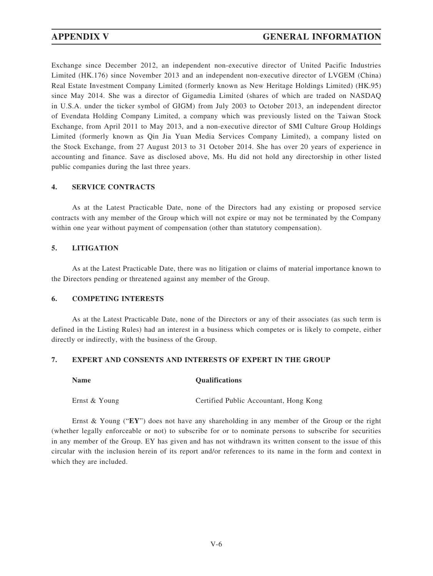Exchange since December 2012, an independent non-executive director of United Pacific Industries Limited (HK.176) since November 2013 and an independent non-executive director of LVGEM (China) Real Estate Investment Company Limited (formerly known as New Heritage Holdings Limited) (HK.95) since May 2014. She was a director of Gigamedia Limited (shares of which are traded on NASDAQ in U.S.A. under the ticker symbol of GIGM) from July 2003 to October 2013, an independent director of Evendata Holding Company Limited, a company which was previously listed on the Taiwan Stock Exchange, from April 2011 to May 2013, and a non-executive director of SMI Culture Group Holdings Limited (formerly known as Qin Jia Yuan Media Services Company Limited), a company listed on the Stock Exchange, from 27 August 2013 to 31 October 2014. She has over 20 years of experience in accounting and finance. Save as disclosed above, Ms. Hu did not hold any directorship in other listed public companies during the last three years.

## **4. SERVICE CONTRACTS**

As at the Latest Practicable Date, none of the Directors had any existing or proposed service contracts with any member of the Group which will not expire or may not be terminated by the Company within one year without payment of compensation (other than statutory compensation).

## **5. LITIGATION**

As at the Latest Practicable Date, there was no litigation or claims of material importance known to the Directors pending or threatened against any member of the Group.

## **6. COMPETING INTERESTS**

As at the Latest Practicable Date, none of the Directors or any of their associates (as such term is defined in the Listing Rules) had an interest in a business which competes or is likely to compete, either directly or indirectly, with the business of the Group.

## **7. EXPERT AND CONSENTS AND INTERESTS OF EXPERT IN THE GROUP**

#### **Name Qualifications**

Ernst & Young Certified Public Accountant, Hong Kong

Ernst & Young ("**EY**") does not have any shareholding in any member of the Group or the right (whether legally enforceable or not) to subscribe for or to nominate persons to subscribe for securities in any member of the Group. EY has given and has not withdrawn its written consent to the issue of this circular with the inclusion herein of its report and/or references to its name in the form and context in which they are included.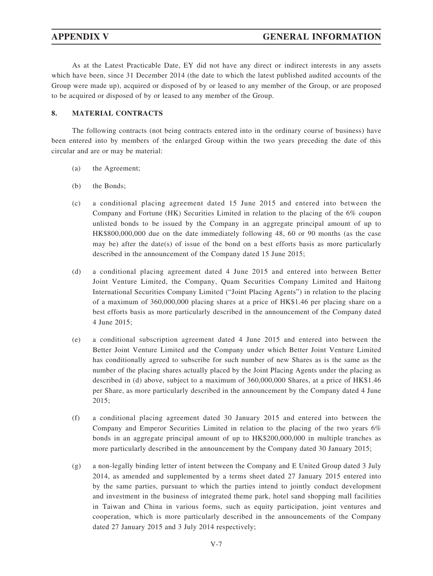As at the Latest Practicable Date, EY did not have any direct or indirect interests in any assets which have been, since 31 December 2014 (the date to which the latest published audited accounts of the Group were made up), acquired or disposed of by or leased to any member of the Group, or are proposed to be acquired or disposed of by or leased to any member of the Group.

## **8. MATERIAL CONTRACTS**

The following contracts (not being contracts entered into in the ordinary course of business) have been entered into by members of the enlarged Group within the two years preceding the date of this circular and are or may be material:

- (a) the Agreement;
- (b) the Bonds;
- (c) a conditional placing agreement dated 15 June 2015 and entered into between the Company and Fortune (HK) Securities Limited in relation to the placing of the 6% coupon unlisted bonds to be issued by the Company in an aggregate principal amount of up to HK\$800,000,000 due on the date immediately following 48, 60 or 90 months (as the case may be) after the date(s) of issue of the bond on a best efforts basis as more particularly described in the announcement of the Company dated 15 June 2015;
- (d) a conditional placing agreement dated 4 June 2015 and entered into between Better Joint Venture Limited, the Company, Quam Securities Company Limited and Haitong International Securities Company Limited ("Joint Placing Agents") in relation to the placing of a maximum of 360,000,000 placing shares at a price of HK\$1.46 per placing share on a best efforts basis as more particularly described in the announcement of the Company dated 4 June 2015;
- (e) a conditional subscription agreement dated 4 June 2015 and entered into between the Better Joint Venture Limited and the Company under which Better Joint Venture Limited has conditionally agreed to subscribe for such number of new Shares as is the same as the number of the placing shares actually placed by the Joint Placing Agents under the placing as described in (d) above, subject to a maximum of 360,000,000 Shares, at a price of HK\$1.46 per Share, as more particularly described in the announcement by the Company dated 4 June 2015;
- (f) a conditional placing agreement dated 30 January 2015 and entered into between the Company and Emperor Securities Limited in relation to the placing of the two years 6% bonds in an aggregate principal amount of up to HK\$200,000,000 in multiple tranches as more particularly described in the announcement by the Company dated 30 January 2015;
- (g) a non-legally binding letter of intent between the Company and E United Group dated 3 July 2014, as amended and supplemented by a terms sheet dated 27 January 2015 entered into by the same parties, pursuant to which the parties intend to jointly conduct development and investment in the business of integrated theme park, hotel sand shopping mall facilities in Taiwan and China in various forms, such as equity participation, joint ventures and cooperation, which is more particularly described in the announcements of the Company dated 27 January 2015 and 3 July 2014 respectively;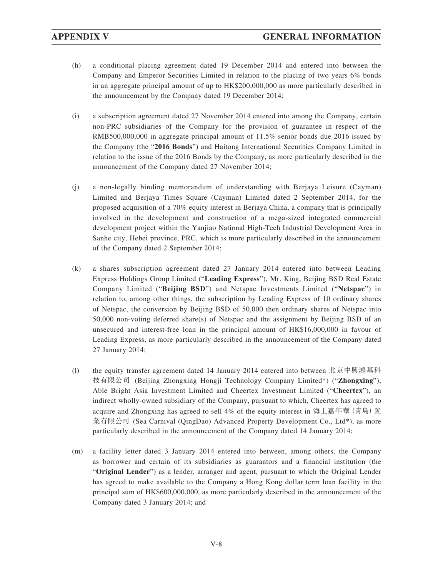- (h) a conditional placing agreement dated 19 December 2014 and entered into between the Company and Emperor Securities Limited in relation to the placing of two years 6% bonds in an aggregate principal amount of up to HK\$200,000,000 as more particularly described in the announcement by the Company dated 19 December 2014;
- (i) a subscription agreement dated 27 November 2014 entered into among the Company, certain non-PRC subsidiaries of the Company for the provision of guarantee in respect of the RMB500,000,000 in aggregate principal amount of 11.5% senior bonds due 2016 issued by the Company (the "**2016 Bonds**") and Haitong International Securities Company Limited in relation to the issue of the 2016 Bonds by the Company, as more particularly described in the announcement of the Company dated 27 November 2014;
- (j) a non-legally binding memorandum of understanding with Berjaya Leisure (Cayman) Limited and Berjaya Times Square (Cayman) Limited dated 2 September 2014, for the proposed acquisition of a 70% equity interest in Berjaya China, a company that is principally involved in the development and construction of a mega-sized integrated commercial development project within the Yanjiao National High-Tech Industrial Development Area in Sanhe city, Hebei province, PRC, which is more particularly described in the announcement of the Company dated 2 September 2014;
- (k) a shares subscription agreement dated 27 January 2014 entered into between Leading Express Holdings Group Limited ("**Leading Express**"), Mr. King, Beijing BSD Real Estate Company Limited ("**Beijing BSD**") and Netspac Investments Limited ("**Netspac**") in relation to, among other things, the subscription by Leading Express of 10 ordinary shares of Netspac, the conversion by Beijing BSD of 50,000 then ordinary shares of Netspac into 50,000 non-voting deferred share(s) of Netspac and the assignment by Beijing BSD of an unsecured and interest-free loan in the principal amount of HK\$16,000,000 in favour of Leading Express, as more particularly described in the announcement of the Company dated 27 January 2014;
- (l) the equity transfer agreement dated 14 January 2014 entered into between 北京中興鴻基科 技有限公司 (Beijing Zhongxing Hongji Technology Company Limited\*) ("**Zhongxing**"), Able Bright Asia Investment Limited and Cheertex Investment Limited ("**Cheertex**"), an indirect wholly-owned subsidiary of the Company, pursuant to which, Cheertex has agreed to acquire and Zhongxing has agreed to sell 4% of the equity interest in 海上嘉年華(青島)置 業有限公司 (Sea Carnival (QingDao) Advanced Property Development Co., Ltd\*), as more particularly described in the announcement of the Company dated 14 January 2014;
- (m) a facility letter dated 3 January 2014 entered into between, among others, the Company as borrower and certain of its subsidiaries as guarantors and a financial institution (the "**Original Lender**") as a lender, arranger and agent, pursuant to which the Original Lender has agreed to make available to the Company a Hong Kong dollar term loan facility in the principal sum of HK\$600,000,000, as more particularly described in the announcement of the Company dated 3 January 2014; and